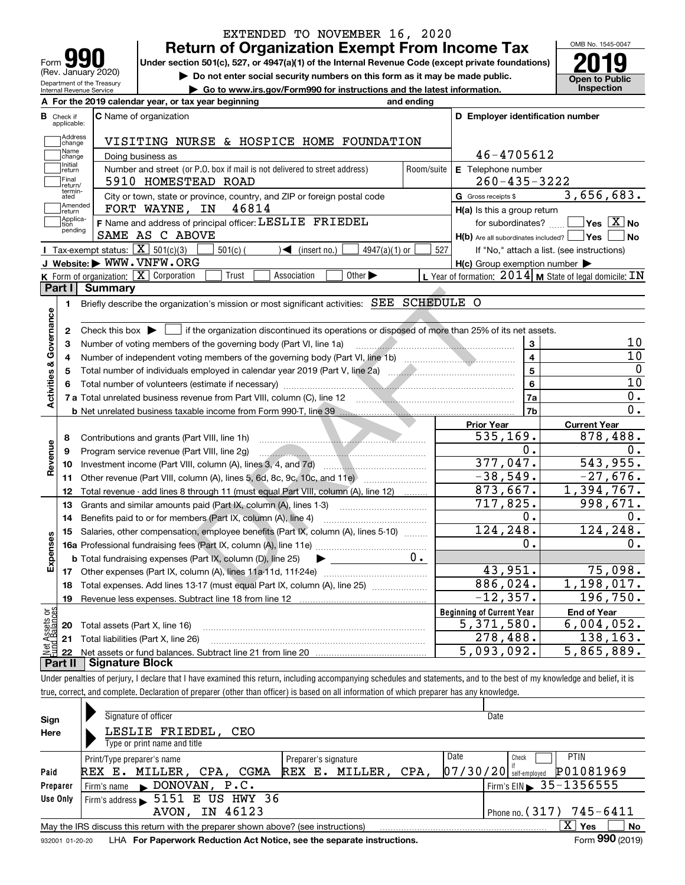|                                                 |                                                                                                                                                                                                                          | EXTENDED TO NOVEMBER 16, 2020                                                                                                                                                                                                  |            |                                                                              | OMB No. 1545-0047                                                |  |  |  |  |
|-------------------------------------------------|--------------------------------------------------------------------------------------------------------------------------------------------------------------------------------------------------------------------------|--------------------------------------------------------------------------------------------------------------------------------------------------------------------------------------------------------------------------------|------------|------------------------------------------------------------------------------|------------------------------------------------------------------|--|--|--|--|
|                                                 |                                                                                                                                                                                                                          | <b>Return of Organization Exempt From Income Tax</b>                                                                                                                                                                           |            |                                                                              |                                                                  |  |  |  |  |
| Form                                            | (Rev. January 2020)                                                                                                                                                                                                      | Under section 501(c), 527, or 4947(a)(1) of the Internal Revenue Code (except private foundations)                                                                                                                             |            |                                                                              |                                                                  |  |  |  |  |
|                                                 | Department of the Treasury                                                                                                                                                                                               | Do not enter social security numbers on this form as it may be made public.                                                                                                                                                    |            |                                                                              | <b>Open to Public</b>                                            |  |  |  |  |
|                                                 | Internal Revenue Service                                                                                                                                                                                                 | Go to www.irs.gov/Form990 for instructions and the latest information.                                                                                                                                                         |            |                                                                              | Inspection                                                       |  |  |  |  |
|                                                 |                                                                                                                                                                                                                          | A For the 2019 calendar year, or tax year beginning                                                                                                                                                                            | and ending |                                                                              |                                                                  |  |  |  |  |
| <b>B</b> Check if<br>applicable:                |                                                                                                                                                                                                                          | C Name of organization                                                                                                                                                                                                         |            | D Employer identification number                                             |                                                                  |  |  |  |  |
| Address                                         |                                                                                                                                                                                                                          |                                                                                                                                                                                                                                |            |                                                                              |                                                                  |  |  |  |  |
| change<br>Name                                  |                                                                                                                                                                                                                          | VISITING NURSE & HOSPICE HOME FOUNDATION                                                                                                                                                                                       |            | 46-4705612                                                                   |                                                                  |  |  |  |  |
| change<br>Initial                               |                                                                                                                                                                                                                          | Doing business as                                                                                                                                                                                                              |            |                                                                              |                                                                  |  |  |  |  |
| return<br>Final                                 |                                                                                                                                                                                                                          | Number and street (or P.O. box if mail is not delivered to street address)<br>5910 HOMESTEAD ROAD                                                                                                                              | Room/suite | E Telephone number<br>$260 - 435 - 3222$                                     |                                                                  |  |  |  |  |
| return/<br>termin-                              |                                                                                                                                                                                                                          |                                                                                                                                                                                                                                |            |                                                                              | 3,656,683.                                                       |  |  |  |  |
| ated<br>Amended                                 |                                                                                                                                                                                                                          | City or town, state or province, country, and ZIP or foreign postal code<br>FORT WAYNE, IN 46814                                                                                                                               |            | G Gross receipts \$                                                          |                                                                  |  |  |  |  |
| return<br> Applica-                             |                                                                                                                                                                                                                          | F Name and address of principal officer: LESLIE FRIEDEL                                                                                                                                                                        |            | H(a) Is this a group return                                                  | $ {\mathsf Y}{\mathsf e}{\mathsf s} \ \overline{{\mathsf X}}$ No |  |  |  |  |
| tion<br>pending                                 |                                                                                                                                                                                                                          | SAME AS C ABOVE                                                                                                                                                                                                                |            | for subordinates?<br>$H(b)$ Are all subordinates included? $\Box$ Yes $\Box$ | ∣No                                                              |  |  |  |  |
|                                                 | Tax-exempt status: $\boxed{\mathbf{X}}$ 501(c)(3)                                                                                                                                                                        | $501(c)$ (<br>$\blacktriangleleft$ (insert no.)<br>$4947(a)(1)$ or                                                                                                                                                             | 527        |                                                                              | If "No," attach a list. (see instructions)                       |  |  |  |  |
|                                                 |                                                                                                                                                                                                                          | J Website: WWW.VNFW.ORG                                                                                                                                                                                                        |            | $H(c)$ Group exemption number $\blacktriangleright$                          |                                                                  |  |  |  |  |
|                                                 |                                                                                                                                                                                                                          | K Form of organization: X Corporation<br>Trust<br>Other $\blacktriangleright$<br>Association                                                                                                                                   |            | L Year of formation: $2014$ M State of legal domicile: IN                    |                                                                  |  |  |  |  |
| Part I                                          | <b>Summary</b>                                                                                                                                                                                                           |                                                                                                                                                                                                                                |            |                                                                              |                                                                  |  |  |  |  |
|                                                 |                                                                                                                                                                                                                          | Briefly describe the organization's mission or most significant activities: SEE SCHEDULE O                                                                                                                                     |            |                                                                              |                                                                  |  |  |  |  |
| 1.                                              |                                                                                                                                                                                                                          |                                                                                                                                                                                                                                |            |                                                                              |                                                                  |  |  |  |  |
|                                                 |                                                                                                                                                                                                                          |                                                                                                                                                                                                                                |            |                                                                              |                                                                  |  |  |  |  |
|                                                 | Check this box $\triangleright$ $\blacksquare$ if the organization discontinued its operations or disposed of more than 25% of its net assets.<br>2<br>Number of voting members of the governing body (Part VI, line 1a) |                                                                                                                                                                                                                                |            |                                                                              |                                                                  |  |  |  |  |
| Activities & Governance<br>з                    |                                                                                                                                                                                                                          |                                                                                                                                                                                                                                |            | 3                                                                            | 10<br>10                                                         |  |  |  |  |
| 4                                               |                                                                                                                                                                                                                          |                                                                                                                                                                                                                                |            | $\overline{\mathbf{4}}$<br>5                                                 | $\mathbf 0$                                                      |  |  |  |  |
| 5                                               |                                                                                                                                                                                                                          |                                                                                                                                                                                                                                |            | 6                                                                            | 10                                                               |  |  |  |  |
|                                                 |                                                                                                                                                                                                                          |                                                                                                                                                                                                                                |            |                                                                              | 0.                                                               |  |  |  |  |
|                                                 |                                                                                                                                                                                                                          | 7 a Total unrelated business revenue from Part VIII, column (C), line 12 [100] [100] [100] [100] [100] [100] [100] [100] [100] [100] [100] [100] [100] [100] [100] [100] [100] [100] [100] [100] [100] [100] [100] [100] [100] |            | 7a<br>7 <sub>b</sub>                                                         | $\overline{0}$ .                                                 |  |  |  |  |
|                                                 |                                                                                                                                                                                                                          | b Net unrelated business taxable income from Form 990-T, line 39 [11] [2012] Net unrelated business taxable income from Form 990-T, line 39                                                                                    |            |                                                                              |                                                                  |  |  |  |  |
|                                                 |                                                                                                                                                                                                                          |                                                                                                                                                                                                                                |            | <b>Prior Year</b><br>535, 169.                                               | <b>Current Year</b><br>878,488.                                  |  |  |  |  |
| 8                                               |                                                                                                                                                                                                                          | Contributions and grants (Part VIII, line 1h)                                                                                                                                                                                  |            | 0.                                                                           | 0.                                                               |  |  |  |  |
| Revenue<br>9                                    |                                                                                                                                                                                                                          | Program service revenue (Part VIII, line 2g)                                                                                                                                                                                   |            | 377,047.                                                                     | 543,955.                                                         |  |  |  |  |
| 10                                              |                                                                                                                                                                                                                          |                                                                                                                                                                                                                                |            | $-38,549.$                                                                   | $-27,676.$                                                       |  |  |  |  |
| 11                                              |                                                                                                                                                                                                                          |                                                                                                                                                                                                                                |            | 873,667.                                                                     | 1,394,767.                                                       |  |  |  |  |
| 12                                              |                                                                                                                                                                                                                          | Total revenue - add lines 8 through 11 (must equal Part VIII, column (A), line 12)                                                                                                                                             |            |                                                                              | 998,671.                                                         |  |  |  |  |
| 13                                              |                                                                                                                                                                                                                          | Grants and similar amounts paid (Part IX, column (A), lines 1-3)                                                                                                                                                               |            | 717,825.                                                                     |                                                                  |  |  |  |  |
| 14                                              |                                                                                                                                                                                                                          | Benefits paid to or for members (Part IX, column (A), line 4)                                                                                                                                                                  |            | 0.                                                                           | 0.                                                               |  |  |  |  |
|                                                 |                                                                                                                                                                                                                          | 15 Salaries, other compensation, employee benefits (Part IX, column (A), lines 5-10)                                                                                                                                           |            | 124, 248.                                                                    | 124, 248.                                                        |  |  |  |  |
|                                                 |                                                                                                                                                                                                                          |                                                                                                                                                                                                                                |            | О.                                                                           | 0.                                                               |  |  |  |  |
| Expenses                                        |                                                                                                                                                                                                                          | <b>b</b> Total fundraising expenses (Part IX, column (D), line 25)                                                                                                                                                             | 0.         |                                                                              |                                                                  |  |  |  |  |
|                                                 |                                                                                                                                                                                                                          | 17 Other expenses (Part IX, column (A), lines 11a-11d, 11f-24e)                                                                                                                                                                |            | 43,951.                                                                      | 75,098.                                                          |  |  |  |  |
|                                                 |                                                                                                                                                                                                                          | Total expenses. Add lines 13-17 (must equal Part IX, column (A), line 25)                                                                                                                                                      |            | 886,024.                                                                     | $\overline{1,1}$ 98,017.                                         |  |  |  |  |
| 18                                              |                                                                                                                                                                                                                          |                                                                                                                                                                                                                                |            | $-12, 357.$                                                                  |                                                                  |  |  |  |  |
| 19                                              |                                                                                                                                                                                                                          | Revenue less expenses. Subtract line 18 from line 12                                                                                                                                                                           |            |                                                                              |                                                                  |  |  |  |  |
|                                                 |                                                                                                                                                                                                                          |                                                                                                                                                                                                                                |            | <b>Beginning of Current Year</b>                                             | <b>End of Year</b>                                               |  |  |  |  |
| 20                                              | Total assets (Part X, line 16)                                                                                                                                                                                           |                                                                                                                                                                                                                                |            | 5,371,580.                                                                   | 196,750.<br>6,004,052.                                           |  |  |  |  |
| 21                                              |                                                                                                                                                                                                                          | Total liabilities (Part X, line 26)                                                                                                                                                                                            |            | 278,488.                                                                     | 138,163.                                                         |  |  |  |  |
| Net Assets or<br>Fund Balances<br>22<br>Part II | <b>Signature Block</b>                                                                                                                                                                                                   |                                                                                                                                                                                                                                |            | $\overline{5,093,092}$ .                                                     | $\overline{5}$ , 865, 889.                                       |  |  |  |  |

| Sign            | Signature of officer                                                              |                      | Date                                         |  |  |  |  |  |  |  |  |
|-----------------|-----------------------------------------------------------------------------------|----------------------|----------------------------------------------|--|--|--|--|--|--|--|--|
| Here            | LESLIE FRIEDEL, CEO                                                               |                      |                                              |  |  |  |  |  |  |  |  |
|                 | Type or print name and title                                                      |                      |                                              |  |  |  |  |  |  |  |  |
|                 | Print/Type preparer's name                                                        | Preparer's signature | Date<br><b>PTIN</b><br>Check                 |  |  |  |  |  |  |  |  |
| Paid            | REX E. MILLER, CPA,<br>CGMA                                                       | REX E. MILLER, CPA,  | P01081969<br> 07/30/20 <br>self-emploved     |  |  |  |  |  |  |  |  |
| Preparer        | $\blacktriangleright$ DONOVAN, P.C.<br>Firm's name                                |                      | $1$ Firm's EIN $\triangleright$ 35 - 1356555 |  |  |  |  |  |  |  |  |
| Use Only        | 5151 E US HWY 36<br>Firm's address                                                |                      |                                              |  |  |  |  |  |  |  |  |
|                 | IN 46123<br>AVON,                                                                 |                      | Phone no. $(317)$ 745-6411                   |  |  |  |  |  |  |  |  |
|                 | May the IRS discuss this return with the preparer shown above? (see instructions) |                      | x<br>No<br>Yes                               |  |  |  |  |  |  |  |  |
| 932001 01-20-20 | LHA For Paperwork Reduction Act Notice, see the separate instructions.            |                      | Form 990 (2019)                              |  |  |  |  |  |  |  |  |

true, correct, and complete. Declaration of preparer (other than officer) is based on all information of which preparer has any knowledge.

932001 01-20-20 LHA **For Paperwork Reduction Act Notice, see the separate instructions.**<br>932001 01-20-20 LHA **For Paperwork Reduction Act Notice, see the separate instructions.**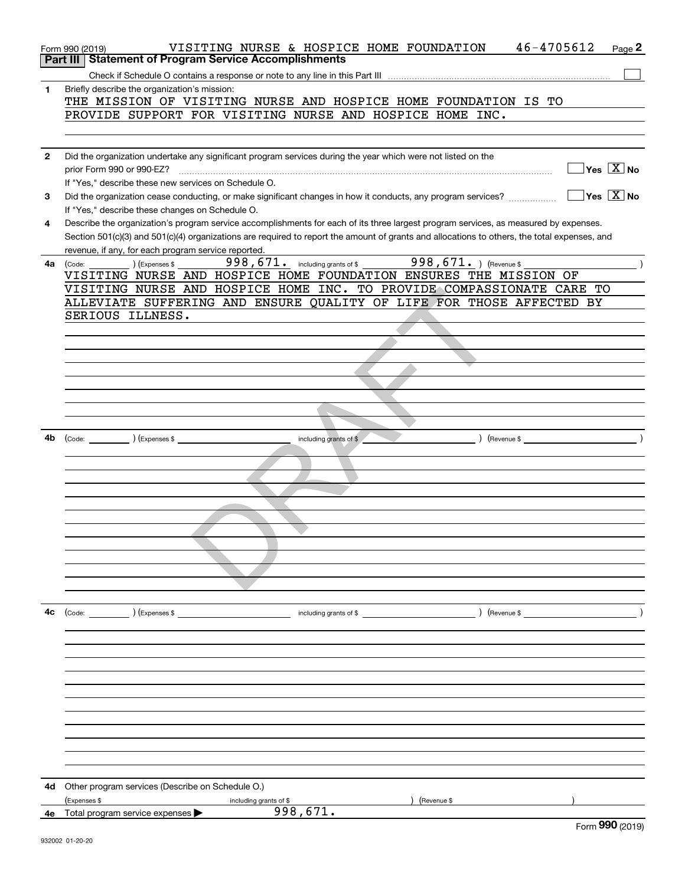|              | 46-4705612<br>VISITING NURSE & HOSPICE HOME FOUNDATION<br>Page 2<br>Form 990 (2019)<br><b>Statement of Program Service Accomplishments</b><br>Part III |
|--------------|--------------------------------------------------------------------------------------------------------------------------------------------------------|
|              |                                                                                                                                                        |
|              |                                                                                                                                                        |
| 1.           | Briefly describe the organization's mission:<br>THE MISSION OF VISITING NURSE AND HOSPICE HOME FOUNDATION IS TO                                        |
|              | PROVIDE SUPPORT FOR VISITING NURSE AND HOSPICE HOME INC.                                                                                               |
|              |                                                                                                                                                        |
|              |                                                                                                                                                        |
| $\mathbf{2}$ | Did the organization undertake any significant program services during the year which were not listed on the                                           |
|              | $\sqrt{}$ Yes $\sqrt{X}$ No                                                                                                                            |
|              | prior Form 990 or 990-EZ?<br>If "Yes," describe these new services on Schedule O.                                                                      |
|              | $\overline{\ }$ Yes $\overline{\ \ X}$ No                                                                                                              |
| 3            | Did the organization cease conducting, or make significant changes in how it conducts, any program services?                                           |
|              | If "Yes," describe these changes on Schedule O.                                                                                                        |
| 4            | Describe the organization's program service accomplishments for each of its three largest program services, as measured by expenses.                   |
|              | Section 501(c)(3) and 501(c)(4) organizations are required to report the amount of grants and allocations to others, the total expenses, and           |
|              | revenue, if any, for each program service reported.                                                                                                    |
| 4а           | 998, 671. ) (Revenue \$<br>$998,671$ $\cdot$ including grants of \$<br>) (Expenses \$<br>(Code:                                                        |
|              | VISITING NURSE AND HOSPICE HOME FOUNDATION ENSURES THE MISSION OF                                                                                      |
|              | VISITING NURSE AND HOSPICE HOME INC. TO PROVIDE COMPASSIONATE CARE TO                                                                                  |
|              | ALLEVIATE SUFFERING AND ENSURE QUALITY OF LIFE FOR THOSE AFFECTED BY                                                                                   |
|              | SERIOUS ILLNESS.                                                                                                                                       |
|              |                                                                                                                                                        |
|              |                                                                                                                                                        |
|              |                                                                                                                                                        |
|              |                                                                                                                                                        |
|              |                                                                                                                                                        |
|              |                                                                                                                                                        |
|              |                                                                                                                                                        |
|              |                                                                                                                                                        |
| 4b           | $\left(\text{Code:} \right)$ $\left(\text{Expenses $}\right)$<br>including grants of \$<br>) (Revenue \$                                               |
|              |                                                                                                                                                        |
|              |                                                                                                                                                        |
|              |                                                                                                                                                        |
|              |                                                                                                                                                        |
|              |                                                                                                                                                        |
|              |                                                                                                                                                        |
|              |                                                                                                                                                        |
|              |                                                                                                                                                        |
|              |                                                                                                                                                        |
|              |                                                                                                                                                        |
|              |                                                                                                                                                        |
|              |                                                                                                                                                        |
| 4c           | (Code: ) (Expenses \$                                                                                                                                  |
|              |                                                                                                                                                        |
|              |                                                                                                                                                        |
|              |                                                                                                                                                        |
|              |                                                                                                                                                        |
|              |                                                                                                                                                        |
|              |                                                                                                                                                        |
|              |                                                                                                                                                        |
|              |                                                                                                                                                        |
|              |                                                                                                                                                        |
|              |                                                                                                                                                        |
|              |                                                                                                                                                        |
|              |                                                                                                                                                        |
| 4d           | Other program services (Describe on Schedule O.)                                                                                                       |
|              | (Expenses \$<br>(Revenue \$<br>including grants of \$<br>998,671.                                                                                      |
|              | <b>4e</b> Total program service expenses $\blacktriangleright$<br>$F_{\text{sum}}$ 990 (2010)                                                          |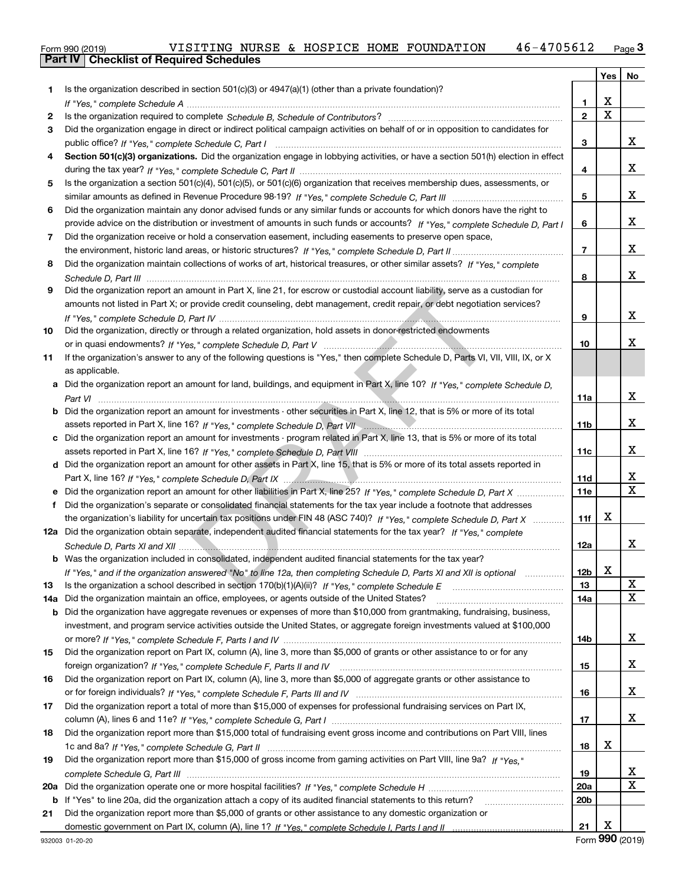|  | Form 990 (2019) |
|--|-----------------|

|     |                                                                                                                                                                                                                                                       |                 | Yes         | No     |
|-----|-------------------------------------------------------------------------------------------------------------------------------------------------------------------------------------------------------------------------------------------------------|-----------------|-------------|--------|
| 1   | Is the organization described in section $501(c)(3)$ or $4947(a)(1)$ (other than a private foundation)?                                                                                                                                               |                 |             |        |
|     |                                                                                                                                                                                                                                                       | 1.              | x           |        |
| 2   |                                                                                                                                                                                                                                                       | $\overline{2}$  | $\mathbf x$ |        |
| 3   | Did the organization engage in direct or indirect political campaign activities on behalf of or in opposition to candidates for                                                                                                                       |                 |             |        |
|     |                                                                                                                                                                                                                                                       | 3               |             | x      |
| 4   | Section 501(c)(3) organizations. Did the organization engage in lobbying activities, or have a section 501(h) election in effect                                                                                                                      |                 |             |        |
|     |                                                                                                                                                                                                                                                       | 4               |             | x      |
| 5.  | Is the organization a section 501(c)(4), 501(c)(5), or 501(c)(6) organization that receives membership dues, assessments, or                                                                                                                          |                 |             |        |
|     |                                                                                                                                                                                                                                                       | 5               |             | x      |
| 6   | Did the organization maintain any donor advised funds or any similar funds or accounts for which donors have the right to                                                                                                                             |                 |             |        |
|     | provide advice on the distribution or investment of amounts in such funds or accounts? If "Yes," complete Schedule D, Part I                                                                                                                          | 6               |             | x      |
| 7   | Did the organization receive or hold a conservation easement, including easements to preserve open space,                                                                                                                                             |                 |             |        |
|     |                                                                                                                                                                                                                                                       | $\overline{7}$  |             | x      |
| 8   | Did the organization maintain collections of works of art, historical treasures, or other similar assets? If "Yes," complete                                                                                                                          |                 |             |        |
|     |                                                                                                                                                                                                                                                       | 8               |             | x      |
| 9   | Did the organization report an amount in Part X, line 21, for escrow or custodial account liability, serve as a custodian for                                                                                                                         |                 |             |        |
|     | amounts not listed in Part X; or provide credit counseling, debt management, credit repair, or debt negotiation services?                                                                                                                             |                 |             |        |
|     |                                                                                                                                                                                                                                                       | 9               |             | x      |
| 10  | Did the organization, directly or through a related organization, hold assets in donor-restricted endowments                                                                                                                                          |                 |             |        |
|     |                                                                                                                                                                                                                                                       | 10              |             | x      |
| 11  | If the organization's answer to any of the following questions is "Yes," then complete Schedule D, Parts VI, VII, VIII, IX, or X                                                                                                                      |                 |             |        |
|     | as applicable.                                                                                                                                                                                                                                        |                 |             |        |
| a   | Did the organization report an amount for land, buildings, and equipment in Part X, line 10? If "Yes," complete Schedule D,                                                                                                                           |                 |             |        |
|     |                                                                                                                                                                                                                                                       | 11a             |             | x      |
| b   | Did the organization report an amount for investments - other securities in Part X, line 12, that is 5% or more of its total                                                                                                                          |                 |             |        |
|     | assets reported in Part X, line 16? If "Yes," complete Schedule D, Part VII" [[[[[[[[[[[[[[[[[[[[[[[[[[[[]]]]]                                                                                                                                        | 11 <sub>b</sub> |             | x      |
| c   | Did the organization report an amount for investments - program related in Part X, line 13, that is 5% or more of its total                                                                                                                           |                 |             |        |
|     |                                                                                                                                                                                                                                                       | 11c             |             | x      |
|     | d Did the organization report an amount for other assets in Part X, line 15, that is 5% or more of its total assets reported in                                                                                                                       |                 |             |        |
|     |                                                                                                                                                                                                                                                       | <b>11d</b>      |             | х      |
|     | Did the organization report an amount for other liabilities in Part X, line 25? If "Yes," complete Schedule D, Part X                                                                                                                                 | 11e             |             | X      |
| f   | Did the organization's separate or consolidated financial statements for the tax year include a footnote that addresses                                                                                                                               |                 |             |        |
|     | the organization's liability for uncertain tax positions under FIN 48 (ASC 740)? If "Yes," complete Schedule D, Part X                                                                                                                                | 11f             | х           |        |
|     | 12a Did the organization obtain separate, independent audited financial statements for the tax year? If "Yes," complete                                                                                                                               |                 |             |        |
|     |                                                                                                                                                                                                                                                       | 12a             |             | x      |
|     | b Was the organization included in consolidated, independent audited financial statements for the tax year?                                                                                                                                           |                 |             |        |
|     | If "Yes," and if the organization answered "No" to line 12a, then completing Schedule D, Parts XI and XII is optional manum                                                                                                                           | 12b             | X           |        |
| 13  |                                                                                                                                                                                                                                                       | 13              |             | х<br>x |
| 14a | Did the organization maintain an office, employees, or agents outside of the United States?                                                                                                                                                           | 14a             |             |        |
| b   | Did the organization have aggregate revenues or expenses of more than \$10,000 from grantmaking, fundraising, business,<br>investment, and program service activities outside the United States, or aggregate foreign investments valued at \$100,000 |                 |             |        |
|     |                                                                                                                                                                                                                                                       |                 |             | x      |
| 15  | Did the organization report on Part IX, column (A), line 3, more than \$5,000 of grants or other assistance to or for any                                                                                                                             | 14b             |             |        |
|     |                                                                                                                                                                                                                                                       | 15              |             | x      |
| 16  | Did the organization report on Part IX, column (A), line 3, more than \$5,000 of aggregate grants or other assistance to                                                                                                                              |                 |             |        |
|     |                                                                                                                                                                                                                                                       | 16              |             | x      |
| 17  | Did the organization report a total of more than \$15,000 of expenses for professional fundraising services on Part IX,                                                                                                                               |                 |             |        |
|     |                                                                                                                                                                                                                                                       | 17              |             | x      |
| 18  | Did the organization report more than \$15,000 total of fundraising event gross income and contributions on Part VIII, lines                                                                                                                          |                 |             |        |
|     |                                                                                                                                                                                                                                                       | 18              | X           |        |
| 19  | Did the organization report more than \$15,000 of gross income from gaming activities on Part VIII, line 9a? If "Yes."                                                                                                                                |                 |             |        |
|     |                                                                                                                                                                                                                                                       | 19              |             | х      |
| 20a |                                                                                                                                                                                                                                                       | 20a             |             | x      |
| b   | If "Yes" to line 20a, did the organization attach a copy of its audited financial statements to this return?                                                                                                                                          | 20 <sub>b</sub> |             |        |
| 21  | Did the organization report more than \$5,000 of grants or other assistance to any domestic organization or                                                                                                                                           |                 |             |        |
|     |                                                                                                                                                                                                                                                       | 21              | x           |        |
|     |                                                                                                                                                                                                                                                       |                 |             |        |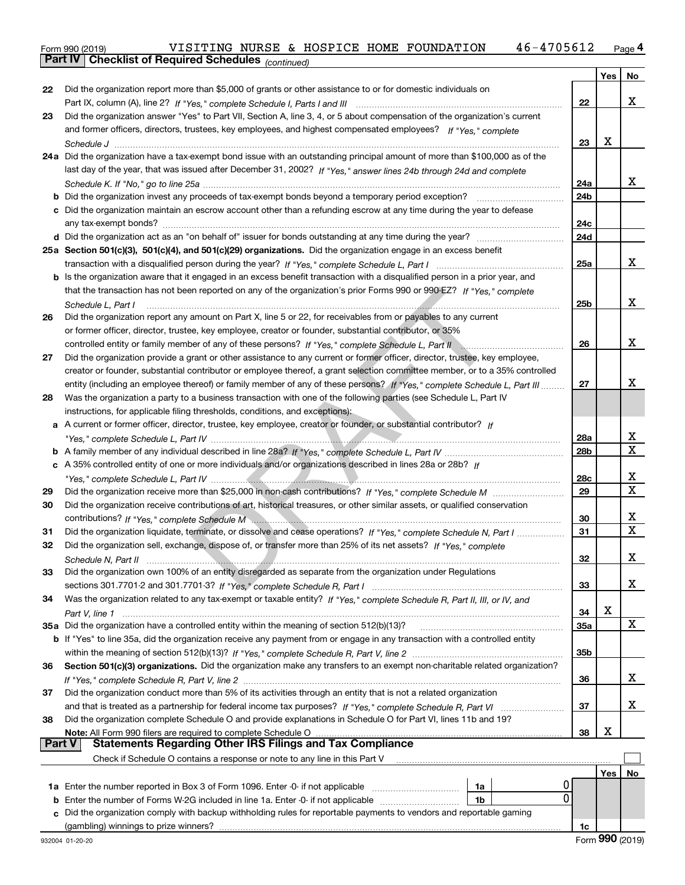| Form 990 (2019) |                                                              |  |  | VISITING NURSE & HOSPICE HOME FOUNDATION | 46-4705612 | Page 4 |
|-----------------|--------------------------------------------------------------|--|--|------------------------------------------|------------|--------|
|                 | <b>Part IV   Checklist of Required Schedules</b> (continued) |  |  |                                          |            |        |

|        | Pall IV  <br>Crieckist of Required Scriedules (continued)                                                                                                                                                                                             |     |     |             |
|--------|-------------------------------------------------------------------------------------------------------------------------------------------------------------------------------------------------------------------------------------------------------|-----|-----|-------------|
|        |                                                                                                                                                                                                                                                       |     | Yes | No          |
| 22     | Did the organization report more than \$5,000 of grants or other assistance to or for domestic individuals on                                                                                                                                         |     |     |             |
|        |                                                                                                                                                                                                                                                       | 22  |     | х           |
| 23     | Did the organization answer "Yes" to Part VII, Section A, line 3, 4, or 5 about compensation of the organization's current                                                                                                                            |     |     |             |
|        | and former officers, directors, trustees, key employees, and highest compensated employees? If "Yes." complete                                                                                                                                        |     |     |             |
|        |                                                                                                                                                                                                                                                       | 23  | x   |             |
|        | 24a Did the organization have a tax-exempt bond issue with an outstanding principal amount of more than \$100,000 as of the                                                                                                                           |     |     |             |
|        | last day of the year, that was issued after December 31, 2002? If "Yes," answer lines 24b through 24d and complete                                                                                                                                    |     |     |             |
|        |                                                                                                                                                                                                                                                       | 24a |     | х           |
|        | <b>b</b> Did the organization invest any proceeds of tax-exempt bonds beyond a temporary period exception?                                                                                                                                            | 24b |     |             |
|        | c Did the organization maintain an escrow account other than a refunding escrow at any time during the year to defease                                                                                                                                |     |     |             |
|        |                                                                                                                                                                                                                                                       | 24с |     |             |
|        |                                                                                                                                                                                                                                                       | 24d |     |             |
|        | 25a Section 501(c)(3), 501(c)(4), and 501(c)(29) organizations. Did the organization engage in an excess benefit                                                                                                                                      |     |     | х           |
|        |                                                                                                                                                                                                                                                       | 25a |     |             |
|        | b Is the organization aware that it engaged in an excess benefit transaction with a disqualified person in a prior year, and<br>that the transaction has not been reported on any of the organization's prior Forms 990 or 990-EZ? If "Yes," complete |     |     |             |
|        |                                                                                                                                                                                                                                                       | 25b |     | x           |
| 26     | Schedule L, Part I<br>Did the organization report any amount on Part X, line 5 or 22, for receivables from or payables to any current                                                                                                                 |     |     |             |
|        | or former officer, director, trustee, key employee, creator or founder, substantial contributor, or 35%                                                                                                                                               |     |     |             |
|        | controlled entity or family member of any of these persons? If "Yes," complete Schedule L, Part II controlled entity or family member of any of these persons? If "Yes," complete Schedule L, Part II                                                 | 26  |     | x           |
| 27     | Did the organization provide a grant or other assistance to any current or former officer, director, trustee, key employee,                                                                                                                           |     |     |             |
|        | creator or founder, substantial contributor or employee thereof, a grant selection committee member, or to a 35% controlled                                                                                                                           |     |     |             |
|        | entity (including an employee thereof) or family member of any of these persons? If "Yes," complete Schedule L, Part III                                                                                                                              | 27  |     | х           |
| 28     | Was the organization a party to a business transaction with one of the following parties (see Schedule L, Part IV                                                                                                                                     |     |     |             |
|        | instructions, for applicable filing thresholds, conditions, and exceptions):                                                                                                                                                                          |     |     |             |
|        | a A current or former officer, director, trustee, key employee, creator or founder, or substantial contributor? If                                                                                                                                    |     |     |             |
|        |                                                                                                                                                                                                                                                       | 28a |     | х           |
|        |                                                                                                                                                                                                                                                       | 28b |     | Х           |
|        | c A 35% controlled entity of one or more individuals and/or organizations described in lines 28a or 28b? If                                                                                                                                           |     |     |             |
|        |                                                                                                                                                                                                                                                       | 28c |     | х           |
| 29     |                                                                                                                                                                                                                                                       | 29  |     | $\mathbf X$ |
| 30     | Did the organization receive contributions of art, historical treasures, or other similar assets, or qualified conservation                                                                                                                           |     |     |             |
|        |                                                                                                                                                                                                                                                       | 30  |     | x           |
| 31     | Did the organization liquidate, terminate, or dissolve and cease operations? If "Yes," complete Schedule N, Part I                                                                                                                                    | 31  |     | X           |
| 32     | Did the organization sell, exchange, dispose of, or transfer more than 25% of its net assets? If "Yes," complete                                                                                                                                      |     |     |             |
|        | Schedule N. Part II                                                                                                                                                                                                                                   | 32  |     | х           |
| 33     | Did the organization own 100% of an entity disregarded as separate from the organization under Regulations                                                                                                                                            |     |     |             |
|        |                                                                                                                                                                                                                                                       | 33  |     | x           |
| 34     | Was the organization related to any tax-exempt or taxable entity? If "Yes," complete Schedule R, Part II, III, or IV, and                                                                                                                             |     |     |             |
|        |                                                                                                                                                                                                                                                       | 34  | х   |             |
|        | 35a Did the organization have a controlled entity within the meaning of section 512(b)(13)?                                                                                                                                                           | 35a |     | X           |
|        | <b>b</b> If "Yes" to line 35a, did the organization receive any payment from or engage in any transaction with a controlled entity                                                                                                                    |     |     |             |
|        |                                                                                                                                                                                                                                                       | 35b |     |             |
| 36     | Section 501(c)(3) organizations. Did the organization make any transfers to an exempt non-charitable related organization?                                                                                                                            |     |     |             |
|        |                                                                                                                                                                                                                                                       | 36  |     | x           |
| 37     | Did the organization conduct more than 5% of its activities through an entity that is not a related organization                                                                                                                                      |     |     |             |
|        | and that is treated as a partnership for federal income tax purposes? If "Yes," complete Schedule R, Part VI                                                                                                                                          | 37  |     | x           |
| 38     | Did the organization complete Schedule O and provide explanations in Schedule O for Part VI, lines 11b and 19?                                                                                                                                        |     |     |             |
| Part V | Note: All Form 990 filers are required to complete Schedule O<br>Statements Regarding Other IRS Filings and Tax Compliance                                                                                                                            | 38  | х   |             |
|        |                                                                                                                                                                                                                                                       |     |     |             |
|        | Check if Schedule O contains a response or note to any line in this Part V                                                                                                                                                                            |     |     |             |
|        |                                                                                                                                                                                                                                                       |     | Yes | No          |
|        | 1a<br>$\Omega$<br><b>b</b> Enter the number of Forms W-2G included in line 1a. Enter -0- if not applicable<br>1b                                                                                                                                      |     |     |             |
| c      | Did the organization comply with backup withholding rules for reportable payments to vendors and reportable gaming                                                                                                                                    |     |     |             |
|        | (gambling) winnings to prize winners?                                                                                                                                                                                                                 | 1c  |     |             |
|        |                                                                                                                                                                                                                                                       |     |     |             |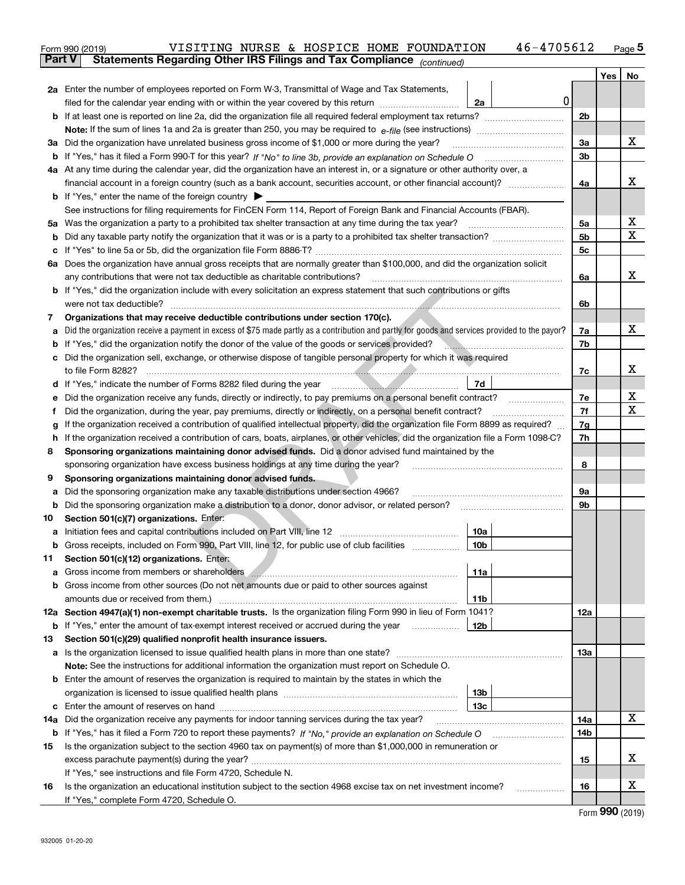|               | 46-4705612<br>VISITING NURSE & HOSPICE HOME FOUNDATION<br>Form 990 (2019)                                                                                                                                                                                 |                |     | $_{\text{Page}}$ 5 |  |  |  |  |  |  |  |
|---------------|-----------------------------------------------------------------------------------------------------------------------------------------------------------------------------------------------------------------------------------------------------------|----------------|-----|--------------------|--|--|--|--|--|--|--|
| <b>Part V</b> | Statements Regarding Other IRS Filings and Tax Compliance (continued)                                                                                                                                                                                     |                |     |                    |  |  |  |  |  |  |  |
|               |                                                                                                                                                                                                                                                           |                | Yes | No                 |  |  |  |  |  |  |  |
|               | 2a Enter the number of employees reported on Form W-3, Transmittal of Wage and Tax Statements,                                                                                                                                                            |                |     |                    |  |  |  |  |  |  |  |
|               | 0<br>filed for the calendar year ending with or within the year covered by this return <i>manumumumum</i><br>2a                                                                                                                                           |                |     |                    |  |  |  |  |  |  |  |
|               |                                                                                                                                                                                                                                                           | 2b             |     |                    |  |  |  |  |  |  |  |
|               |                                                                                                                                                                                                                                                           |                |     |                    |  |  |  |  |  |  |  |
|               | 3a Did the organization have unrelated business gross income of \$1,000 or more during the year?                                                                                                                                                          | 3a             |     | х                  |  |  |  |  |  |  |  |
|               |                                                                                                                                                                                                                                                           | 3b             |     |                    |  |  |  |  |  |  |  |
|               | 4a At any time during the calendar year, did the organization have an interest in, or a signature or other authority over, a                                                                                                                              |                |     |                    |  |  |  |  |  |  |  |
|               |                                                                                                                                                                                                                                                           |                |     |                    |  |  |  |  |  |  |  |
|               | <b>b</b> If "Yes," enter the name of the foreign country $\blacktriangleright$                                                                                                                                                                            |                |     |                    |  |  |  |  |  |  |  |
|               | See instructions for filing requirements for FinCEN Form 114, Report of Foreign Bank and Financial Accounts (FBAR).                                                                                                                                       |                |     |                    |  |  |  |  |  |  |  |
|               | 5a Was the organization a party to a prohibited tax shelter transaction at any time during the tax year?                                                                                                                                                  | 5а             |     | х                  |  |  |  |  |  |  |  |
|               |                                                                                                                                                                                                                                                           | 5 <sub>b</sub> |     | X                  |  |  |  |  |  |  |  |
|               |                                                                                                                                                                                                                                                           | 5c             |     |                    |  |  |  |  |  |  |  |
|               | 6a Does the organization have annual gross receipts that are normally greater than \$100,000, and did the organization solicit                                                                                                                            |                |     |                    |  |  |  |  |  |  |  |
|               | any contributions that were not tax deductible as charitable contributions?                                                                                                                                                                               | 6a             |     | x                  |  |  |  |  |  |  |  |
|               | <b>b</b> If "Yes," did the organization include with every solicitation an express statement that such contributions or gifts                                                                                                                             |                |     |                    |  |  |  |  |  |  |  |
|               | were not tax deductible?                                                                                                                                                                                                                                  | 6b             |     |                    |  |  |  |  |  |  |  |
| 7             | Organizations that may receive deductible contributions under section 170(c).                                                                                                                                                                             |                |     |                    |  |  |  |  |  |  |  |
|               | a Did the organization receive a payment in excess of \$75 made partly as a contribution and partly for goods and services provided to the payor?                                                                                                         | 7a             |     | х                  |  |  |  |  |  |  |  |
|               | <b>b</b> If "Yes," did the organization notify the donor of the value of the goods or services provided?<br><u> 1988 - Januar Alexandria, martin alexandria (h. 1988).</u>                                                                                | 7b             |     |                    |  |  |  |  |  |  |  |
|               | c Did the organization sell, exchange, or otherwise dispose of tangible personal property for which it was required                                                                                                                                       |                |     |                    |  |  |  |  |  |  |  |
|               |                                                                                                                                                                                                                                                           | 7c             |     | х                  |  |  |  |  |  |  |  |
|               | 7d                                                                                                                                                                                                                                                        |                |     |                    |  |  |  |  |  |  |  |
| е             |                                                                                                                                                                                                                                                           | 7е             |     | х                  |  |  |  |  |  |  |  |
| Ť.            | Did the organization, during the year, pay premiums, directly or indirectly, on a personal benefit contract?                                                                                                                                              | 7f             |     | х                  |  |  |  |  |  |  |  |
| g             | If the organization received a contribution of qualified intellectual property, did the organization file Form 8899 as required?                                                                                                                          | 7g             |     |                    |  |  |  |  |  |  |  |
| h.            | If the organization received a contribution of cars, boats, airplanes, or other vehicles, did the organization file a Form 1098-C?                                                                                                                        | 7h             |     |                    |  |  |  |  |  |  |  |
| 8             | Sponsoring organizations maintaining donor advised funds. Did a donor advised fund maintained by the                                                                                                                                                      |                |     |                    |  |  |  |  |  |  |  |
|               | sponsoring organization have excess business holdings at any time during the year?                                                                                                                                                                        | 8              |     |                    |  |  |  |  |  |  |  |
| 9             | Sponsoring organizations maintaining donor advised funds.                                                                                                                                                                                                 |                |     |                    |  |  |  |  |  |  |  |
| а             | Did the sponsoring organization make any taxable distributions under section 4966?                                                                                                                                                                        | 9а             |     |                    |  |  |  |  |  |  |  |
|               | <b>b</b> Did the sponsoring organization make a distribution to a donor, donor advisor, or related person?                                                                                                                                                | 9b             |     |                    |  |  |  |  |  |  |  |
| 10            | Section 501(c)(7) organizations. Enter:                                                                                                                                                                                                                   |                |     |                    |  |  |  |  |  |  |  |
|               | a Initiation fees and capital contributions included on Part VIII, line 12 [11] [11] [12] [11] [12] [11] [12] [11] [12] [11] [12] [11] [12] [11] [12] [11] [12] [11] [12] [11] [12] [11] [12] [11] [12] [11] [12] [11] [12] [1<br>10a<br> 10 <sub>b</sub> |                |     |                    |  |  |  |  |  |  |  |
|               | Gross receipts, included on Form 990, Part VIII, line 12, for public use of club facilities                                                                                                                                                               |                |     |                    |  |  |  |  |  |  |  |
| 11            | Section 501(c)(12) organizations. Enter:<br>11a                                                                                                                                                                                                           |                |     |                    |  |  |  |  |  |  |  |
|               | b Gross income from other sources (Do not net amounts due or paid to other sources against                                                                                                                                                                |                |     |                    |  |  |  |  |  |  |  |
|               | 11b                                                                                                                                                                                                                                                       |                |     |                    |  |  |  |  |  |  |  |
|               | 12a Section 4947(a)(1) non-exempt charitable trusts. Is the organization filing Form 990 in lieu of Form 1041?                                                                                                                                            | 12a            |     |                    |  |  |  |  |  |  |  |
|               | 12b<br><b>b</b> If "Yes," enter the amount of tax-exempt interest received or accrued during the year                                                                                                                                                     |                |     |                    |  |  |  |  |  |  |  |
| 13            | Section 501(c)(29) qualified nonprofit health insurance issuers.                                                                                                                                                                                          |                |     |                    |  |  |  |  |  |  |  |
|               | a Is the organization licensed to issue qualified health plans in more than one state?                                                                                                                                                                    | 13a            |     |                    |  |  |  |  |  |  |  |
|               | Note: See the instructions for additional information the organization must report on Schedule O.                                                                                                                                                         |                |     |                    |  |  |  |  |  |  |  |
|               | <b>b</b> Enter the amount of reserves the organization is required to maintain by the states in which the                                                                                                                                                 |                |     |                    |  |  |  |  |  |  |  |
|               | 13b                                                                                                                                                                                                                                                       |                |     |                    |  |  |  |  |  |  |  |
|               | 13с                                                                                                                                                                                                                                                       |                |     |                    |  |  |  |  |  |  |  |
| 14a           | Did the organization receive any payments for indoor tanning services during the tax year?                                                                                                                                                                | 14a            |     | x                  |  |  |  |  |  |  |  |
|               | <b>b</b> If "Yes," has it filed a Form 720 to report these payments? If "No," provide an explanation on Schedule O                                                                                                                                        | 14b            |     |                    |  |  |  |  |  |  |  |
| 15            | Is the organization subject to the section 4960 tax on payment(s) of more than \$1,000,000 in remuneration or                                                                                                                                             |                |     |                    |  |  |  |  |  |  |  |
|               |                                                                                                                                                                                                                                                           | 15             |     | x                  |  |  |  |  |  |  |  |
|               | If "Yes," see instructions and file Form 4720, Schedule N.                                                                                                                                                                                                |                |     |                    |  |  |  |  |  |  |  |
| 16            | Is the organization an educational institution subject to the section 4968 excise tax on net investment income?                                                                                                                                           | 16             |     | х                  |  |  |  |  |  |  |  |
|               | If "Yes," complete Form 4720, Schedule O.                                                                                                                                                                                                                 |                |     |                    |  |  |  |  |  |  |  |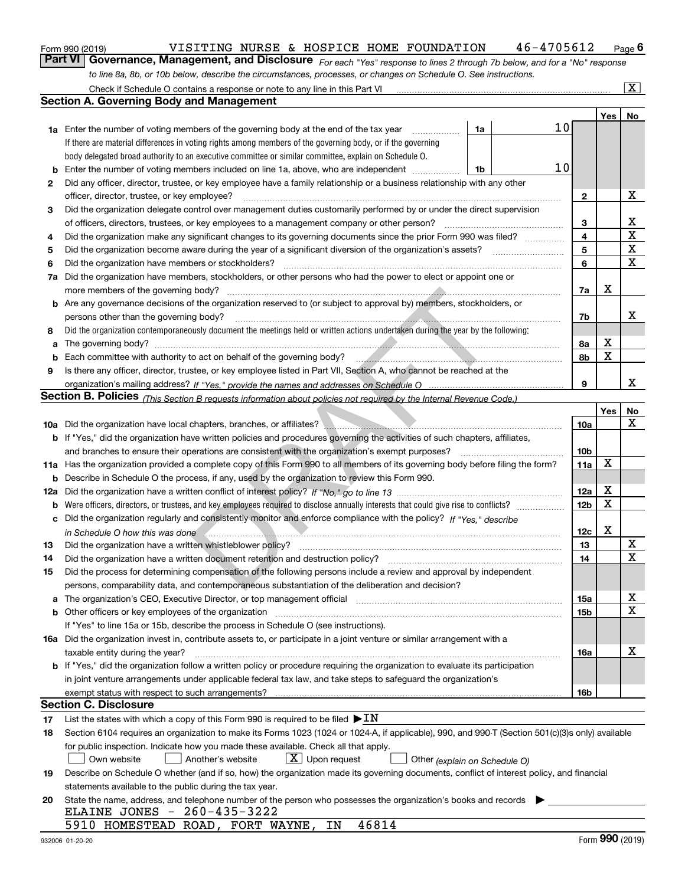|  | Form 990 (2019) |
|--|-----------------|
|  |                 |

### VISITING NURSE & HOSPICE HOME FOUNDATION  $46-4705612$  Page 6

*For each "Yes" response to lines 2 through 7b below, and for a "No" response* **6Part VI Governance, Management, and Disclosure**  VISITING NURSE & HOSPICE HOME FOUNDATION 46-4705612 *to line 8a, 8b, or 10b below, describe the circumstances, processes, or changes on Schedule O. See instructions.*

|     | Check if Schedule O contains a response or note to any line in this Part VI                                                                                                                                    |                 |             | $\overline{\mathbf{x}}$ |
|-----|----------------------------------------------------------------------------------------------------------------------------------------------------------------------------------------------------------------|-----------------|-------------|-------------------------|
|     | <b>Section A. Governing Body and Management</b>                                                                                                                                                                |                 |             |                         |
|     |                                                                                                                                                                                                                |                 | Yes         | No                      |
|     | 10<br>1a<br><b>1a</b> Enter the number of voting members of the governing body at the end of the tax year                                                                                                      |                 |             |                         |
|     | If there are material differences in voting rights among members of the governing body, or if the governing                                                                                                    |                 |             |                         |
|     | body delegated broad authority to an executive committee or similar committee, explain on Schedule O.                                                                                                          |                 |             |                         |
| b   | 10<br>Enter the number of voting members included on line 1a, above, who are independent<br>1b                                                                                                                 |                 |             |                         |
| 2   | Did any officer, director, trustee, or key employee have a family relationship or a business relationship with any other                                                                                       |                 |             |                         |
|     | officer, director, trustee, or key employee?                                                                                                                                                                   | $\mathbf{2}$    |             | х                       |
| 3   | Did the organization delegate control over management duties customarily performed by or under the direct supervision                                                                                          |                 |             |                         |
|     | of officers, directors, trustees, or key employees to a management company or other person?                                                                                                                    | 3               |             | х                       |
| 4   | Did the organization make any significant changes to its governing documents since the prior Form 990 was filed?                                                                                               | 4               |             | X                       |
| 5   | Did the organization become aware during the year of a significant diversion of the organization's assets?                                                                                                     | 5               |             | $\mathbf x$             |
| 6   | Did the organization have members or stockholders?                                                                                                                                                             | 6               |             | $\mathbf X$             |
| 7a  | Did the organization have members, stockholders, or other persons who had the power to elect or appoint one or                                                                                                 |                 |             |                         |
|     | more members of the governing body?                                                                                                                                                                            | 7a              | х           |                         |
|     | <b>b</b> Are any governance decisions of the organization reserved to (or subject to approval by) members, stockholders, or                                                                                    |                 |             |                         |
|     | persons other than the governing body?                                                                                                                                                                         | 7b              |             | x                       |
| 8   | Did the organization contemporaneously document the meetings held or written actions undertaken during the year by the following:                                                                              |                 |             |                         |
| a   |                                                                                                                                                                                                                | 8a              | X           |                         |
| b   |                                                                                                                                                                                                                | 8b              | $\mathbf X$ |                         |
| 9   | Is there any officer, director, trustee, or key employee listed in Part VII, Section A, who cannot be reached at the                                                                                           |                 |             |                         |
|     |                                                                                                                                                                                                                | 9               |             | x                       |
|     | Section B. Policies <sub>(This Section B requests information about policies not required by the Internal Revenue Code.)</sub>                                                                                 |                 |             |                         |
|     |                                                                                                                                                                                                                |                 | Yes         | No                      |
|     | 10a Did the organization have local chapters, branches, or affiliates?<br>10a Did the organization have local chapters, branches, or affiliates?                                                               | 10a             |             | X                       |
|     | b If "Yes," did the organization have written policies and procedures governing the activities of such chapters, affiliates,                                                                                   |                 |             |                         |
|     | and branches to ensure their operations are consistent with the organization's exempt purposes?                                                                                                                | 10 <sub>b</sub> |             |                         |
|     | 11a Has the organization provided a complete copy of this Form 990 to all members of its governing body before filing the form?                                                                                | 11a             | $\mathbf X$ |                         |
| b   | Describe in Schedule O the process, if any, used by the organization to review this Form 990.                                                                                                                  |                 |             |                         |
| 12a |                                                                                                                                                                                                                | 12a             | X           |                         |
| b   | Were officers, directors, or trustees, and key employees required to disclose annually interests that could give rise to conflicts?                                                                            | 12 <sub>b</sub> | $\mathbf X$ |                         |
| с   | Did the organization regularly and consistently monitor and enforce compliance with the policy? If "Yes," describe                                                                                             |                 |             |                         |
|     |                                                                                                                                                                                                                | 12c             | X           |                         |
| 13  | Did the organization have a written whistleblower policy?                                                                                                                                                      | 13              |             | X                       |
| 14  | Did the organization have a written document retention and destruction policy?                                                                                                                                 | 14              |             | $\overline{\mathbf{x}}$ |
| 15  | Did the process for determining compensation of the following persons include a review and approval by independent                                                                                             |                 |             |                         |
|     | persons, comparability data, and contemporaneous substantiation of the deliberation and decision?                                                                                                              |                 |             |                         |
| a   | The organization's CEO, Executive Director, or top management official manufactured content of the organization's CEO, Executive Director, or top management official                                          | 15a             |             | X                       |
|     | <b>b</b> Other officers or key employees of the organization                                                                                                                                                   | 15b             |             | $\mathbf x$             |
|     | If "Yes" to line 15a or 15b, describe the process in Schedule O (see instructions).                                                                                                                            |                 |             |                         |
|     | 16a Did the organization invest in, contribute assets to, or participate in a joint venture or similar arrangement with a                                                                                      |                 |             |                         |
|     | taxable entity during the year?                                                                                                                                                                                | 16a             |             | x                       |
|     | b If "Yes," did the organization follow a written policy or procedure requiring the organization to evaluate its participation                                                                                 |                 |             |                         |
|     | in joint venture arrangements under applicable federal tax law, and take steps to safeguard the organization's                                                                                                 |                 |             |                         |
|     | exempt status with respect to such arrangements?                                                                                                                                                               | 16b             |             |                         |
|     | Section C. Disclosure                                                                                                                                                                                          |                 |             |                         |
| 17  | List the states with which a copy of this Form 990 is required to be filed $\blacktriangleright$ IN                                                                                                            |                 |             |                         |
| 18  | Section 6104 requires an organization to make its Forms 1023 (1024 or 1024-A, if applicable), 990, and 990-T (Section 501(c)(3)s only) available                                                               |                 |             |                         |
|     | for public inspection. Indicate how you made these available. Check all that apply.<br>$\lfloor x \rfloor$ Upon request                                                                                        |                 |             |                         |
|     | Own website<br>Another's website<br>Other (explain on Schedule O)<br>Describe on Schedule O whether (and if so, how) the organization made its governing documents, conflict of interest policy, and financial |                 |             |                         |
| 19  | statements available to the public during the tax year.                                                                                                                                                        |                 |             |                         |
| 20  | State the name, address, and telephone number of the person who possesses the organization's books and records                                                                                                 |                 |             |                         |
|     | ELAINE JONES - 260-435-3222                                                                                                                                                                                    |                 |             |                         |
|     | 5910 HOMESTEAD ROAD, FORT WAYNE,<br>46814<br>IN                                                                                                                                                                |                 |             |                         |
|     |                                                                                                                                                                                                                |                 |             |                         |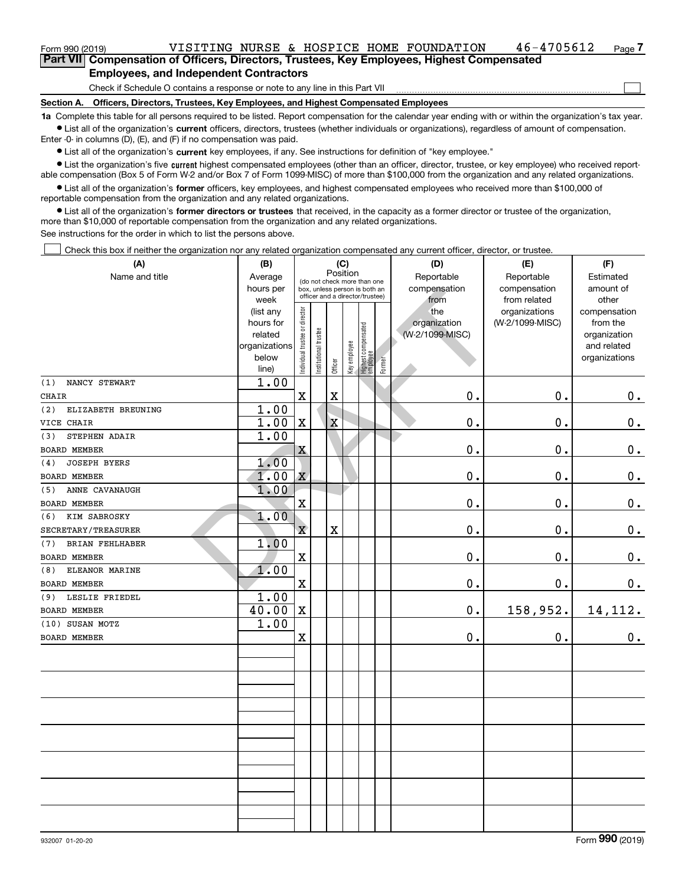### **Employees, and Independent Contractors**

Check if Schedule O contains a response or note to any line in this Part VII

**Section A. Officers, Directors, Trustees, Key Employees, and Highest Compensated Employees**

**1a**  Complete this table for all persons required to be listed. Report compensation for the calendar year ending with or within the organization's tax year. **•** List all of the organization's current officers, directors, trustees (whether individuals or organizations), regardless of amount of compensation.

Enter -0- in columns (D), (E), and (F) if no compensation was paid.

 $\bullet$  List all of the organization's  $\,$ current key employees, if any. See instructions for definition of "key employee."

• List the organization's five current highest compensated employees (other than an officer, director, trustee, or key employee) who received report-■ List the organization's five current highest compensated employees (other than an officer, director, trustee, or key employee) who received report-<br>able compensation (Box 5 of Form W-2 and/or Box 7 of Form 1099-MISC) of

**•** List all of the organization's former officers, key employees, and highest compensated employees who received more than \$100,000 of reportable compensation from the organization and any related organizations.

**former directors or trustees**  ¥ List all of the organization's that received, in the capacity as a former director or trustee of the organization, more than \$10,000 of reportable compensation from the organization and any related organizations.

See instructions for the order in which to list the persons above.

Check this box if neither the organization nor any related organization compensated any current officer, director, or trustee.  $\mathcal{L}^{\text{max}}$ 

| (A)                           | (B)                      |                                |                             |                                                                  | (C)          |                                 |        | (D)                             | (E)             | (F)                         |
|-------------------------------|--------------------------|--------------------------------|-----------------------------|------------------------------------------------------------------|--------------|---------------------------------|--------|---------------------------------|-----------------|-----------------------------|
| Name and title                | Average                  |                                | (do not check more than one | Position                                                         |              |                                 |        | Reportable                      | Reportable      | Estimated                   |
|                               | hours per                |                                |                             | box, unless person is both an<br>officer and a director/trustee) |              |                                 |        | compensation                    | compensation    | amount of                   |
|                               | week                     |                                |                             |                                                                  |              |                                 |        | from                            | from related    | other                       |
|                               | (list any                |                                |                             |                                                                  |              |                                 |        | the                             | organizations   | compensation                |
|                               | hours for                |                                |                             |                                                                  |              |                                 |        | organization<br>(W-2/1099-MISC) | (W-2/1099-MISC) | from the                    |
|                               | related<br>organizations |                                |                             |                                                                  |              |                                 |        |                                 |                 | organization<br>and related |
|                               | below                    |                                |                             |                                                                  |              |                                 |        |                                 |                 | organizations               |
|                               | line)                    | Individual trustee or director | Institutional trustee       | Officer                                                          | Key employee | Highest compensated<br>employee | Former |                                 |                 |                             |
| NANCY STEWART<br>(1)          | 1.00                     |                                |                             |                                                                  |              |                                 |        |                                 |                 |                             |
| <b>CHAIR</b>                  |                          | $\mathbf X$                    |                             | $\rm X$                                                          |              |                                 |        | 0.                              | 0.              | 0.                          |
| (2)<br>ELIZABETH BREUNING     | 1.00                     |                                |                             |                                                                  |              |                                 |        |                                 |                 |                             |
| VICE CHAIR                    | 1.00                     | $\mathbf x$                    |                             | X                                                                |              |                                 |        | 0.                              | 0.              | $\mathbf 0$ .               |
| STEPHEN ADAIR<br>(3)          | 1.00                     |                                |                             |                                                                  |              |                                 |        |                                 |                 |                             |
| BOARD MEMBER                  |                          | X                              |                             |                                                                  |              |                                 |        | 0.                              | $\mathbf 0$ .   | $\mathbf 0$ .               |
| <b>JOSEPH BYERS</b><br>(4)    | 1.00                     |                                |                             |                                                                  |              |                                 |        |                                 |                 |                             |
| <b>BOARD MEMBER</b>           | 1.00                     | X                              |                             |                                                                  |              |                                 |        | 0.                              | 0.              | $\mathbf 0$ .               |
| ANNE CAVANAUGH<br>(5)         | 1.00                     |                                |                             |                                                                  |              |                                 |        |                                 |                 |                             |
| <b>BOARD MEMBER</b>           |                          | $\mathbf X$                    |                             |                                                                  |              |                                 |        | 0.                              | 0.              | $0_{.}$                     |
| KIM SABROSKY<br>(6)           | 1.00                     |                                |                             |                                                                  |              |                                 |        |                                 |                 |                             |
| SECRETARY/TREASURER           |                          | $\mathbf X$                    |                             | $\mathbf X$                                                      |              |                                 |        | $\mathbf 0$ .                   | 0.              | $\mathbf 0$ .               |
| <b>BRIAN FEHLHABER</b><br>(7) | 1,00                     |                                |                             |                                                                  |              |                                 |        |                                 |                 |                             |
| <b>BOARD MEMBER</b>           |                          | $\rm X$                        |                             |                                                                  |              |                                 |        | $\mathbf 0$ .                   | $\mathbf 0$ .   | $\mathbf 0$ .               |
| ELEANOR MARINE<br>(8)         | 1.00                     |                                |                             |                                                                  |              |                                 |        |                                 |                 |                             |
| BOARD MEMBER                  |                          | $\mathbf x$                    |                             |                                                                  |              |                                 |        | 0.                              | $\mathbf 0$ .   | 0.                          |
| LESLIE FRIEDEL<br>(9)         | 1.00                     |                                |                             |                                                                  |              |                                 |        |                                 |                 |                             |
| BOARD MEMBER                  | 40.00                    | $\mathbf X$                    |                             |                                                                  |              |                                 |        | 0.                              | 158,952.        | 14, 112.                    |
| (10) SUSAN MOTZ               | 1.00                     |                                |                             |                                                                  |              |                                 |        |                                 |                 |                             |
| BOARD MEMBER                  |                          | $\mathbf x$                    |                             |                                                                  |              |                                 |        | 0.                              | 0.              | 0.                          |
|                               |                          |                                |                             |                                                                  |              |                                 |        |                                 |                 |                             |
|                               |                          |                                |                             |                                                                  |              |                                 |        |                                 |                 |                             |
|                               |                          |                                |                             |                                                                  |              |                                 |        |                                 |                 |                             |
|                               |                          |                                |                             |                                                                  |              |                                 |        |                                 |                 |                             |
|                               |                          |                                |                             |                                                                  |              |                                 |        |                                 |                 |                             |
|                               |                          |                                |                             |                                                                  |              |                                 |        |                                 |                 |                             |
|                               |                          |                                |                             |                                                                  |              |                                 |        |                                 |                 |                             |
|                               |                          |                                |                             |                                                                  |              |                                 |        |                                 |                 |                             |
|                               |                          |                                |                             |                                                                  |              |                                 |        |                                 |                 |                             |
|                               |                          |                                |                             |                                                                  |              |                                 |        |                                 |                 |                             |
|                               |                          |                                |                             |                                                                  |              |                                 |        |                                 |                 |                             |
|                               |                          |                                |                             |                                                                  |              |                                 |        |                                 |                 |                             |

 $\mathcal{L}^{\text{max}}$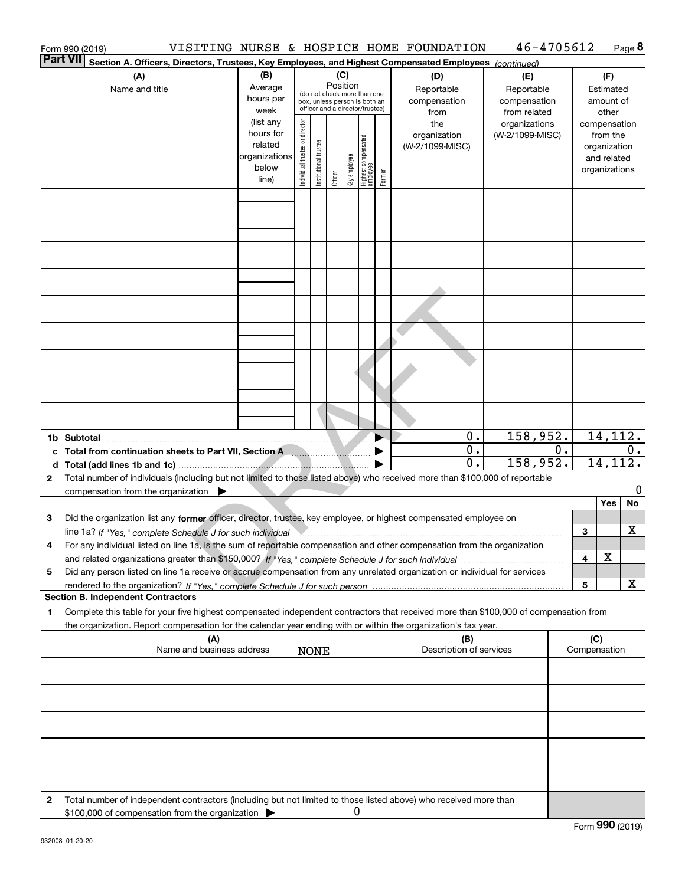|              | Form 990 (2019)                           |                                                                                                                                                                                                                                     |                                                                      |                                |                                                                                                                    |         |              |                                   |        | VISITING NURSE & HOSPICE HOME FOUNDATION  | 46-4705612                                        |    |                             |                                                                          | Page 8  |
|--------------|-------------------------------------------|-------------------------------------------------------------------------------------------------------------------------------------------------------------------------------------------------------------------------------------|----------------------------------------------------------------------|--------------------------------|--------------------------------------------------------------------------------------------------------------------|---------|--------------|-----------------------------------|--------|-------------------------------------------|---------------------------------------------------|----|-----------------------------|--------------------------------------------------------------------------|---------|
|              | <b>Part VII</b>                           | Section A. Officers, Directors, Trustees, Key Employees, and Highest Compensated Employees (continued)                                                                                                                              |                                                                      |                                |                                                                                                                    |         |              |                                   |        |                                           |                                                   |    |                             |                                                                          |         |
|              |                                           | (A)<br>Name and title                                                                                                                                                                                                               | (B)<br>Average<br>hours per<br>week                                  |                                | (C)<br>Position<br>(do not check more than one<br>box, unless person is both an<br>officer and a director/trustee) |         |              |                                   |        | (D)<br>Reportable<br>compensation<br>from | (E)<br>Reportable<br>compensation<br>from related |    |                             | (F)<br>Estimated<br>amount of<br>other                                   |         |
|              |                                           |                                                                                                                                                                                                                                     | (list any<br>hours for<br>related<br>organizations<br>below<br>line) | Individual trustee or director | Institutional trustee                                                                                              | Officer | Key employee | Highest compensated<br>  employee | Former | the<br>organization<br>(W-2/1099-MISC)    | organizations<br>(W-2/1099-MISC)                  |    |                             | compensation<br>from the<br>organization<br>and related<br>organizations |         |
|              |                                           |                                                                                                                                                                                                                                     |                                                                      |                                |                                                                                                                    |         |              |                                   |        |                                           |                                                   |    |                             |                                                                          |         |
|              |                                           |                                                                                                                                                                                                                                     |                                                                      |                                |                                                                                                                    |         |              |                                   |        |                                           |                                                   |    |                             |                                                                          |         |
|              |                                           |                                                                                                                                                                                                                                     |                                                                      |                                |                                                                                                                    |         |              |                                   |        |                                           |                                                   |    |                             |                                                                          |         |
|              |                                           |                                                                                                                                                                                                                                     |                                                                      |                                |                                                                                                                    |         |              |                                   |        |                                           |                                                   |    |                             |                                                                          |         |
|              |                                           |                                                                                                                                                                                                                                     |                                                                      |                                |                                                                                                                    |         |              |                                   |        |                                           |                                                   |    |                             |                                                                          |         |
|              |                                           | c Total from continuation sheets to Part VII, Section A                                                                                                                                                                             |                                                                      |                                |                                                                                                                    |         |              |                                   |        | 0.<br>0.                                  | 158,952.                                          | 0. |                             | 14, 112.                                                                 | $0$ .   |
|              |                                           |                                                                                                                                                                                                                                     |                                                                      |                                |                                                                                                                    |         |              |                                   |        | 0.                                        | 158,952.                                          |    |                             | 14, 112.                                                                 |         |
| $\mathbf{2}$ |                                           | Total number of individuals (including but not limited to those listed above) who received more than \$100,000 of reportable<br>compensation from the organization $\blacktriangleright$                                            |                                                                      |                                |                                                                                                                    |         |              |                                   |        |                                           |                                                   |    |                             | Yes                                                                      | 0<br>No |
| 3            |                                           | Did the organization list any former officer, director, trustee, key employee, or highest compensated employee on<br>line 1a? If "Yes," complete Schedule J for such individual Manument and the communication of the State Communi |                                                                      |                                |                                                                                                                    |         |              |                                   |        |                                           |                                                   |    | 3                           |                                                                          | х       |
|              |                                           | For any individual listed on line 1a, is the sum of reportable compensation and other compensation from the organization                                                                                                            |                                                                      |                                |                                                                                                                    |         |              |                                   |        |                                           |                                                   |    | 4                           | X                                                                        |         |
| 5            |                                           | Did any person listed on line 1a receive or accrue compensation from any unrelated organization or individual for services                                                                                                          |                                                                      |                                |                                                                                                                    |         |              |                                   |        |                                           |                                                   |    | 5                           |                                                                          | x       |
| 1            | <b>Section B. Independent Contractors</b> | Complete this table for your five highest compensated independent contractors that received more than \$100,000 of compensation from                                                                                                |                                                                      |                                |                                                                                                                    |         |              |                                   |        |                                           |                                                   |    |                             |                                                                          |         |
|              |                                           | the organization. Report compensation for the calendar year ending with or within the organization's tax year.                                                                                                                      |                                                                      |                                |                                                                                                                    |         |              |                                   |        |                                           |                                                   |    |                             |                                                                          |         |
|              |                                           | (A)<br>Name and business address                                                                                                                                                                                                    |                                                                      |                                | <b>NONE</b>                                                                                                        |         |              |                                   |        | (B)<br>Description of services            |                                                   |    | (C)<br>Compensation         |                                                                          |         |
|              |                                           |                                                                                                                                                                                                                                     |                                                                      |                                |                                                                                                                    |         |              |                                   |        |                                           |                                                   |    |                             |                                                                          |         |
|              |                                           |                                                                                                                                                                                                                                     |                                                                      |                                |                                                                                                                    |         |              |                                   |        |                                           |                                                   |    |                             |                                                                          |         |
|              |                                           |                                                                                                                                                                                                                                     |                                                                      |                                |                                                                                                                    |         |              |                                   |        |                                           |                                                   |    |                             |                                                                          |         |
|              |                                           |                                                                                                                                                                                                                                     |                                                                      |                                |                                                                                                                    |         |              |                                   |        |                                           |                                                   |    |                             |                                                                          |         |
| 2            |                                           | Total number of independent contractors (including but not limited to those listed above) who received more than<br>\$100,000 of compensation from the organization                                                                 |                                                                      |                                |                                                                                                                    |         | 0            |                                   |        |                                           |                                                   |    | $F_{\text{arm}}$ 990 (2010) |                                                                          |         |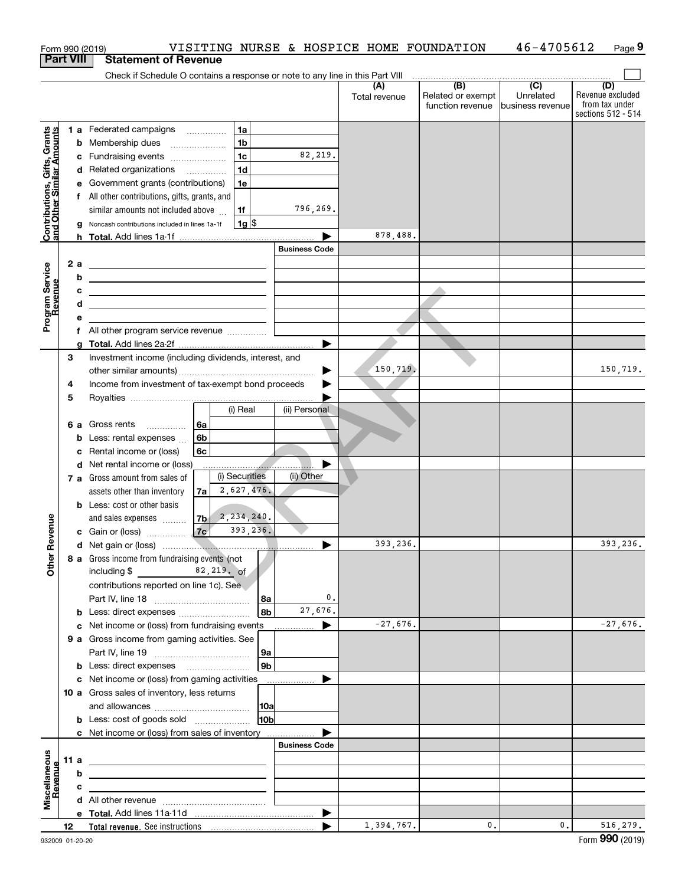| <b>Part VIII</b><br>Check if Schedule O contains a response or note to any line in this Part VIII<br>(B)<br>$\overline{(C)}$<br>(D)<br>(A)<br>Unrelated<br>Related or exempt<br>Total revenue<br>function revenue<br>business revenue<br>1a<br>1 a Federated campaigns<br>Contributions, Gifts, Grants<br>and Other Similar Amounts<br>1 <sub>b</sub><br><b>b</b> Membership dues<br>$\ldots \ldots \ldots \ldots \ldots$<br>82,219.<br>1 <sub>c</sub><br>c Fundraising events<br>1 <sub>d</sub><br>d Related organizations<br>e Government grants (contributions)<br>1e<br>f All other contributions, gifts, grants, and<br>796,269.<br>similar amounts not included above<br>1f<br>$1g$ \$<br>g Noncash contributions included in lines 1a-1f<br>878,488.<br><b>Business Code</b><br>2a<br>Program Service<br>Revenue<br><u> 1980 - Johann Barn, mars ann an t-Amhain Aonaich an t-Aonaich an t-Aonaich an t-Aonaich an t-Aonaich ann an t-</u><br>b<br>с<br>d<br><u> 1989 - Johann Barn, mars ann an t-Amhain ann an t-Amhain an t-Amhain an t-Amhain an t-Amhain an t-Amhain an t-</u><br>е<br>f All other program service revenue<br>3<br>Investment income (including dividends, interest, and<br>150,719.<br>▶<br>Income from investment of tax-exempt bond proceeds<br>4<br>5<br>(i) Real<br>(ii) Personal<br>6 a Gross rents<br>6a<br>6 <sub>b</sub><br><b>b</b> Less: rental expenses<br>6c<br>c Rental income or (loss)<br>d Net rental income or (loss)<br>(i) Securities<br>(ii) Other<br>7 a Gross amount from sales of<br>2,627,476.<br>assets other than inventory<br>7a<br><b>b</b> Less: cost or other basis<br>2,234,240.<br>evenue<br>and sales expenses<br>7b<br>393,236.<br>7c<br>c Gain or (loss)<br>393,236.<br>č<br>Other<br>8 a Gross income from fundraising events (not<br>$82,219,$ of<br>including \$<br>contributions reported on line 1c). See<br>0.<br>Part IV, line 18<br>  8a<br>27,676.<br>8b<br><b>b</b> Less: direct expenses<br>$-27,676.$<br>c Net income or (loss) from fundraising events<br>9 a Gross income from gaming activities. See<br>9a<br>9b<br>c Net income or (loss) from gaming activities _______________<br>10 a Gross sales of inventory, less returns<br> 10a<br>10 <sub>b</sub><br><b>b</b> Less: cost of goods sold<br>c Net income or (loss) from sales of inventory<br><b>Business Code</b><br>Miscellaneous<br>Revenue<br>11 a<br>b<br>c<br>▶<br>1,394,767.<br>0.<br>0.<br>Total revenue. See instructions [100] [100] [100] [100] [100] [100] [100] [100] [100] [100] [100] [100] [100] [100] [100] [100] [100] [100] [100] [100] [100] [100] [100] [100] [100] [100] [100] [100] [100] [100] [100] [100<br>12<br>Form 990 (2019)<br>932009 01-20-20 |  |  | VISITING NURSE & HOSPICE HOME FOUNDATION<br>Form 990 (2019) |  | 46-4705612 | Page 9                                                   |
|----------------------------------------------------------------------------------------------------------------------------------------------------------------------------------------------------------------------------------------------------------------------------------------------------------------------------------------------------------------------------------------------------------------------------------------------------------------------------------------------------------------------------------------------------------------------------------------------------------------------------------------------------------------------------------------------------------------------------------------------------------------------------------------------------------------------------------------------------------------------------------------------------------------------------------------------------------------------------------------------------------------------------------------------------------------------------------------------------------------------------------------------------------------------------------------------------------------------------------------------------------------------------------------------------------------------------------------------------------------------------------------------------------------------------------------------------------------------------------------------------------------------------------------------------------------------------------------------------------------------------------------------------------------------------------------------------------------------------------------------------------------------------------------------------------------------------------------------------------------------------------------------------------------------------------------------------------------------------------------------------------------------------------------------------------------------------------------------------------------------------------------------------------------------------------------------------------------------------------------------------------------------------------------------------------------------------------------------------------------------------------------------------------------------------------------------------------------------------------------------------------------------------------------------------------------------------------------------------------------------------------------------------------------------------------------------------------------------|--|--|-------------------------------------------------------------|--|------------|----------------------------------------------------------|
|                                                                                                                                                                                                                                                                                                                                                                                                                                                                                                                                                                                                                                                                                                                                                                                                                                                                                                                                                                                                                                                                                                                                                                                                                                                                                                                                                                                                                                                                                                                                                                                                                                                                                                                                                                                                                                                                                                                                                                                                                                                                                                                                                                                                                                                                                                                                                                                                                                                                                                                                                                                                                                                                                                                      |  |  | <b>Statement of Revenue</b>                                 |  |            |                                                          |
|                                                                                                                                                                                                                                                                                                                                                                                                                                                                                                                                                                                                                                                                                                                                                                                                                                                                                                                                                                                                                                                                                                                                                                                                                                                                                                                                                                                                                                                                                                                                                                                                                                                                                                                                                                                                                                                                                                                                                                                                                                                                                                                                                                                                                                                                                                                                                                                                                                                                                                                                                                                                                                                                                                                      |  |  |                                                             |  |            |                                                          |
|                                                                                                                                                                                                                                                                                                                                                                                                                                                                                                                                                                                                                                                                                                                                                                                                                                                                                                                                                                                                                                                                                                                                                                                                                                                                                                                                                                                                                                                                                                                                                                                                                                                                                                                                                                                                                                                                                                                                                                                                                                                                                                                                                                                                                                                                                                                                                                                                                                                                                                                                                                                                                                                                                                                      |  |  |                                                             |  |            | Revenue excluded<br>from tax under<br>sections 512 - 514 |
|                                                                                                                                                                                                                                                                                                                                                                                                                                                                                                                                                                                                                                                                                                                                                                                                                                                                                                                                                                                                                                                                                                                                                                                                                                                                                                                                                                                                                                                                                                                                                                                                                                                                                                                                                                                                                                                                                                                                                                                                                                                                                                                                                                                                                                                                                                                                                                                                                                                                                                                                                                                                                                                                                                                      |  |  |                                                             |  |            |                                                          |
|                                                                                                                                                                                                                                                                                                                                                                                                                                                                                                                                                                                                                                                                                                                                                                                                                                                                                                                                                                                                                                                                                                                                                                                                                                                                                                                                                                                                                                                                                                                                                                                                                                                                                                                                                                                                                                                                                                                                                                                                                                                                                                                                                                                                                                                                                                                                                                                                                                                                                                                                                                                                                                                                                                                      |  |  |                                                             |  |            |                                                          |
|                                                                                                                                                                                                                                                                                                                                                                                                                                                                                                                                                                                                                                                                                                                                                                                                                                                                                                                                                                                                                                                                                                                                                                                                                                                                                                                                                                                                                                                                                                                                                                                                                                                                                                                                                                                                                                                                                                                                                                                                                                                                                                                                                                                                                                                                                                                                                                                                                                                                                                                                                                                                                                                                                                                      |  |  |                                                             |  |            |                                                          |
|                                                                                                                                                                                                                                                                                                                                                                                                                                                                                                                                                                                                                                                                                                                                                                                                                                                                                                                                                                                                                                                                                                                                                                                                                                                                                                                                                                                                                                                                                                                                                                                                                                                                                                                                                                                                                                                                                                                                                                                                                                                                                                                                                                                                                                                                                                                                                                                                                                                                                                                                                                                                                                                                                                                      |  |  |                                                             |  |            |                                                          |
|                                                                                                                                                                                                                                                                                                                                                                                                                                                                                                                                                                                                                                                                                                                                                                                                                                                                                                                                                                                                                                                                                                                                                                                                                                                                                                                                                                                                                                                                                                                                                                                                                                                                                                                                                                                                                                                                                                                                                                                                                                                                                                                                                                                                                                                                                                                                                                                                                                                                                                                                                                                                                                                                                                                      |  |  |                                                             |  |            |                                                          |
|                                                                                                                                                                                                                                                                                                                                                                                                                                                                                                                                                                                                                                                                                                                                                                                                                                                                                                                                                                                                                                                                                                                                                                                                                                                                                                                                                                                                                                                                                                                                                                                                                                                                                                                                                                                                                                                                                                                                                                                                                                                                                                                                                                                                                                                                                                                                                                                                                                                                                                                                                                                                                                                                                                                      |  |  |                                                             |  |            |                                                          |
|                                                                                                                                                                                                                                                                                                                                                                                                                                                                                                                                                                                                                                                                                                                                                                                                                                                                                                                                                                                                                                                                                                                                                                                                                                                                                                                                                                                                                                                                                                                                                                                                                                                                                                                                                                                                                                                                                                                                                                                                                                                                                                                                                                                                                                                                                                                                                                                                                                                                                                                                                                                                                                                                                                                      |  |  |                                                             |  |            |                                                          |
|                                                                                                                                                                                                                                                                                                                                                                                                                                                                                                                                                                                                                                                                                                                                                                                                                                                                                                                                                                                                                                                                                                                                                                                                                                                                                                                                                                                                                                                                                                                                                                                                                                                                                                                                                                                                                                                                                                                                                                                                                                                                                                                                                                                                                                                                                                                                                                                                                                                                                                                                                                                                                                                                                                                      |  |  |                                                             |  |            |                                                          |
|                                                                                                                                                                                                                                                                                                                                                                                                                                                                                                                                                                                                                                                                                                                                                                                                                                                                                                                                                                                                                                                                                                                                                                                                                                                                                                                                                                                                                                                                                                                                                                                                                                                                                                                                                                                                                                                                                                                                                                                                                                                                                                                                                                                                                                                                                                                                                                                                                                                                                                                                                                                                                                                                                                                      |  |  |                                                             |  |            |                                                          |
|                                                                                                                                                                                                                                                                                                                                                                                                                                                                                                                                                                                                                                                                                                                                                                                                                                                                                                                                                                                                                                                                                                                                                                                                                                                                                                                                                                                                                                                                                                                                                                                                                                                                                                                                                                                                                                                                                                                                                                                                                                                                                                                                                                                                                                                                                                                                                                                                                                                                                                                                                                                                                                                                                                                      |  |  |                                                             |  |            |                                                          |
|                                                                                                                                                                                                                                                                                                                                                                                                                                                                                                                                                                                                                                                                                                                                                                                                                                                                                                                                                                                                                                                                                                                                                                                                                                                                                                                                                                                                                                                                                                                                                                                                                                                                                                                                                                                                                                                                                                                                                                                                                                                                                                                                                                                                                                                                                                                                                                                                                                                                                                                                                                                                                                                                                                                      |  |  |                                                             |  |            |                                                          |
|                                                                                                                                                                                                                                                                                                                                                                                                                                                                                                                                                                                                                                                                                                                                                                                                                                                                                                                                                                                                                                                                                                                                                                                                                                                                                                                                                                                                                                                                                                                                                                                                                                                                                                                                                                                                                                                                                                                                                                                                                                                                                                                                                                                                                                                                                                                                                                                                                                                                                                                                                                                                                                                                                                                      |  |  |                                                             |  |            |                                                          |
|                                                                                                                                                                                                                                                                                                                                                                                                                                                                                                                                                                                                                                                                                                                                                                                                                                                                                                                                                                                                                                                                                                                                                                                                                                                                                                                                                                                                                                                                                                                                                                                                                                                                                                                                                                                                                                                                                                                                                                                                                                                                                                                                                                                                                                                                                                                                                                                                                                                                                                                                                                                                                                                                                                                      |  |  |                                                             |  |            |                                                          |
|                                                                                                                                                                                                                                                                                                                                                                                                                                                                                                                                                                                                                                                                                                                                                                                                                                                                                                                                                                                                                                                                                                                                                                                                                                                                                                                                                                                                                                                                                                                                                                                                                                                                                                                                                                                                                                                                                                                                                                                                                                                                                                                                                                                                                                                                                                                                                                                                                                                                                                                                                                                                                                                                                                                      |  |  |                                                             |  |            |                                                          |
|                                                                                                                                                                                                                                                                                                                                                                                                                                                                                                                                                                                                                                                                                                                                                                                                                                                                                                                                                                                                                                                                                                                                                                                                                                                                                                                                                                                                                                                                                                                                                                                                                                                                                                                                                                                                                                                                                                                                                                                                                                                                                                                                                                                                                                                                                                                                                                                                                                                                                                                                                                                                                                                                                                                      |  |  |                                                             |  |            |                                                          |
|                                                                                                                                                                                                                                                                                                                                                                                                                                                                                                                                                                                                                                                                                                                                                                                                                                                                                                                                                                                                                                                                                                                                                                                                                                                                                                                                                                                                                                                                                                                                                                                                                                                                                                                                                                                                                                                                                                                                                                                                                                                                                                                                                                                                                                                                                                                                                                                                                                                                                                                                                                                                                                                                                                                      |  |  |                                                             |  |            |                                                          |
|                                                                                                                                                                                                                                                                                                                                                                                                                                                                                                                                                                                                                                                                                                                                                                                                                                                                                                                                                                                                                                                                                                                                                                                                                                                                                                                                                                                                                                                                                                                                                                                                                                                                                                                                                                                                                                                                                                                                                                                                                                                                                                                                                                                                                                                                                                                                                                                                                                                                                                                                                                                                                                                                                                                      |  |  |                                                             |  |            |                                                          |
|                                                                                                                                                                                                                                                                                                                                                                                                                                                                                                                                                                                                                                                                                                                                                                                                                                                                                                                                                                                                                                                                                                                                                                                                                                                                                                                                                                                                                                                                                                                                                                                                                                                                                                                                                                                                                                                                                                                                                                                                                                                                                                                                                                                                                                                                                                                                                                                                                                                                                                                                                                                                                                                                                                                      |  |  |                                                             |  |            |                                                          |
|                                                                                                                                                                                                                                                                                                                                                                                                                                                                                                                                                                                                                                                                                                                                                                                                                                                                                                                                                                                                                                                                                                                                                                                                                                                                                                                                                                                                                                                                                                                                                                                                                                                                                                                                                                                                                                                                                                                                                                                                                                                                                                                                                                                                                                                                                                                                                                                                                                                                                                                                                                                                                                                                                                                      |  |  |                                                             |  |            | 150,719.                                                 |
|                                                                                                                                                                                                                                                                                                                                                                                                                                                                                                                                                                                                                                                                                                                                                                                                                                                                                                                                                                                                                                                                                                                                                                                                                                                                                                                                                                                                                                                                                                                                                                                                                                                                                                                                                                                                                                                                                                                                                                                                                                                                                                                                                                                                                                                                                                                                                                                                                                                                                                                                                                                                                                                                                                                      |  |  |                                                             |  |            |                                                          |
|                                                                                                                                                                                                                                                                                                                                                                                                                                                                                                                                                                                                                                                                                                                                                                                                                                                                                                                                                                                                                                                                                                                                                                                                                                                                                                                                                                                                                                                                                                                                                                                                                                                                                                                                                                                                                                                                                                                                                                                                                                                                                                                                                                                                                                                                                                                                                                                                                                                                                                                                                                                                                                                                                                                      |  |  |                                                             |  |            |                                                          |
|                                                                                                                                                                                                                                                                                                                                                                                                                                                                                                                                                                                                                                                                                                                                                                                                                                                                                                                                                                                                                                                                                                                                                                                                                                                                                                                                                                                                                                                                                                                                                                                                                                                                                                                                                                                                                                                                                                                                                                                                                                                                                                                                                                                                                                                                                                                                                                                                                                                                                                                                                                                                                                                                                                                      |  |  |                                                             |  |            |                                                          |
|                                                                                                                                                                                                                                                                                                                                                                                                                                                                                                                                                                                                                                                                                                                                                                                                                                                                                                                                                                                                                                                                                                                                                                                                                                                                                                                                                                                                                                                                                                                                                                                                                                                                                                                                                                                                                                                                                                                                                                                                                                                                                                                                                                                                                                                                                                                                                                                                                                                                                                                                                                                                                                                                                                                      |  |  |                                                             |  |            |                                                          |
|                                                                                                                                                                                                                                                                                                                                                                                                                                                                                                                                                                                                                                                                                                                                                                                                                                                                                                                                                                                                                                                                                                                                                                                                                                                                                                                                                                                                                                                                                                                                                                                                                                                                                                                                                                                                                                                                                                                                                                                                                                                                                                                                                                                                                                                                                                                                                                                                                                                                                                                                                                                                                                                                                                                      |  |  |                                                             |  |            |                                                          |
|                                                                                                                                                                                                                                                                                                                                                                                                                                                                                                                                                                                                                                                                                                                                                                                                                                                                                                                                                                                                                                                                                                                                                                                                                                                                                                                                                                                                                                                                                                                                                                                                                                                                                                                                                                                                                                                                                                                                                                                                                                                                                                                                                                                                                                                                                                                                                                                                                                                                                                                                                                                                                                                                                                                      |  |  |                                                             |  |            |                                                          |
|                                                                                                                                                                                                                                                                                                                                                                                                                                                                                                                                                                                                                                                                                                                                                                                                                                                                                                                                                                                                                                                                                                                                                                                                                                                                                                                                                                                                                                                                                                                                                                                                                                                                                                                                                                                                                                                                                                                                                                                                                                                                                                                                                                                                                                                                                                                                                                                                                                                                                                                                                                                                                                                                                                                      |  |  |                                                             |  |            |                                                          |
|                                                                                                                                                                                                                                                                                                                                                                                                                                                                                                                                                                                                                                                                                                                                                                                                                                                                                                                                                                                                                                                                                                                                                                                                                                                                                                                                                                                                                                                                                                                                                                                                                                                                                                                                                                                                                                                                                                                                                                                                                                                                                                                                                                                                                                                                                                                                                                                                                                                                                                                                                                                                                                                                                                                      |  |  |                                                             |  |            |                                                          |
|                                                                                                                                                                                                                                                                                                                                                                                                                                                                                                                                                                                                                                                                                                                                                                                                                                                                                                                                                                                                                                                                                                                                                                                                                                                                                                                                                                                                                                                                                                                                                                                                                                                                                                                                                                                                                                                                                                                                                                                                                                                                                                                                                                                                                                                                                                                                                                                                                                                                                                                                                                                                                                                                                                                      |  |  |                                                             |  |            |                                                          |
|                                                                                                                                                                                                                                                                                                                                                                                                                                                                                                                                                                                                                                                                                                                                                                                                                                                                                                                                                                                                                                                                                                                                                                                                                                                                                                                                                                                                                                                                                                                                                                                                                                                                                                                                                                                                                                                                                                                                                                                                                                                                                                                                                                                                                                                                                                                                                                                                                                                                                                                                                                                                                                                                                                                      |  |  |                                                             |  |            |                                                          |
|                                                                                                                                                                                                                                                                                                                                                                                                                                                                                                                                                                                                                                                                                                                                                                                                                                                                                                                                                                                                                                                                                                                                                                                                                                                                                                                                                                                                                                                                                                                                                                                                                                                                                                                                                                                                                                                                                                                                                                                                                                                                                                                                                                                                                                                                                                                                                                                                                                                                                                                                                                                                                                                                                                                      |  |  |                                                             |  |            |                                                          |
|                                                                                                                                                                                                                                                                                                                                                                                                                                                                                                                                                                                                                                                                                                                                                                                                                                                                                                                                                                                                                                                                                                                                                                                                                                                                                                                                                                                                                                                                                                                                                                                                                                                                                                                                                                                                                                                                                                                                                                                                                                                                                                                                                                                                                                                                                                                                                                                                                                                                                                                                                                                                                                                                                                                      |  |  |                                                             |  |            |                                                          |
|                                                                                                                                                                                                                                                                                                                                                                                                                                                                                                                                                                                                                                                                                                                                                                                                                                                                                                                                                                                                                                                                                                                                                                                                                                                                                                                                                                                                                                                                                                                                                                                                                                                                                                                                                                                                                                                                                                                                                                                                                                                                                                                                                                                                                                                                                                                                                                                                                                                                                                                                                                                                                                                                                                                      |  |  |                                                             |  |            | 393,236.                                                 |
|                                                                                                                                                                                                                                                                                                                                                                                                                                                                                                                                                                                                                                                                                                                                                                                                                                                                                                                                                                                                                                                                                                                                                                                                                                                                                                                                                                                                                                                                                                                                                                                                                                                                                                                                                                                                                                                                                                                                                                                                                                                                                                                                                                                                                                                                                                                                                                                                                                                                                                                                                                                                                                                                                                                      |  |  |                                                             |  |            |                                                          |
|                                                                                                                                                                                                                                                                                                                                                                                                                                                                                                                                                                                                                                                                                                                                                                                                                                                                                                                                                                                                                                                                                                                                                                                                                                                                                                                                                                                                                                                                                                                                                                                                                                                                                                                                                                                                                                                                                                                                                                                                                                                                                                                                                                                                                                                                                                                                                                                                                                                                                                                                                                                                                                                                                                                      |  |  |                                                             |  |            |                                                          |
|                                                                                                                                                                                                                                                                                                                                                                                                                                                                                                                                                                                                                                                                                                                                                                                                                                                                                                                                                                                                                                                                                                                                                                                                                                                                                                                                                                                                                                                                                                                                                                                                                                                                                                                                                                                                                                                                                                                                                                                                                                                                                                                                                                                                                                                                                                                                                                                                                                                                                                                                                                                                                                                                                                                      |  |  |                                                             |  |            |                                                          |
|                                                                                                                                                                                                                                                                                                                                                                                                                                                                                                                                                                                                                                                                                                                                                                                                                                                                                                                                                                                                                                                                                                                                                                                                                                                                                                                                                                                                                                                                                                                                                                                                                                                                                                                                                                                                                                                                                                                                                                                                                                                                                                                                                                                                                                                                                                                                                                                                                                                                                                                                                                                                                                                                                                                      |  |  |                                                             |  |            |                                                          |
|                                                                                                                                                                                                                                                                                                                                                                                                                                                                                                                                                                                                                                                                                                                                                                                                                                                                                                                                                                                                                                                                                                                                                                                                                                                                                                                                                                                                                                                                                                                                                                                                                                                                                                                                                                                                                                                                                                                                                                                                                                                                                                                                                                                                                                                                                                                                                                                                                                                                                                                                                                                                                                                                                                                      |  |  |                                                             |  |            |                                                          |
|                                                                                                                                                                                                                                                                                                                                                                                                                                                                                                                                                                                                                                                                                                                                                                                                                                                                                                                                                                                                                                                                                                                                                                                                                                                                                                                                                                                                                                                                                                                                                                                                                                                                                                                                                                                                                                                                                                                                                                                                                                                                                                                                                                                                                                                                                                                                                                                                                                                                                                                                                                                                                                                                                                                      |  |  |                                                             |  |            | $-27,676.$                                               |
|                                                                                                                                                                                                                                                                                                                                                                                                                                                                                                                                                                                                                                                                                                                                                                                                                                                                                                                                                                                                                                                                                                                                                                                                                                                                                                                                                                                                                                                                                                                                                                                                                                                                                                                                                                                                                                                                                                                                                                                                                                                                                                                                                                                                                                                                                                                                                                                                                                                                                                                                                                                                                                                                                                                      |  |  |                                                             |  |            |                                                          |
|                                                                                                                                                                                                                                                                                                                                                                                                                                                                                                                                                                                                                                                                                                                                                                                                                                                                                                                                                                                                                                                                                                                                                                                                                                                                                                                                                                                                                                                                                                                                                                                                                                                                                                                                                                                                                                                                                                                                                                                                                                                                                                                                                                                                                                                                                                                                                                                                                                                                                                                                                                                                                                                                                                                      |  |  |                                                             |  |            |                                                          |
|                                                                                                                                                                                                                                                                                                                                                                                                                                                                                                                                                                                                                                                                                                                                                                                                                                                                                                                                                                                                                                                                                                                                                                                                                                                                                                                                                                                                                                                                                                                                                                                                                                                                                                                                                                                                                                                                                                                                                                                                                                                                                                                                                                                                                                                                                                                                                                                                                                                                                                                                                                                                                                                                                                                      |  |  |                                                             |  |            |                                                          |
|                                                                                                                                                                                                                                                                                                                                                                                                                                                                                                                                                                                                                                                                                                                                                                                                                                                                                                                                                                                                                                                                                                                                                                                                                                                                                                                                                                                                                                                                                                                                                                                                                                                                                                                                                                                                                                                                                                                                                                                                                                                                                                                                                                                                                                                                                                                                                                                                                                                                                                                                                                                                                                                                                                                      |  |  |                                                             |  |            |                                                          |
|                                                                                                                                                                                                                                                                                                                                                                                                                                                                                                                                                                                                                                                                                                                                                                                                                                                                                                                                                                                                                                                                                                                                                                                                                                                                                                                                                                                                                                                                                                                                                                                                                                                                                                                                                                                                                                                                                                                                                                                                                                                                                                                                                                                                                                                                                                                                                                                                                                                                                                                                                                                                                                                                                                                      |  |  |                                                             |  |            |                                                          |
|                                                                                                                                                                                                                                                                                                                                                                                                                                                                                                                                                                                                                                                                                                                                                                                                                                                                                                                                                                                                                                                                                                                                                                                                                                                                                                                                                                                                                                                                                                                                                                                                                                                                                                                                                                                                                                                                                                                                                                                                                                                                                                                                                                                                                                                                                                                                                                                                                                                                                                                                                                                                                                                                                                                      |  |  |                                                             |  |            |                                                          |
|                                                                                                                                                                                                                                                                                                                                                                                                                                                                                                                                                                                                                                                                                                                                                                                                                                                                                                                                                                                                                                                                                                                                                                                                                                                                                                                                                                                                                                                                                                                                                                                                                                                                                                                                                                                                                                                                                                                                                                                                                                                                                                                                                                                                                                                                                                                                                                                                                                                                                                                                                                                                                                                                                                                      |  |  |                                                             |  |            |                                                          |
|                                                                                                                                                                                                                                                                                                                                                                                                                                                                                                                                                                                                                                                                                                                                                                                                                                                                                                                                                                                                                                                                                                                                                                                                                                                                                                                                                                                                                                                                                                                                                                                                                                                                                                                                                                                                                                                                                                                                                                                                                                                                                                                                                                                                                                                                                                                                                                                                                                                                                                                                                                                                                                                                                                                      |  |  |                                                             |  |            |                                                          |
|                                                                                                                                                                                                                                                                                                                                                                                                                                                                                                                                                                                                                                                                                                                                                                                                                                                                                                                                                                                                                                                                                                                                                                                                                                                                                                                                                                                                                                                                                                                                                                                                                                                                                                                                                                                                                                                                                                                                                                                                                                                                                                                                                                                                                                                                                                                                                                                                                                                                                                                                                                                                                                                                                                                      |  |  |                                                             |  |            |                                                          |
|                                                                                                                                                                                                                                                                                                                                                                                                                                                                                                                                                                                                                                                                                                                                                                                                                                                                                                                                                                                                                                                                                                                                                                                                                                                                                                                                                                                                                                                                                                                                                                                                                                                                                                                                                                                                                                                                                                                                                                                                                                                                                                                                                                                                                                                                                                                                                                                                                                                                                                                                                                                                                                                                                                                      |  |  |                                                             |  |            |                                                          |
|                                                                                                                                                                                                                                                                                                                                                                                                                                                                                                                                                                                                                                                                                                                                                                                                                                                                                                                                                                                                                                                                                                                                                                                                                                                                                                                                                                                                                                                                                                                                                                                                                                                                                                                                                                                                                                                                                                                                                                                                                                                                                                                                                                                                                                                                                                                                                                                                                                                                                                                                                                                                                                                                                                                      |  |  |                                                             |  |            |                                                          |
|                                                                                                                                                                                                                                                                                                                                                                                                                                                                                                                                                                                                                                                                                                                                                                                                                                                                                                                                                                                                                                                                                                                                                                                                                                                                                                                                                                                                                                                                                                                                                                                                                                                                                                                                                                                                                                                                                                                                                                                                                                                                                                                                                                                                                                                                                                                                                                                                                                                                                                                                                                                                                                                                                                                      |  |  |                                                             |  |            |                                                          |
|                                                                                                                                                                                                                                                                                                                                                                                                                                                                                                                                                                                                                                                                                                                                                                                                                                                                                                                                                                                                                                                                                                                                                                                                                                                                                                                                                                                                                                                                                                                                                                                                                                                                                                                                                                                                                                                                                                                                                                                                                                                                                                                                                                                                                                                                                                                                                                                                                                                                                                                                                                                                                                                                                                                      |  |  |                                                             |  |            |                                                          |
|                                                                                                                                                                                                                                                                                                                                                                                                                                                                                                                                                                                                                                                                                                                                                                                                                                                                                                                                                                                                                                                                                                                                                                                                                                                                                                                                                                                                                                                                                                                                                                                                                                                                                                                                                                                                                                                                                                                                                                                                                                                                                                                                                                                                                                                                                                                                                                                                                                                                                                                                                                                                                                                                                                                      |  |  |                                                             |  |            |                                                          |
|                                                                                                                                                                                                                                                                                                                                                                                                                                                                                                                                                                                                                                                                                                                                                                                                                                                                                                                                                                                                                                                                                                                                                                                                                                                                                                                                                                                                                                                                                                                                                                                                                                                                                                                                                                                                                                                                                                                                                                                                                                                                                                                                                                                                                                                                                                                                                                                                                                                                                                                                                                                                                                                                                                                      |  |  |                                                             |  |            | 516,279.                                                 |
|                                                                                                                                                                                                                                                                                                                                                                                                                                                                                                                                                                                                                                                                                                                                                                                                                                                                                                                                                                                                                                                                                                                                                                                                                                                                                                                                                                                                                                                                                                                                                                                                                                                                                                                                                                                                                                                                                                                                                                                                                                                                                                                                                                                                                                                                                                                                                                                                                                                                                                                                                                                                                                                                                                                      |  |  |                                                             |  |            |                                                          |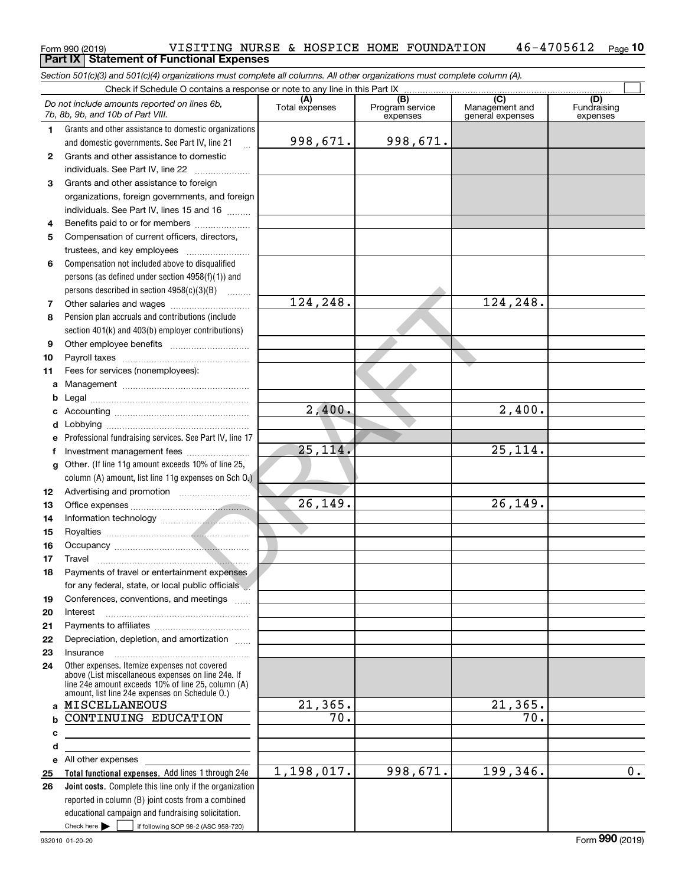#### Form 990 (2019) VISITING NURSE & HOSPICE HOME FOUNDATION 46-4705612 <sub>Page</sub><br>Part IX | Statement of Functional Expenses **10 Part IX Statement of Functional Expenses**

*Section 501(c)(3) and 501(c)(4) organizations must complete all columns. All other organizations must complete column (A).*

|              | Check if Schedule O contains a response or note to any line in this Part IX                                                                                                                                |                   |                                    |                                           |                                |
|--------------|------------------------------------------------------------------------------------------------------------------------------------------------------------------------------------------------------------|-------------------|------------------------------------|-------------------------------------------|--------------------------------|
|              | Do not include amounts reported on lines 6b,<br>7b, 8b, 9b, and 10b of Part VIII.                                                                                                                          | Total expenses    | (B)<br>Program service<br>expenses | (C)<br>Management and<br>general expenses | (D)<br>Fundraising<br>expenses |
| 1.           | Grants and other assistance to domestic organizations                                                                                                                                                      |                   |                                    |                                           |                                |
|              | and domestic governments. See Part IV, line 21                                                                                                                                                             | 998,671.          | 998,671.                           |                                           |                                |
| $\mathbf{2}$ | Grants and other assistance to domestic                                                                                                                                                                    |                   |                                    |                                           |                                |
|              | individuals. See Part IV, line 22                                                                                                                                                                          |                   |                                    |                                           |                                |
| 3            | Grants and other assistance to foreign                                                                                                                                                                     |                   |                                    |                                           |                                |
|              | organizations, foreign governments, and foreign                                                                                                                                                            |                   |                                    |                                           |                                |
|              | individuals. See Part IV, lines 15 and 16                                                                                                                                                                  |                   |                                    |                                           |                                |
| 4            | Benefits paid to or for members                                                                                                                                                                            |                   |                                    |                                           |                                |
| 5            | Compensation of current officers, directors,                                                                                                                                                               |                   |                                    |                                           |                                |
|              | trustees, and key employees                                                                                                                                                                                |                   |                                    |                                           |                                |
| 6            | Compensation not included above to disqualified                                                                                                                                                            |                   |                                    |                                           |                                |
|              | persons (as defined under section $4958(f)(1)$ ) and                                                                                                                                                       |                   |                                    |                                           |                                |
|              | persons described in section $4958(c)(3)(B)$                                                                                                                                                               |                   |                                    |                                           |                                |
| 7            | Other salaries and wages                                                                                                                                                                                   | 124,248.          |                                    | 124,248.                                  |                                |
| 8            | Pension plan accruals and contributions (include                                                                                                                                                           |                   |                                    |                                           |                                |
|              | section 401(k) and 403(b) employer contributions)                                                                                                                                                          |                   |                                    |                                           |                                |
| 9            |                                                                                                                                                                                                            |                   |                                    |                                           |                                |
| 10           |                                                                                                                                                                                                            |                   |                                    |                                           |                                |
| 11           | Fees for services (nonemployees):                                                                                                                                                                          |                   |                                    |                                           |                                |
| a            |                                                                                                                                                                                                            |                   |                                    |                                           |                                |
| b            |                                                                                                                                                                                                            |                   |                                    |                                           |                                |
| c            |                                                                                                                                                                                                            | 2,400.            |                                    | 2,400.                                    |                                |
| d            |                                                                                                                                                                                                            |                   |                                    |                                           |                                |
| e            | Professional fundraising services. See Part IV, line 17                                                                                                                                                    |                   |                                    |                                           |                                |
| f            | Investment management fees                                                                                                                                                                                 | 25, 114.          |                                    | 25,114.                                   |                                |
| g            | Other. (If line 11g amount exceeds 10% of line 25,                                                                                                                                                         |                   |                                    |                                           |                                |
|              | column (A) amount, list line 11g expenses on Sch 0.)                                                                                                                                                       |                   |                                    |                                           |                                |
| 12           |                                                                                                                                                                                                            |                   |                                    |                                           |                                |
| 13           |                                                                                                                                                                                                            | 26,149.           |                                    | 26, 149.                                  |                                |
| 14           |                                                                                                                                                                                                            |                   |                                    |                                           |                                |
| 15           |                                                                                                                                                                                                            |                   |                                    |                                           |                                |
| 16           |                                                                                                                                                                                                            |                   |                                    |                                           |                                |
| 17           | Travel                                                                                                                                                                                                     |                   |                                    |                                           |                                |
| 18           | Payments of travel or entertainment expenses<br>for any federal, state, or local public officials                                                                                                          |                   |                                    |                                           |                                |
|              |                                                                                                                                                                                                            |                   |                                    |                                           |                                |
| 19<br>20     | Conferences, conventions, and meetings                                                                                                                                                                     |                   |                                    |                                           |                                |
| 21           | Interest                                                                                                                                                                                                   |                   |                                    |                                           |                                |
| 22           | Depreciation, depletion, and amortization                                                                                                                                                                  |                   |                                    |                                           |                                |
| 23           | Insurance                                                                                                                                                                                                  |                   |                                    |                                           |                                |
| 24           | Other expenses. Itemize expenses not covered<br>above (List miscellaneous expenses on line 24e. If<br>line 24e amount exceeds 10% of line 25, column (A)<br>amount, list line 24e expenses on Schedule O.) |                   |                                    |                                           |                                |
| a            | MISCELLANEOUS                                                                                                                                                                                              | 21, 365.          |                                    | 21,365.                                   |                                |
| b            | CONTINUING EDUCATION                                                                                                                                                                                       | $\overline{70}$ . |                                    | $\overline{70}$ .                         |                                |
| с            | <u> 1989 - Johann Barn, mars eta bainar eta idazlea (</u>                                                                                                                                                  |                   |                                    |                                           |                                |
| d            | <u> 1980 - Johann Barbara, martxa alemaniar a</u>                                                                                                                                                          |                   |                                    |                                           |                                |
| e            |                                                                                                                                                                                                            |                   |                                    |                                           |                                |
| 25           | Total functional expenses. Add lines 1 through 24e                                                                                                                                                         | 1,198,017.        | 998,671.                           | 199,346.                                  | 0.                             |
| 26           | Joint costs. Complete this line only if the organization                                                                                                                                                   |                   |                                    |                                           |                                |
|              | reported in column (B) joint costs from a combined                                                                                                                                                         |                   |                                    |                                           |                                |
|              | educational campaign and fundraising solicitation.                                                                                                                                                         |                   |                                    |                                           |                                |
|              | Check here $\blacktriangleright$<br>if following SOP 98-2 (ASC 958-720)                                                                                                                                    |                   |                                    |                                           |                                |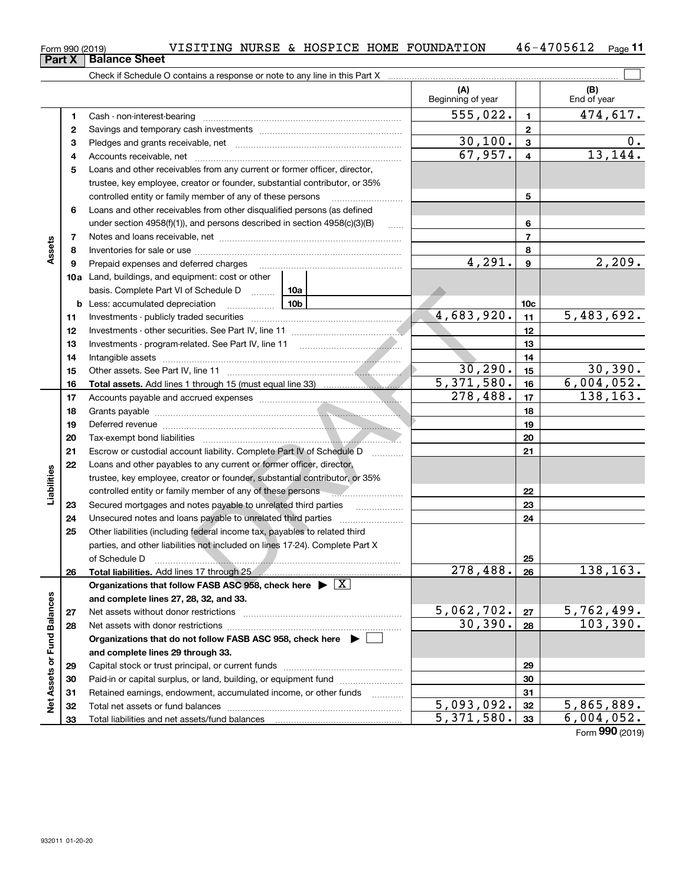**and complete lines 27, 28, 32, and 33.**

**and complete lines 29 through 33.**

Total liabilities and net assets/fund balances

Net assets without donor restrictions <sub>…………………………………………………</sub>…… Net assets with donor restrictions ~~~~~~~~~~~~~~~~~~~~~~

Capital stock or trust principal, or current funds ~~~~~~~~~~~~~~~ Paid-in or capital surplus, or land, building, or equipment fund www.commun.com Retained earnings, endowment, accumulated income, or other funds www.com Total net assets or fund balances ~~~~~~~~~~~~~~~~~~~~~~

**Organizations that do not follow FASB ASC 958, check here** |

**2728**

**Net Assets or Fund Balances**

Net Assets or Fund Balances

| Part X      | Form 990 (2019) | VISITING NURSE & HOSPICE HOME FOUNDATION<br><b>Balance Sheet</b>                                                                                                                                                                     |                    |                 | 46-4705612<br>$Page$ 11 |
|-------------|-----------------|--------------------------------------------------------------------------------------------------------------------------------------------------------------------------------------------------------------------------------------|--------------------|-----------------|-------------------------|
|             |                 |                                                                                                                                                                                                                                      |                    |                 |                         |
|             |                 |                                                                                                                                                                                                                                      | (A)                |                 | (B)                     |
|             |                 |                                                                                                                                                                                                                                      | Beginning of year  |                 | End of year             |
|             | 1               |                                                                                                                                                                                                                                      | 555,022.           | $\mathbf{1}$    | 474,617.                |
|             | 2               |                                                                                                                                                                                                                                      |                    | $\mathbf{2}$    | $0$ .                   |
|             | 3<br>4          |                                                                                                                                                                                                                                      | 30,100.<br>67,957. | 3<br>4          | 13, 144.                |
|             | 5               | Loans and other receivables from any current or former officer, director,                                                                                                                                                            |                    |                 |                         |
|             |                 | trustee, key employee, creator or founder, substantial contributor, or 35%                                                                                                                                                           |                    |                 |                         |
|             |                 | controlled entity or family member of any of these persons                                                                                                                                                                           |                    | 5               |                         |
|             | 6               | Loans and other receivables from other disqualified persons (as defined                                                                                                                                                              |                    |                 |                         |
|             |                 | under section $4958(f)(1)$ , and persons described in section $4958(c)(3)(B)$                                                                                                                                                        |                    | 6               |                         |
|             | 7               |                                                                                                                                                                                                                                      |                    | $\overline{7}$  |                         |
| Assets      | 8               |                                                                                                                                                                                                                                      |                    | 8               |                         |
|             | 9               | Prepaid expenses and deferred charges                                                                                                                                                                                                | 4,291.             | 9               | 2,209.                  |
|             |                 | 10a Land, buildings, and equipment: cost or other                                                                                                                                                                                    |                    |                 |                         |
|             |                 | basis. Complete Part VI of Schedule D  10a                                                                                                                                                                                           |                    |                 |                         |
|             |                 | $\frac{10b}{10b}$<br><b>b</b> Less: accumulated depreciation                                                                                                                                                                         | 4,683,920.         | 10 <sub>c</sub> | 5,483,692.              |
|             | 11<br>12        |                                                                                                                                                                                                                                      |                    | 11<br>12        |                         |
|             | 13              |                                                                                                                                                                                                                                      |                    | 13              |                         |
|             | 14              | Intangible assets                                                                                                                                                                                                                    |                    | 14              |                         |
|             | 15              |                                                                                                                                                                                                                                      | 30, 290.           | 15              | 30, 390.                |
|             | 16              |                                                                                                                                                                                                                                      | 5,371,580.         | 16              | 6,004,052.              |
|             | 17              |                                                                                                                                                                                                                                      | 278,488.           | 17              | 138, 163.               |
|             | 18              |                                                                                                                                                                                                                                      |                    | 18              |                         |
|             | 19              | Deferred revenue <b>contract and the contract of the contract of the contract of the contract of the contract of the contract of the contract of the contract of the contract of the contract of the contract of the contract of</b> |                    | 19              |                         |
|             | 20              |                                                                                                                                                                                                                                      |                    | 20              |                         |
|             | 21              | Escrow or custodial account liability. Complete Part IV of Schedule D                                                                                                                                                                |                    | 21              |                         |
|             | 22              | Loans and other payables to any current or former officer, director,                                                                                                                                                                 |                    |                 |                         |
| Liabilities |                 | trustee, key employee, creator or founder, substantial contributor, or 35%<br>controlled entity or family member of any of these persons                                                                                             |                    | 22              |                         |
|             | 23              | .<br>Secured mortgages and notes payable to unrelated third parties                                                                                                                                                                  |                    | 23              |                         |
|             | 24              | .<br>Unsecured notes and loans payable to unrelated third parties                                                                                                                                                                    |                    | 24              |                         |
|             | 25              | Other liabilities (including federal income tax, payables to related third                                                                                                                                                           |                    |                 |                         |
|             |                 | parties, and other liabilities not included on lines 17-24). Complete Part X                                                                                                                                                         |                    |                 |                         |
|             |                 | of Schedule D                                                                                                                                                                                                                        |                    | 25              |                         |
|             | 26              | Total liabilities. Add lines 17 through 25                                                                                                                                                                                           | 278,488.           | 26              | 138, 163.               |
|             |                 | Organizations that follow FASB ASC 958, check here $\blacktriangleright \boxed{X}$                                                                                                                                                   |                    |                 |                         |

Form (2019) **990**5,371,580. 6,004,052.

30,390. 103,390.

### **17** $\begin{array}{|c|c|c|c|}\n\hline\n3. & 16 & 6,004,052. \\
\hline\n3. & 17 & 138,163. \\
\hline\n\end{array}$

**2728**

 $\begin{array}{|c|c|c|c|c|c|}\n \hline\n 5,062,702. & \text{zz} & \text{5},762,499. \\
 \hline\n 30,390. & \text{zz} & \text{103},390. \\
 \hline\n \end{array}$ 

 $\begin{array}{|c|c|c|c|c|c|}\n 5,093,092. & \text{32} & \text{5,865,889.} \ \hline\n 5,371,580. & \text{33} & \text{6,004,052.} \ \hline\n \end{array}$ 

 $\mathcal{L}^{\text{max}}$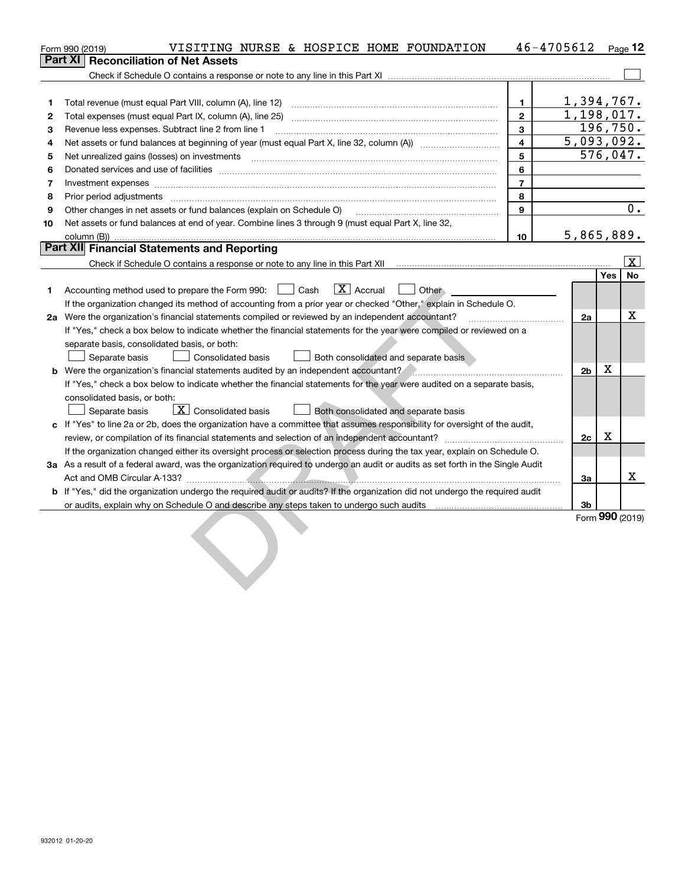|    | VISITING NURSE & HOSPICE HOME FOUNDATION<br>Form 990 (2019)                                                                                                                                                                    | 46-4705612              |                 |           | Page $12$               |
|----|--------------------------------------------------------------------------------------------------------------------------------------------------------------------------------------------------------------------------------|-------------------------|-----------------|-----------|-------------------------|
|    | <b>Part XI Reconciliation of Net Assets</b>                                                                                                                                                                                    |                         |                 |           |                         |
|    |                                                                                                                                                                                                                                |                         |                 |           |                         |
|    |                                                                                                                                                                                                                                |                         |                 |           |                         |
| 1  | Total revenue (must equal Part VIII, column (A), line 12)                                                                                                                                                                      | $\blacksquare$          | 1,394,767.      |           |                         |
| 2  |                                                                                                                                                                                                                                | $\mathbf{2}$            | 1,198,017.      |           |                         |
| 3  | Revenue less expenses. Subtract line 2 from line 1                                                                                                                                                                             | 3                       |                 | 196, 750. |                         |
| 4  |                                                                                                                                                                                                                                | $\overline{\mathbf{4}}$ | 5,093,092.      |           |                         |
| 5  | Net unrealized gains (losses) on investments [11] matter contracts and the state of the state of the state of the state of the state of the state of the state of the state of the state of the state of the state of the stat | 5                       |                 | 576,047.  |                         |
| 6  |                                                                                                                                                                                                                                | 6                       |                 |           |                         |
| 7  | Investment expenses www.communication.com/www.communication.com/www.communication.com/www.com                                                                                                                                  | $\overline{7}$          |                 |           |                         |
| 8  | Prior period adjustments www.communication.communication.communication.com/                                                                                                                                                    | 8                       |                 |           |                         |
| 9  | Other changes in net assets or fund balances (explain on Schedule O) [11] [11] content changes in net assets or fund balances (explain on Schedule O)                                                                          | 9                       |                 |           | 0.                      |
| 10 | Net assets or fund balances at end of year. Combine lines 3 through 9 (must equal Part X, line 32,                                                                                                                             |                         |                 |           |                         |
|    | column (B))                                                                                                                                                                                                                    | 10                      | 5,865,889.      |           |                         |
|    | Part XII Financial Statements and Reporting                                                                                                                                                                                    |                         |                 |           |                         |
|    |                                                                                                                                                                                                                                |                         |                 |           | $\overline{\mathbf{x}}$ |
|    |                                                                                                                                                                                                                                |                         |                 | Yes       | <b>No</b>               |
| 1. | $\boxed{\text{X}}$ Accrual<br>Accounting method used to prepare the Form 990: <u>June</u> Cash<br>Other                                                                                                                        |                         |                 |           |                         |
|    | If the organization changed its method of accounting from a prior year or checked "Other," explain in Schedule O.                                                                                                              |                         |                 |           |                         |
|    |                                                                                                                                                                                                                                |                         | 2a              |           | X                       |
|    | If "Yes," check a box below to indicate whether the financial statements for the year were compiled or reviewed on a                                                                                                           |                         |                 |           |                         |
|    | separate basis, consolidated basis, or both:                                                                                                                                                                                   |                         |                 |           |                         |
|    | Separate basis<br><b>Consolidated basis</b><br>Both consolidated and separate basis                                                                                                                                            |                         |                 |           |                         |
|    | b Were the organization's financial statements audited by an independent accountant?                                                                                                                                           |                         | 2 <sub>b</sub>  | X         |                         |
|    | If "Yes," check a box below to indicate whether the financial statements for the year were audited on a separate basis,                                                                                                        |                         |                 |           |                         |
|    | consolidated basis, or both:                                                                                                                                                                                                   |                         |                 |           |                         |
|    | $\boxed{\textbf{X}}$ Consolidated basis<br>Separate basis<br>Both consolidated and separate basis                                                                                                                              |                         |                 |           |                         |
|    | c If "Yes" to line 2a or 2b, does the organization have a committee that assumes responsibility for oversight of the audit,                                                                                                    |                         |                 |           |                         |
|    |                                                                                                                                                                                                                                |                         | 2c              | X         |                         |
|    | If the organization changed either its oversight process or selection process during the tax year, explain on Schedule O.                                                                                                      |                         |                 |           |                         |
|    | 3a As a result of a federal award, was the organization required to undergo an audit or audits as set forth in the Single Audit                                                                                                |                         |                 |           |                         |
|    |                                                                                                                                                                                                                                |                         | За              |           | $\mathbf x$             |
|    | <b>b</b> If "Yes," did the organization undergo the required audit or audits? If the organization did not undergo the required audit                                                                                           |                         |                 |           |                         |
|    |                                                                                                                                                                                                                                |                         | 3b              |           |                         |
|    |                                                                                                                                                                                                                                |                         | Form 990 (2019) |           |                         |
|    |                                                                                                                                                                                                                                |                         |                 |           |                         |
|    |                                                                                                                                                                                                                                |                         |                 |           |                         |
|    |                                                                                                                                                                                                                                |                         |                 |           |                         |
|    |                                                                                                                                                                                                                                |                         |                 |           |                         |
|    |                                                                                                                                                                                                                                |                         |                 |           |                         |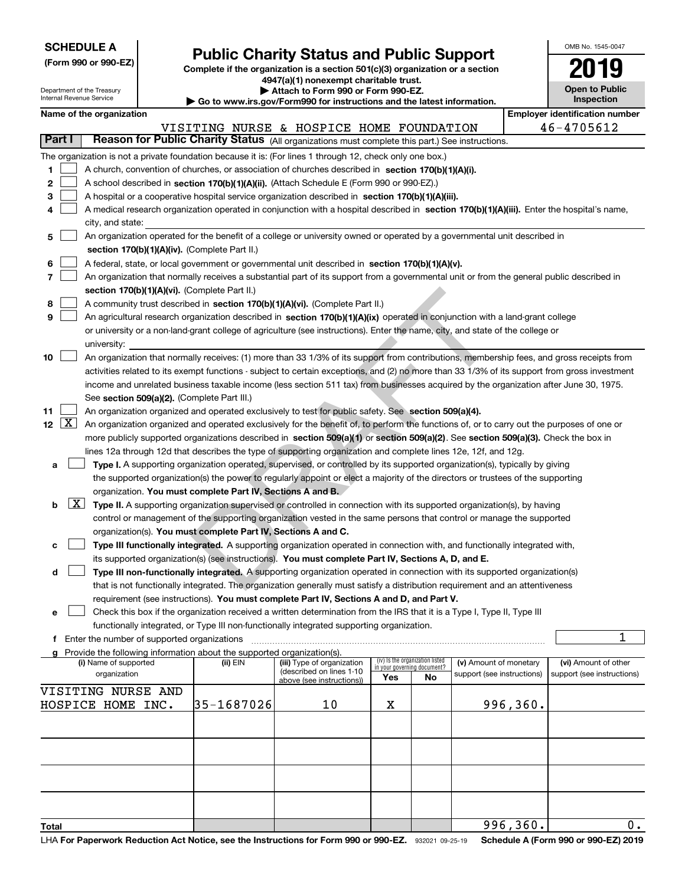Department of the Treasury

**(Form 990 or 990-EZ)**

## **Public Charity Status and Public Support**

**Complete if the organization is a section 501(c)(3) organization or a section 4947(a)(1) nonexempt charitable trust. | Attach to Form 990 or Form 990-EZ.** 

|  |  | o www.irs.gov/Form990 for instructions and the latest information. |
|--|--|--------------------------------------------------------------------|

| OMB No. 1545-0047                   |
|-------------------------------------|
| 2019                                |
| <b>Open to Public</b><br>Inspection |
|                                     |

 $\overline{0}$ .

996,360.

|    |                                                                   | Internal Revenue Service |                                               |                                                                        | $\blacktriangleright$ Go to www.irs.gov/Form990 for instructions and the latest information.                                                                                                                                                                      |     |                                                                |                            |          | <b>Inspection</b>          |
|----|-------------------------------------------------------------------|--------------------------|-----------------------------------------------|------------------------------------------------------------------------|-------------------------------------------------------------------------------------------------------------------------------------------------------------------------------------------------------------------------------------------------------------------|-----|----------------------------------------------------------------|----------------------------|----------|----------------------------|
|    | <b>Employer identification number</b><br>Name of the organization |                          |                                               |                                                                        |                                                                                                                                                                                                                                                                   |     |                                                                |                            |          |                            |
|    |                                                                   |                          |                                               |                                                                        | VISITING NURSE & HOSPICE HOME FOUNDATION                                                                                                                                                                                                                          |     |                                                                |                            |          | 46-4705612                 |
|    | Part I                                                            |                          |                                               |                                                                        | Reason for Public Charity Status (All organizations must complete this part.) See instructions.                                                                                                                                                                   |     |                                                                |                            |          |                            |
|    |                                                                   |                          |                                               |                                                                        | The organization is not a private foundation because it is: (For lines 1 through 12, check only one box.)                                                                                                                                                         |     |                                                                |                            |          |                            |
| 1  |                                                                   |                          |                                               |                                                                        | A church, convention of churches, or association of churches described in section 170(b)(1)(A)(i).                                                                                                                                                                |     |                                                                |                            |          |                            |
| 2  |                                                                   |                          |                                               |                                                                        | A school described in section 170(b)(1)(A)(ii). (Attach Schedule E (Form 990 or 990-EZ).)                                                                                                                                                                         |     |                                                                |                            |          |                            |
| 3  |                                                                   |                          |                                               |                                                                        | A hospital or a cooperative hospital service organization described in section 170(b)(1)(A)(iii).                                                                                                                                                                 |     |                                                                |                            |          |                            |
| 4  |                                                                   |                          |                                               |                                                                        | A medical research organization operated in conjunction with a hospital described in section 170(b)(1)(A)(iii). Enter the hospital's name,                                                                                                                        |     |                                                                |                            |          |                            |
|    |                                                                   | city, and state:         |                                               |                                                                        |                                                                                                                                                                                                                                                                   |     |                                                                |                            |          |                            |
| 5  |                                                                   |                          |                                               |                                                                        | An organization operated for the benefit of a college or university owned or operated by a governmental unit described in                                                                                                                                         |     |                                                                |                            |          |                            |
|    |                                                                   |                          |                                               | section 170(b)(1)(A)(iv). (Complete Part II.)                          |                                                                                                                                                                                                                                                                   |     |                                                                |                            |          |                            |
| 6  |                                                                   |                          |                                               |                                                                        | A federal, state, or local government or governmental unit described in section 170(b)(1)(A)(v).                                                                                                                                                                  |     |                                                                |                            |          |                            |
| 7  |                                                                   |                          |                                               |                                                                        | An organization that normally receives a substantial part of its support from a governmental unit or from the general public described in                                                                                                                         |     |                                                                |                            |          |                            |
|    |                                                                   |                          |                                               | section 170(b)(1)(A)(vi). (Complete Part II.)                          |                                                                                                                                                                                                                                                                   |     |                                                                |                            |          |                            |
| 8  |                                                                   |                          |                                               |                                                                        | A community trust described in section 170(b)(1)(A)(vi). (Complete Part II.)                                                                                                                                                                                      |     |                                                                |                            |          |                            |
| 9  |                                                                   |                          |                                               |                                                                        | An agricultural research organization described in section 170(b)(1)(A)(ix) operated in conjunction with a land-grant college                                                                                                                                     |     |                                                                |                            |          |                            |
|    |                                                                   |                          |                                               |                                                                        | or university or a non-land-grant college of agriculture (see instructions). Enter the name, city, and state of the college or                                                                                                                                    |     |                                                                |                            |          |                            |
|    |                                                                   | university:              |                                               |                                                                        |                                                                                                                                                                                                                                                                   |     |                                                                |                            |          |                            |
| 10 |                                                                   |                          |                                               |                                                                        | An organization that normally receives: (1) more than 33 1/3% of its support from contributions, membership fees, and gross receipts from                                                                                                                         |     |                                                                |                            |          |                            |
|    |                                                                   |                          |                                               |                                                                        | activities related to its exempt functions - subject to certain exceptions, and (2) no more than 33 1/3% of its support from gross investment                                                                                                                     |     |                                                                |                            |          |                            |
|    |                                                                   |                          |                                               |                                                                        | income and unrelated business taxable income (less section 511 tax) from businesses acquired by the organization after June 30, 1975.                                                                                                                             |     |                                                                |                            |          |                            |
|    |                                                                   |                          |                                               | See section 509(a)(2). (Complete Part III.)                            |                                                                                                                                                                                                                                                                   |     |                                                                |                            |          |                            |
| 11 |                                                                   |                          |                                               |                                                                        | An organization organized and operated exclusively to test for public safety. See section 509(a)(4).<br>12 $\boxed{X}$ An organization organized and operated exclusively for the benefit of, to perform the functions of, or to carry out the purposes of one or |     |                                                                |                            |          |                            |
|    |                                                                   |                          |                                               |                                                                        | more publicly supported organizations described in section 509(a)(1) or section 509(a)(2). See section 509(a)(3). Check the box in                                                                                                                                |     |                                                                |                            |          |                            |
|    |                                                                   |                          |                                               |                                                                        | lines 12a through 12d that describes the type of supporting organization and complete lines 12e, 12f, and 12g.                                                                                                                                                    |     |                                                                |                            |          |                            |
| а  |                                                                   |                          |                                               |                                                                        | Type I. A supporting organization operated, supervised, or controlled by its supported organization(s), typically by giving                                                                                                                                       |     |                                                                |                            |          |                            |
|    |                                                                   |                          |                                               |                                                                        | the supported organization(s) the power to regularly appoint or elect a majority of the directors or trustees of the supporting                                                                                                                                   |     |                                                                |                            |          |                            |
|    |                                                                   |                          |                                               | organization. You must complete Part IV, Sections A and B.             |                                                                                                                                                                                                                                                                   |     |                                                                |                            |          |                            |
| b  |                                                                   |                          |                                               |                                                                        | X Type II. A supporting organization supervised or controlled in connection with its supported organization(s), by having                                                                                                                                         |     |                                                                |                            |          |                            |
|    |                                                                   |                          |                                               |                                                                        | control or management of the supporting organization vested in the same persons that control or manage the supported                                                                                                                                              |     |                                                                |                            |          |                            |
|    |                                                                   |                          |                                               | organization(s). You must complete Part IV, Sections A and C.          |                                                                                                                                                                                                                                                                   |     |                                                                |                            |          |                            |
| с  |                                                                   |                          |                                               |                                                                        | Type III functionally integrated. A supporting organization operated in connection with, and functionally integrated with,                                                                                                                                        |     |                                                                |                            |          |                            |
|    |                                                                   |                          |                                               |                                                                        | its supported organization(s) (see instructions). You must complete Part IV, Sections A, D, and E.                                                                                                                                                                |     |                                                                |                            |          |                            |
| d  |                                                                   |                          |                                               |                                                                        | Type III non-functionally integrated. A supporting organization operated in connection with its supported organization(s)                                                                                                                                         |     |                                                                |                            |          |                            |
|    |                                                                   |                          |                                               |                                                                        | that is not functionally integrated. The organization generally must satisfy a distribution requirement and an attentiveness                                                                                                                                      |     |                                                                |                            |          |                            |
|    |                                                                   |                          |                                               |                                                                        | requirement (see instructions). You must complete Part IV, Sections A and D, and Part V.                                                                                                                                                                          |     |                                                                |                            |          |                            |
| е  |                                                                   |                          |                                               |                                                                        | Check this box if the organization received a written determination from the IRS that it is a Type I, Type II, Type III                                                                                                                                           |     |                                                                |                            |          |                            |
|    |                                                                   |                          |                                               |                                                                        | functionally integrated, or Type III non-functionally integrated supporting organization.                                                                                                                                                                         |     |                                                                |                            |          |                            |
|    |                                                                   |                          | f Enter the number of supported organizations |                                                                        |                                                                                                                                                                                                                                                                   |     |                                                                |                            |          | 1                          |
|    |                                                                   |                          |                                               | Provide the following information about the supported organization(s). |                                                                                                                                                                                                                                                                   |     |                                                                |                            |          |                            |
|    |                                                                   | (i) Name of supported    |                                               | (ii) EIN                                                               | (iii) Type of organization<br>(described on lines 1-10                                                                                                                                                                                                            |     | (iv) Is the organization listed<br>in your governing document? | (v) Amount of monetary     |          | (vi) Amount of other       |
|    |                                                                   | organization             |                                               |                                                                        | above (see instructions))                                                                                                                                                                                                                                         | Yes | No                                                             | support (see instructions) |          | support (see instructions) |
|    |                                                                   | VISITING NURSE AND       |                                               |                                                                        |                                                                                                                                                                                                                                                                   |     |                                                                |                            |          |                            |
|    |                                                                   | HOSPICE HOME INC.        |                                               | 35-1687026                                                             | 10                                                                                                                                                                                                                                                                | х   |                                                                |                            | 996,360. |                            |
|    |                                                                   |                          |                                               |                                                                        |                                                                                                                                                                                                                                                                   |     |                                                                |                            |          |                            |
|    |                                                                   |                          |                                               |                                                                        |                                                                                                                                                                                                                                                                   |     |                                                                |                            |          |                            |
|    |                                                                   |                          |                                               |                                                                        |                                                                                                                                                                                                                                                                   |     |                                                                |                            |          |                            |
|    |                                                                   |                          |                                               |                                                                        |                                                                                                                                                                                                                                                                   |     |                                                                |                            |          |                            |
|    |                                                                   |                          |                                               |                                                                        |                                                                                                                                                                                                                                                                   |     |                                                                |                            |          |                            |
|    |                                                                   |                          |                                               |                                                                        |                                                                                                                                                                                                                                                                   |     |                                                                |                            |          |                            |
|    |                                                                   |                          |                                               |                                                                        |                                                                                                                                                                                                                                                                   |     |                                                                |                            |          |                            |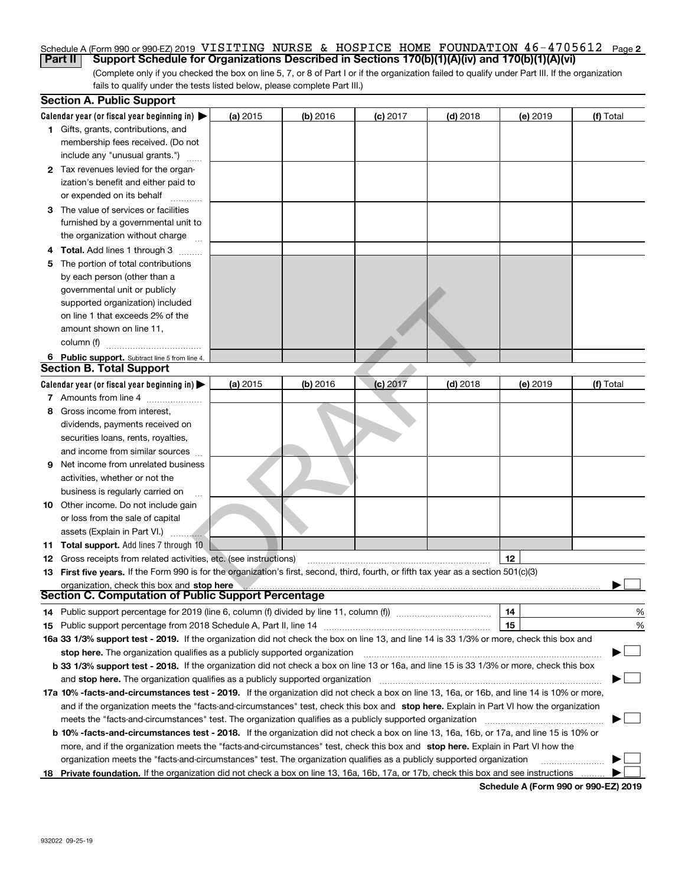### Schedule A (Form 990 or 990-EZ) 2019 VISITING NURSE & HOSPICE HOME FOUNDATION 46-4705612 Page 2<br>Part II Support Schedule for Organizations Described in Sections 170(b)(1)(A)(iv) and 170(b)(1)(A)(vi) **Part II Support Schedule for Organizations Described in Sections 170(b)(1)(A)(iv) and 170(b)(1)(A)(vi)**

(Complete only if you checked the box on line 5, 7, or 8 of Part I or if the organization failed to qualify under Part III. If the organization fails to qualify under the tests listed below, please complete Part III.)

|    | <b>Section A. Public Support</b>                                                                                                               |          |            |            |            |          |                                      |
|----|------------------------------------------------------------------------------------------------------------------------------------------------|----------|------------|------------|------------|----------|--------------------------------------|
|    | Calendar year (or fiscal year beginning in) $\blacktriangleright$                                                                              | (a) 2015 | $(b)$ 2016 | $(c)$ 2017 | $(d)$ 2018 | (e) 2019 | (f) Total                            |
|    | 1 Gifts, grants, contributions, and                                                                                                            |          |            |            |            |          |                                      |
|    | membership fees received. (Do not                                                                                                              |          |            |            |            |          |                                      |
|    | include any "unusual grants.")                                                                                                                 |          |            |            |            |          |                                      |
|    | 2 Tax revenues levied for the organ-                                                                                                           |          |            |            |            |          |                                      |
|    | ization's benefit and either paid to                                                                                                           |          |            |            |            |          |                                      |
|    | or expended on its behalf                                                                                                                      |          |            |            |            |          |                                      |
|    | 3 The value of services or facilities                                                                                                          |          |            |            |            |          |                                      |
|    | furnished by a governmental unit to                                                                                                            |          |            |            |            |          |                                      |
|    | the organization without charge                                                                                                                |          |            |            |            |          |                                      |
|    | 4 Total. Add lines 1 through 3                                                                                                                 |          |            |            |            |          |                                      |
| 5  | The portion of total contributions                                                                                                             |          |            |            |            |          |                                      |
|    | by each person (other than a                                                                                                                   |          |            |            |            |          |                                      |
|    | governmental unit or publicly                                                                                                                  |          |            |            |            |          |                                      |
|    | supported organization) included                                                                                                               |          |            |            |            |          |                                      |
|    | on line 1 that exceeds 2% of the                                                                                                               |          |            |            |            |          |                                      |
|    | amount shown on line 11,                                                                                                                       |          |            |            |            |          |                                      |
|    | column (f)                                                                                                                                     |          |            |            |            |          |                                      |
|    | 6 Public support. Subtract line 5 from line 4.<br><b>Section B. Total Support</b>                                                              |          |            |            |            |          |                                      |
|    |                                                                                                                                                |          |            |            |            |          |                                      |
|    | Calendar year (or fiscal year beginning in) $\blacktriangleright$                                                                              | (a) 2015 | $(b)$ 2016 | $(c)$ 2017 | $(d)$ 2018 | (e) 2019 | (f) Total                            |
|    | 7 Amounts from line 4<br>8 Gross income from interest,                                                                                         |          |            |            |            |          |                                      |
|    | dividends, payments received on                                                                                                                |          |            |            |            |          |                                      |
|    | securities loans, rents, royalties,                                                                                                            |          |            |            |            |          |                                      |
|    | and income from similar sources                                                                                                                |          |            |            |            |          |                                      |
| 9  | Net income from unrelated business                                                                                                             |          |            |            |            |          |                                      |
|    | activities, whether or not the                                                                                                                 |          |            |            |            |          |                                      |
|    | business is regularly carried on                                                                                                               |          |            |            |            |          |                                      |
|    | <b>10</b> Other income. Do not include gain                                                                                                    |          |            |            |            |          |                                      |
|    | or loss from the sale of capital                                                                                                               |          |            |            |            |          |                                      |
|    | assets (Explain in Part VI.)                                                                                                                   |          |            |            |            |          |                                      |
|    | .<br>11 Total support. Add lines 7 through 10                                                                                                  |          |            |            |            |          |                                      |
|    | <b>12</b> Gross receipts from related activities, etc. (see instructions)                                                                      |          |            |            |            | 12       |                                      |
|    | 13 First five years. If the Form 990 is for the organization's first, second, third, fourth, or fifth tax year as a section 501(c)(3)          |          |            |            |            |          |                                      |
|    | organization, check this box and stop here                                                                                                     |          |            |            |            |          |                                      |
|    | <b>Section C. Computation of Public Support Percentage</b>                                                                                     |          |            |            |            |          |                                      |
|    | 14 Public support percentage for 2019 (line 6, column (f) divided by line 11, column (f) <i>manumumumum</i>                                    |          |            |            |            | 14       | %                                    |
|    |                                                                                                                                                |          |            |            |            | 15       | %                                    |
|    | 16a 33 1/3% support test - 2019. If the organization did not check the box on line 13, and line 14 is 33 1/3% or more, check this box and      |          |            |            |            |          |                                      |
|    | stop here. The organization qualifies as a publicly supported organization                                                                     |          |            |            |            |          |                                      |
|    | b 33 1/3% support test - 2018. If the organization did not check a box on line 13 or 16a, and line 15 is 33 1/3% or more, check this box       |          |            |            |            |          |                                      |
|    | and stop here. The organization qualifies as a publicly supported organization                                                                 |          |            |            |            |          |                                      |
|    | 17a 10% -facts-and-circumstances test - 2019. If the organization did not check a box on line 13, 16a, or 16b, and line 14 is 10% or more,     |          |            |            |            |          |                                      |
|    | and if the organization meets the "facts-and-circumstances" test, check this box and stop here. Explain in Part VI how the organization        |          |            |            |            |          |                                      |
|    | meets the "facts-and-circumstances" test. The organization qualifies as a publicly supported organization                                      |          |            |            |            |          |                                      |
|    | <b>b 10% -facts-and-circumstances test - 2018.</b> If the organization did not check a box on line 13, 16a, 16b, or 17a, and line 15 is 10% or |          |            |            |            |          |                                      |
|    | more, and if the organization meets the "facts-and-circumstances" test, check this box and stop here. Explain in Part VI how the               |          |            |            |            |          |                                      |
|    | organization meets the "facts-and-circumstances" test. The organization qualifies as a publicly supported organization                         |          |            |            |            |          |                                      |
| 18 | Private foundation. If the organization did not check a box on line 13, 16a, 16b, 17a, or 17b, check this box and see instructions             |          |            |            |            |          |                                      |
|    |                                                                                                                                                |          |            |            |            |          | Schedule A (Form 990 or 990-EZ) 2019 |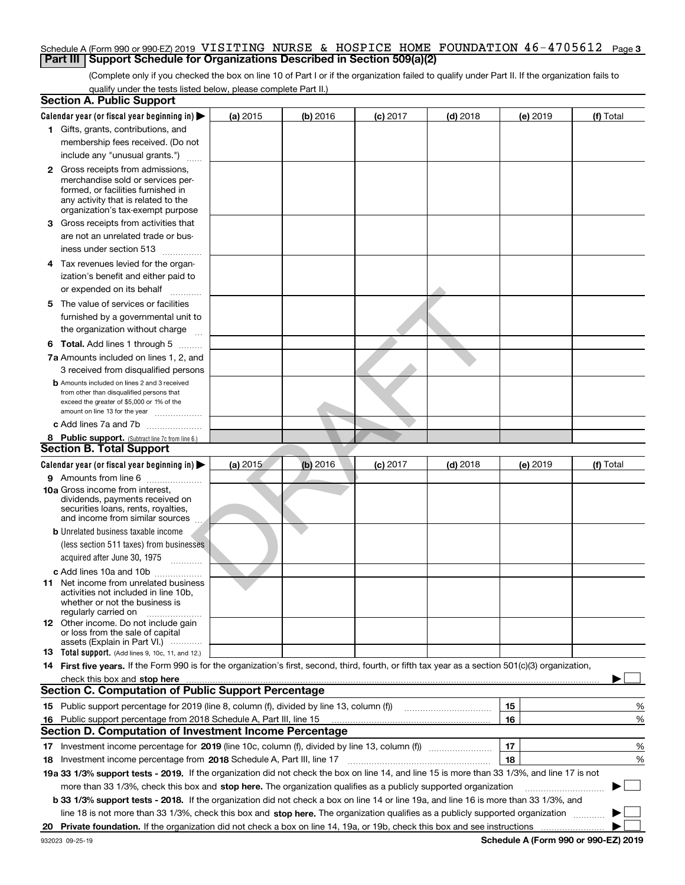### Schedule A (Form 990 or 990-EZ) 2019 VISITING NURSE & HOSPICE HOME FOUNDATION 46-4705612 Page 3<br>L**Part III LSupport Schedule for Organizations Described in Section 509(a)(2) Part III** | Support Schedule for Organizations Described in Section 509(a)(2)

(Complete only if you checked the box on line 10 of Part I or if the organization failed to qualify under Part II. If the organization fails to qualify under the tests listed below, please complete Part II.)

|    | <b>Section A. Public Support</b>                                                                                                                                                                                              |          |          |                 |                                       |    |          |                                      |        |
|----|-------------------------------------------------------------------------------------------------------------------------------------------------------------------------------------------------------------------------------|----------|----------|-----------------|---------------------------------------|----|----------|--------------------------------------|--------|
|    | Calendar year (or fiscal year beginning in) $\blacktriangleright$                                                                                                                                                             | (a) 2015 | (b) 2016 | <b>(c)</b> 2017 | $(d)$ 2018                            |    | (e) 2019 | (f) Total                            |        |
|    | 1 Gifts, grants, contributions, and                                                                                                                                                                                           |          |          |                 |                                       |    |          |                                      |        |
|    | membership fees received. (Do not                                                                                                                                                                                             |          |          |                 |                                       |    |          |                                      |        |
|    | include any "unusual grants.")                                                                                                                                                                                                |          |          |                 |                                       |    |          |                                      |        |
|    | <b>2</b> Gross receipts from admissions,                                                                                                                                                                                      |          |          |                 |                                       |    |          |                                      |        |
|    | merchandise sold or services per-                                                                                                                                                                                             |          |          |                 |                                       |    |          |                                      |        |
|    | formed, or facilities furnished in<br>any activity that is related to the                                                                                                                                                     |          |          |                 |                                       |    |          |                                      |        |
|    | organization's tax-exempt purpose                                                                                                                                                                                             |          |          |                 |                                       |    |          |                                      |        |
|    | 3 Gross receipts from activities that                                                                                                                                                                                         |          |          |                 |                                       |    |          |                                      |        |
|    | are not an unrelated trade or bus-                                                                                                                                                                                            |          |          |                 |                                       |    |          |                                      |        |
|    | iness under section 513                                                                                                                                                                                                       |          |          |                 |                                       |    |          |                                      |        |
|    | 4 Tax revenues levied for the organ-                                                                                                                                                                                          |          |          |                 |                                       |    |          |                                      |        |
|    | ization's benefit and either paid to                                                                                                                                                                                          |          |          |                 |                                       |    |          |                                      |        |
|    | or expended on its behalf<br>.                                                                                                                                                                                                |          |          |                 |                                       |    |          |                                      |        |
|    | 5 The value of services or facilities                                                                                                                                                                                         |          |          |                 |                                       |    |          |                                      |        |
|    | furnished by a governmental unit to                                                                                                                                                                                           |          |          |                 |                                       |    |          |                                      |        |
|    | the organization without charge                                                                                                                                                                                               |          |          |                 |                                       |    |          |                                      |        |
|    | <b>6 Total.</b> Add lines 1 through 5                                                                                                                                                                                         |          |          |                 |                                       |    |          |                                      |        |
|    | 7a Amounts included on lines 1, 2, and                                                                                                                                                                                        |          |          |                 |                                       |    |          |                                      |        |
|    | 3 received from disqualified persons                                                                                                                                                                                          |          |          |                 |                                       |    |          |                                      |        |
|    | <b>b</b> Amounts included on lines 2 and 3 received                                                                                                                                                                           |          |          |                 |                                       |    |          |                                      |        |
|    | from other than disqualified persons that                                                                                                                                                                                     |          |          |                 |                                       |    |          |                                      |        |
|    | exceed the greater of \$5,000 or 1% of the                                                                                                                                                                                    |          |          |                 |                                       |    |          |                                      |        |
|    | amount on line 13 for the year                                                                                                                                                                                                |          |          |                 |                                       |    |          |                                      |        |
|    | c Add lines 7a and 7b                                                                                                                                                                                                         |          |          |                 |                                       |    |          |                                      |        |
|    | 8 Public support. (Subtract line 7c from line 6.)<br><b>Section B. Total Support</b>                                                                                                                                          |          |          |                 |                                       |    |          |                                      |        |
|    |                                                                                                                                                                                                                               |          |          |                 |                                       |    |          |                                      |        |
|    | Calendar year (or fiscal year beginning in) $\blacktriangleright$                                                                                                                                                             | (a) 2015 | (b) 2016 | $(c)$ 2017      | $(d)$ 2018                            |    | (e) 2019 | (f) Total                            |        |
|    | 9 Amounts from line 6<br>10a Gross income from interest,                                                                                                                                                                      |          |          |                 |                                       |    |          |                                      |        |
|    | dividends, payments received on                                                                                                                                                                                               |          |          |                 |                                       |    |          |                                      |        |
|    | securities loans, rents, royalties,                                                                                                                                                                                           |          |          |                 |                                       |    |          |                                      |        |
|    | and income from similar sources                                                                                                                                                                                               |          |          |                 |                                       |    |          |                                      |        |
|    | <b>b</b> Unrelated business taxable income                                                                                                                                                                                    |          |          |                 |                                       |    |          |                                      |        |
|    | (less section 511 taxes) from businesses                                                                                                                                                                                      |          |          |                 |                                       |    |          |                                      |        |
|    | acquired after June 30, 1975                                                                                                                                                                                                  |          |          |                 |                                       |    |          |                                      |        |
|    | c Add lines 10a and 10b                                                                                                                                                                                                       |          |          |                 |                                       |    |          |                                      |        |
|    | 11 Net income from unrelated business<br>activities not included in line 10b.                                                                                                                                                 |          |          |                 |                                       |    |          |                                      |        |
|    | whether or not the business is                                                                                                                                                                                                |          |          |                 |                                       |    |          |                                      |        |
|    | regularly carried on                                                                                                                                                                                                          |          |          |                 |                                       |    |          |                                      |        |
|    | <b>12</b> Other income. Do not include gain                                                                                                                                                                                   |          |          |                 |                                       |    |          |                                      |        |
|    | or loss from the sale of capital<br>assets (Explain in Part VI.)                                                                                                                                                              |          |          |                 |                                       |    |          |                                      |        |
|    | <b>13</b> Total support. (Add lines 9, 10c, 11, and 12.)                                                                                                                                                                      |          |          |                 |                                       |    |          |                                      |        |
|    | 14 First five years. If the Form 990 is for the organization's first, second, third, fourth, or fifth tax year as a section 501(c)(3) organization,                                                                           |          |          |                 |                                       |    |          |                                      |        |
|    | check this box and stop here with the continuum control to the control of the state of the state of the control of the state of the control of the control of the control of the control of the control of the control of the |          |          |                 |                                       |    |          |                                      |        |
|    | <b>Section C. Computation of Public Support Percentage</b>                                                                                                                                                                    |          |          |                 |                                       |    |          |                                      |        |
|    | 15 Public support percentage for 2019 (line 8, column (f), divided by line 13, column (f))                                                                                                                                    |          |          |                 | <u> 1986 - Jan Barbarat, martin a</u> | 15 |          |                                      | %      |
|    | 16 Public support percentage from 2018 Schedule A, Part III, line 15                                                                                                                                                          |          |          |                 |                                       | 16 |          |                                      | %      |
|    | <b>Section D. Computation of Investment Income Percentage</b>                                                                                                                                                                 |          |          |                 |                                       |    |          |                                      |        |
|    |                                                                                                                                                                                                                               |          |          |                 |                                       | 17 |          |                                      | %      |
|    | <b>18</b> Investment income percentage from <b>2018</b> Schedule A, Part III, line 17                                                                                                                                         |          |          |                 |                                       | 18 |          |                                      | %      |
|    | 19a 33 1/3% support tests - 2019. If the organization did not check the box on line 14, and line 15 is more than 33 1/3%, and line 17 is not                                                                                  |          |          |                 |                                       |    |          |                                      |        |
|    | more than 33 1/3%, check this box and stop here. The organization qualifies as a publicly supported organization                                                                                                              |          |          |                 |                                       |    |          | ▶                                    | $\sim$ |
|    | b 33 1/3% support tests - 2018. If the organization did not check a box on line 14 or line 19a, and line 16 is more than 33 1/3%, and                                                                                         |          |          |                 |                                       |    |          |                                      |        |
|    | line 18 is not more than 33 1/3%, check this box and stop here. The organization qualifies as a publicly supported organization                                                                                               |          |          |                 |                                       |    |          |                                      |        |
| 20 | Private foundation. If the organization did not check a box on line 14, 19a, or 19b, check this box and see instructions                                                                                                      |          |          |                 |                                       |    |          |                                      |        |
|    | 932023 09-25-19                                                                                                                                                                                                               |          |          |                 |                                       |    |          | Schedule A (Form 990 or 990-EZ) 2019 |        |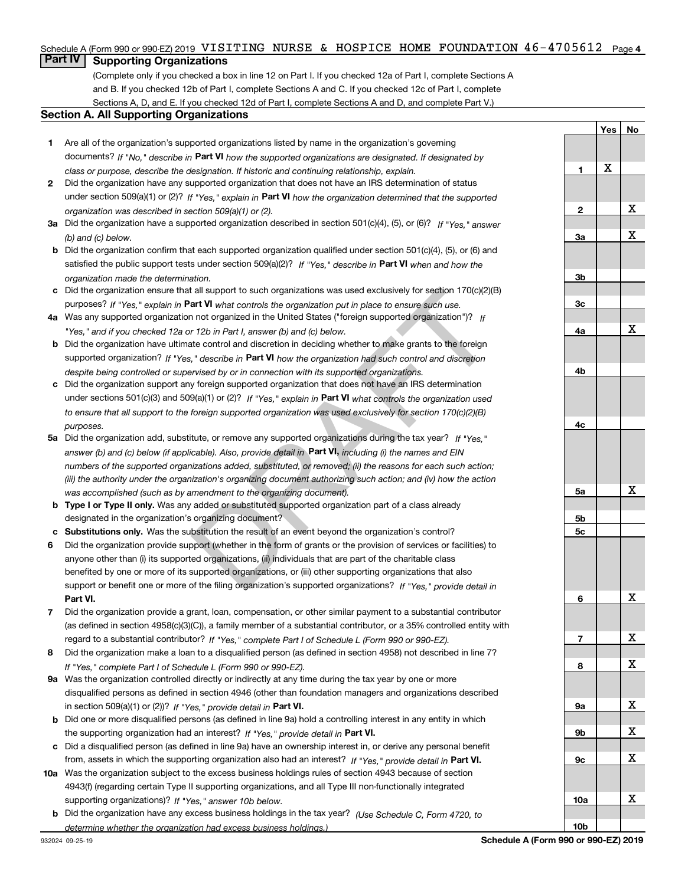# Schedule A (Form 990 or 990-EZ) 2019 VISITING NURSE & HOSPICE HOME FOUNDATION  $46$ - $4705612$  Page 4<br>L**Part IV** L. Supporting Organizations

### **Part IV Supporting Organizations**

(Complete only if you checked a box in line 12 on Part I. If you checked 12a of Part I, complete Sections A and B. If you checked 12b of Part I, complete Sections A and C. If you checked 12c of Part I, complete Sections A, D, and E. If you checked 12d of Part I, complete Sections A and D, and complete Part V.)

### **Section A. All Supporting Organizations**

- **1** Are all of the organization's supported organizations listed by name in the organization's governing documents? If "No," describe in **Part VI** how the supported organizations are designated. If designated by *class or purpose, describe the designation. If historic and continuing relationship, explain.*
- **2** Did the organization have any supported organization that does not have an IRS determination of status under section 509(a)(1) or (2)? If "Yes," explain in Part VI how the organization determined that the supported *organization was described in section 509(a)(1) or (2).*
- **3a** Did the organization have a supported organization described in section 501(c)(4), (5), or (6)? If "Yes," answer *(b) and (c) below.*
- **b** Did the organization confirm that each supported organization qualified under section 501(c)(4), (5), or (6) and satisfied the public support tests under section 509(a)(2)? If "Yes," describe in **Part VI** when and how the *organization made the determination.*
- **c**Did the organization ensure that all support to such organizations was used exclusively for section 170(c)(2)(B) purposes? If "Yes," explain in **Part VI** what controls the organization put in place to ensure such use.
- **4a***If* Was any supported organization not organized in the United States ("foreign supported organization")? *"Yes," and if you checked 12a or 12b in Part I, answer (b) and (c) below.*
- **b** Did the organization have ultimate control and discretion in deciding whether to make grants to the foreign supported organization? If "Yes," describe in **Part VI** how the organization had such control and discretion *despite being controlled or supervised by or in connection with its supported organizations.*
- **c** Did the organization support any foreign supported organization that does not have an IRS determination under sections 501(c)(3) and 509(a)(1) or (2)? If "Yes," explain in **Part VI** what controls the organization used *to ensure that all support to the foreign supported organization was used exclusively for section 170(c)(2)(B) purposes.*
- **5a** Did the organization add, substitute, or remove any supported organizations during the tax year? If "Yes," answer (b) and (c) below (if applicable). Also, provide detail in **Part VI,** including (i) the names and EIN *numbers of the supported organizations added, substituted, or removed; (ii) the reasons for each such action; (iii) the authority under the organization's organizing document authorizing such action; and (iv) how the action was accomplished (such as by amendment to the organizing document).* all support to such organizations was used exclusively for section 170(c)(2)(t<br>art **VI** what controls the organization put in place to ensure such use.<br>
not organization in the United States ("foreign supported organizati
- **b** Type I or Type II only. Was any added or substituted supported organization part of a class already designated in the organization's organizing document?
- **cSubstitutions only.**  Was the substitution the result of an event beyond the organization's control?
- **6** Did the organization provide support (whether in the form of grants or the provision of services or facilities) to **Part VI.** *If "Yes," provide detail in* support or benefit one or more of the filing organization's supported organizations? anyone other than (i) its supported organizations, (ii) individuals that are part of the charitable class benefited by one or more of its supported organizations, or (iii) other supporting organizations that also
- **7**Did the organization provide a grant, loan, compensation, or other similar payment to a substantial contributor *If "Yes," complete Part I of Schedule L (Form 990 or 990-EZ).* regard to a substantial contributor? (as defined in section 4958(c)(3)(C)), a family member of a substantial contributor, or a 35% controlled entity with
- **8** Did the organization make a loan to a disqualified person (as defined in section 4958) not described in line 7? *If "Yes," complete Part I of Schedule L (Form 990 or 990-EZ).*
- **9a** Was the organization controlled directly or indirectly at any time during the tax year by one or more in section 509(a)(1) or (2))? If "Yes," *provide detail in* <code>Part VI.</code> disqualified persons as defined in section 4946 (other than foundation managers and organizations described
- **b** Did one or more disqualified persons (as defined in line 9a) hold a controlling interest in any entity in which the supporting organization had an interest? If "Yes," provide detail in P**art VI**.
- **c**Did a disqualified person (as defined in line 9a) have an ownership interest in, or derive any personal benefit from, assets in which the supporting organization also had an interest? If "Yes," provide detail in P**art VI.**
- **10a** Was the organization subject to the excess business holdings rules of section 4943 because of section supporting organizations)? If "Yes," answer 10b below. 4943(f) (regarding certain Type II supporting organizations, and all Type III non-functionally integrated
- **b** Did the organization have any excess business holdings in the tax year? (Use Schedule C, Form 4720, to *determine whether the organization had excess business holdings.)*

**Yes No 123a3b3c4a4b4c5a 5b5c6789a 9b9c10a10b**X X X X X X X X X X X X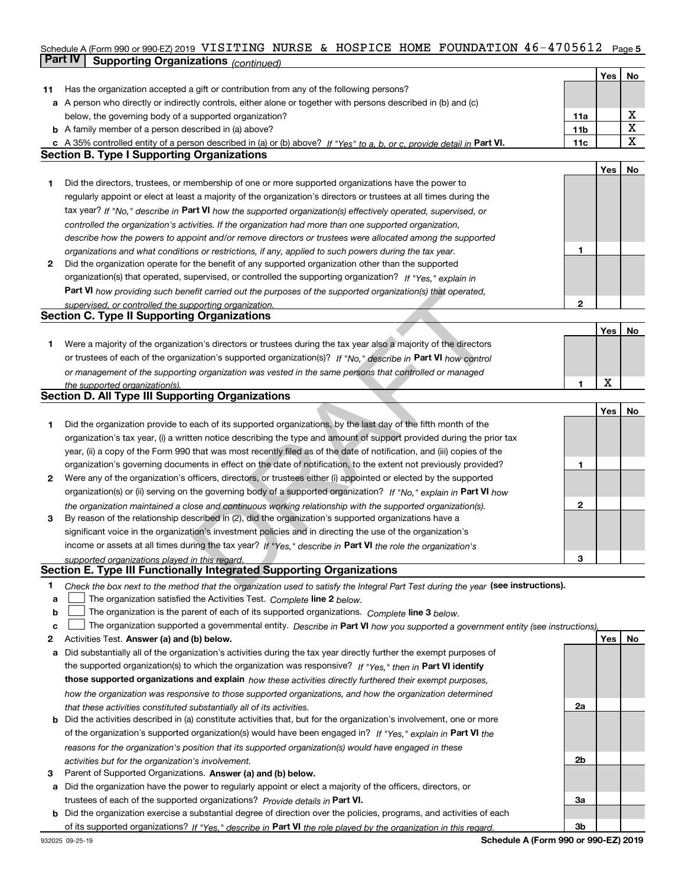### Schedule A (Form 990 or 990-EZ) 2019 VISITING NURSE & HOSPICE HOME FOUNDATION  $46$  –  $4705612$  Page 5<br>L**Part IV** L. Supporting Organizations / www.hard and the Schedule of Mart IV L. Supporting Organizations / **Part IV Supporting Organizations** *(continued)* **Continueding Continueding Continueding Continueding Continueding Continueding Continueding Continueding Continueding Continueding Continueding Continueding Continueding Con**

|    |                                                                                                                                   |     | Yes | No |
|----|-----------------------------------------------------------------------------------------------------------------------------------|-----|-----|----|
| 11 | Has the organization accepted a gift or contribution from any of the following persons?                                           |     |     |    |
|    | a A person who directly or indirectly controls, either alone or together with persons described in (b) and (c)                    |     |     |    |
|    | below, the governing body of a supported organization?                                                                            | 11a |     | х  |
|    | <b>b</b> A family member of a person described in (a) above?                                                                      | 11b |     | X  |
|    | c A 35% controlled entity of a person described in (a) or (b) above? If "Yes" to a, b, or c, provide detail in Part VI.           | 11c |     | x  |
|    | <b>Section B. Type I Supporting Organizations</b>                                                                                 |     |     |    |
|    |                                                                                                                                   |     | Yes | No |
| 1  | Did the directors, trustees, or membership of one or more supported organizations have the power to                               |     |     |    |
|    | regularly appoint or elect at least a majority of the organization's directors or trustees at all times during the                |     |     |    |
|    | tax year? If "No," describe in Part VI how the supported organization(s) effectively operated, supervised, or                     |     |     |    |
|    |                                                                                                                                   |     |     |    |
|    | controlled the organization's activities. If the organization had more than one supported organization,                           |     |     |    |
|    | describe how the powers to appoint and/or remove directors or trustees were allocated among the supported                         | 1   |     |    |
|    | organizations and what conditions or restrictions, if any, applied to such powers during the tax year.                            |     |     |    |
| 2  | Did the organization operate for the benefit of any supported organization other than the supported                               |     |     |    |
|    | organization(s) that operated, supervised, or controlled the supporting organization? If "Yes," explain in                        |     |     |    |
|    | Part VI how providing such benefit carried out the purposes of the supported organization(s) that operated,                       |     |     |    |
|    | supervised, or controlled the supporting organization.                                                                            | 2   |     |    |
|    | <b>Section C. Type II Supporting Organizations</b>                                                                                |     |     |    |
|    |                                                                                                                                   |     | Yes | No |
| 1  | Were a majority of the organization's directors or trustees during the tax year also a majority of the directors                  |     |     |    |
|    | or trustees of each of the organization's supported organization(s)? If "No," describe in Part VI how control                     |     |     |    |
|    | or management of the supporting organization was vested in the same persons that controlled or managed                            |     |     |    |
|    | the supported organization(s).                                                                                                    | 1   | X   |    |
|    | <b>Section D. All Type III Supporting Organizations</b>                                                                           |     |     |    |
|    |                                                                                                                                   |     | Yes | No |
| 1  | Did the organization provide to each of its supported organizations, by the last day of the fifth month of the                    |     |     |    |
|    | organization's tax year, (i) a written notice describing the type and amount of support provided during the prior tax             |     |     |    |
|    | year, (ii) a copy of the Form 990 that was most recently filed as of the date of notification, and (iii) copies of the            |     |     |    |
|    | organization's governing documents in effect on the date of notification, to the extent not previously provided?                  | 1   |     |    |
| 2  | Were any of the organization's officers, directors, or trustees either (i) appointed or elected by the supported                  |     |     |    |
|    | organization(s) or (ii) serving on the governing body of a supported organization? If "No," explain in Part VI how                |     |     |    |
|    | the organization maintained a close and continuous working relationship with the supported organization(s).                       | 2   |     |    |
| 3  | By reason of the relationship described in (2), did the organization's supported organizations have a                             |     |     |    |
|    | significant voice in the organization's investment policies and in directing the use of the organization's                        |     |     |    |
|    | income or assets at all times during the tax year? If "Yes," describe in Part VI the role the organization's                      |     |     |    |
|    | supported organizations played in this regard.                                                                                    | 3   |     |    |
|    | Section E. Type III Functionally Integrated Supporting Organizations                                                              |     |     |    |
| 1. | Check the box next to the method that the organization used to satisfy the Integral Part Test during the year (see instructions). |     |     |    |
| a  | The organization satisfied the Activities Test. Complete line 2 below.                                                            |     |     |    |
| b  | The organization is the parent of each of its supported organizations. Complete line 3 below.                                     |     |     |    |
| c  | The organization supported a governmental entity. Describe in Part VI how you supported a government entity (see instructions).   |     |     |    |
| 2  | Activities Test. Answer (a) and (b) below.                                                                                        |     | Yes | No |
| a  | Did substantially all of the organization's activities during the tax year directly further the exempt purposes of                |     |     |    |
|    | the supported organization(s) to which the organization was responsive? If "Yes," then in Part VI identify                        |     |     |    |
|    |                                                                                                                                   |     |     |    |
|    | those supported organizations and explain how these activities directly furthered their exempt purposes,                          |     |     |    |
|    | how the organization was responsive to those supported organizations, and how the organization determined                         |     |     |    |
|    | that these activities constituted substantially all of its activities.                                                            | 2a  |     |    |
|    | <b>b</b> Did the activities described in (a) constitute activities that, but for the organization's involvement, one or more      |     |     |    |
|    | of the organization's supported organization(s) would have been engaged in? If "Yes," explain in Part VI the                      |     |     |    |
|    | reasons for the organization's position that its supported organization(s) would have engaged in these                            |     |     |    |
|    | activities but for the organization's involvement.                                                                                | 2b  |     |    |
| 3  | Parent of Supported Organizations. Answer (a) and (b) below.                                                                      |     |     |    |
|    | a Did the organization have the power to regularly appoint or elect a majority of the officers, directors, or                     |     |     |    |
|    | trustees of each of the supported organizations? Provide details in Part VI.                                                      | За  |     |    |
|    | <b>b</b> Did the organization exercise a substantial degree of direction over the policies, programs, and activities of each      |     |     |    |
|    | of its supported organizations? If "Yes," describe in Part VI the role played by the organization in this regard.                 | 3b  |     |    |
|    | Schedule A (Form 990 or 990-F7) 2019<br>932025 09-25-19                                                                           |     |     |    |

**Schedule A (Form 990 or 990-EZ) 2019**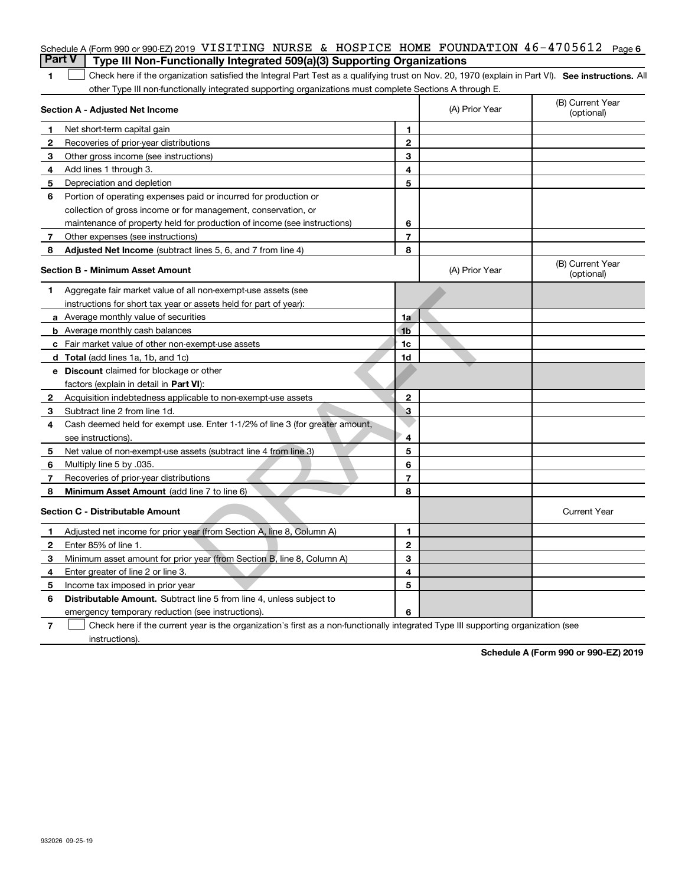|   | Schedule A (Form 990 or 990-EZ) 2019 VISITING NURSE & HOSPICE HOME FOUNDATION $46-4705612$                                                        |                |                | Page 6                         |
|---|---------------------------------------------------------------------------------------------------------------------------------------------------|----------------|----------------|--------------------------------|
|   | <b>Part V</b><br>Type III Non-Functionally Integrated 509(a)(3) Supporting Organizations                                                          |                |                |                                |
| 1 | Check here if the organization satisfied the Integral Part Test as a qualifying trust on Nov. 20, 1970 (explain in Part VI). See instructions. Al |                |                |                                |
|   | other Type III non-functionally integrated supporting organizations must complete Sections A through E.                                           |                |                |                                |
|   | Section A - Adjusted Net Income                                                                                                                   |                | (A) Prior Year | (B) Current Year<br>(optional) |
| 1 | Net short-term capital gain                                                                                                                       | 1              |                |                                |
| 2 | Recoveries of prior-year distributions                                                                                                            | $\mathbf{2}$   |                |                                |
| 3 | Other gross income (see instructions)                                                                                                             | 3              |                |                                |
| 4 | Add lines 1 through 3.                                                                                                                            | 4              |                |                                |
| 5 | Depreciation and depletion                                                                                                                        | 5              |                |                                |
| 6 | Portion of operating expenses paid or incurred for production or                                                                                  |                |                |                                |
|   | collection of gross income or for management, conservation, or                                                                                    |                |                |                                |
|   | maintenance of property held for production of income (see instructions)                                                                          | 6              |                |                                |
| 7 | Other expenses (see instructions)                                                                                                                 | $\overline{7}$ |                |                                |
| 8 | Adjusted Net Income (subtract lines 5, 6, and 7 from line 4)                                                                                      | 8              |                |                                |
|   | <b>Section B - Minimum Asset Amount</b>                                                                                                           |                | (A) Prior Year | (B) Current Year<br>(optional) |
| 1 | Aggregate fair market value of all non-exempt-use assets (see                                                                                     |                |                |                                |
|   | instructions for short tax year or assets held for part of year):                                                                                 |                |                |                                |
|   | <b>a</b> Average monthly value of securities                                                                                                      | 1a             |                |                                |
|   | <b>b</b> Average monthly cash balances                                                                                                            | 1 <sub>b</sub> |                |                                |
|   | <b>c</b> Fair market value of other non-exempt-use assets                                                                                         | 1c             |                |                                |
|   | d Total (add lines 1a, 1b, and 1c)                                                                                                                | 1d             |                |                                |
|   | <b>e</b> Discount claimed for blockage or other                                                                                                   |                |                |                                |
|   | factors (explain in detail in Part VI):                                                                                                           |                |                |                                |
| 2 | Acquisition indebtedness applicable to non-exempt-use assets                                                                                      | $\mathbf{2}$   |                |                                |
| 3 | Subtract line 2 from line 1d.                                                                                                                     | З              |                |                                |
| 4 | Cash deemed held for exempt use. Enter 1-1/2% of line 3 (for greater amount,                                                                      |                |                |                                |
|   | see instructions).                                                                                                                                | 4              |                |                                |
| 5 | Net value of non-exempt-use assets (subtract line 4 from line 3)                                                                                  | 5              |                |                                |
| 6 | Multiply line 5 by .035.                                                                                                                          | 6              |                |                                |
| 7 | Recoveries of prior-year distributions                                                                                                            | $\overline{7}$ |                |                                |
| 8 | Minimum Asset Amount (add line 7 to line 6)                                                                                                       | 8              |                |                                |
|   | <b>Section C - Distributable Amount</b>                                                                                                           |                |                | <b>Current Year</b>            |
| 1 | Adjusted net income for prior year (from Section A, line 8, Column A)                                                                             | 1              |                |                                |
|   | Enter 85% of line 1.                                                                                                                              | 2              |                |                                |
| 3 | Minimum asset amount for prior year (from Section B, line 8, Column A)                                                                            | 3              |                |                                |
| 4 | Enter greater of line 2 or line 3.                                                                                                                | 4              |                |                                |
| 5 | Income tax imposed in prior year                                                                                                                  | 5              |                |                                |
| 6 | <b>Distributable Amount.</b> Subtract line 5 from line 4, unless subject to                                                                       |                |                |                                |
|   | emergency temporary reduction (see instructions).                                                                                                 | 6              |                |                                |
| 7 | Check here if the current year is the organization's first as a non-functionally integrated Type III supporting organization (see                 |                |                |                                |

instructions).

**Schedule A (Form 990 or 990-EZ) 2019**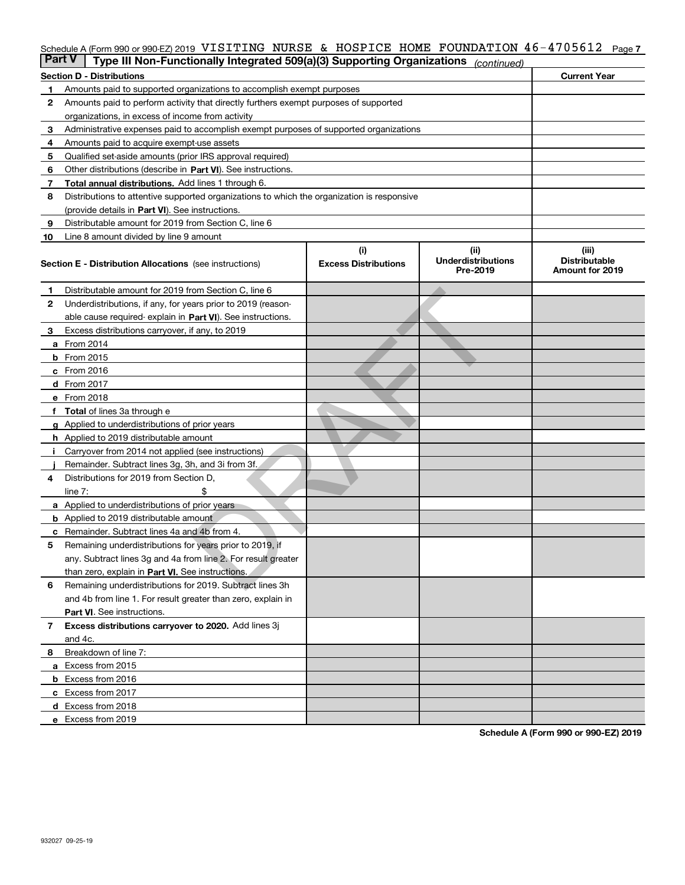# Schedule A (Form 990 or 990-EZ) 2019 VISITING NURSE & HOSPICE HOME FOUNDATION 46-4705612 Page 7<br>L**Part V** L. Type III Non Eunotionally Integrated 500(a)(3) Supporting Organizations (

| <b>Part V</b> | Type III Non-Functionally Integrated 509(a)(3) Supporting Organizations                    |                             | (continued)                           |                                         |
|---------------|--------------------------------------------------------------------------------------------|-----------------------------|---------------------------------------|-----------------------------------------|
|               | <b>Section D - Distributions</b>                                                           |                             |                                       | <b>Current Year</b>                     |
| 1             | Amounts paid to supported organizations to accomplish exempt purposes                      |                             |                                       |                                         |
| 2             | Amounts paid to perform activity that directly furthers exempt purposes of supported       |                             |                                       |                                         |
|               | organizations, in excess of income from activity                                           |                             |                                       |                                         |
| з             | Administrative expenses paid to accomplish exempt purposes of supported organizations      |                             |                                       |                                         |
| 4             | Amounts paid to acquire exempt-use assets                                                  |                             |                                       |                                         |
| 5             | Qualified set-aside amounts (prior IRS approval required)                                  |                             |                                       |                                         |
| 6             | Other distributions (describe in Part VI). See instructions.                               |                             |                                       |                                         |
| 7             | Total annual distributions. Add lines 1 through 6.                                         |                             |                                       |                                         |
| 8             | Distributions to attentive supported organizations to which the organization is responsive |                             |                                       |                                         |
|               | (provide details in Part VI). See instructions.                                            |                             |                                       |                                         |
| 9             | Distributable amount for 2019 from Section C, line 6                                       |                             |                                       |                                         |
| 10            | Line 8 amount divided by line 9 amount                                                     |                             |                                       |                                         |
|               |                                                                                            | (i)                         | (ii)                                  | (iii)                                   |
|               | <b>Section E - Distribution Allocations</b> (see instructions)                             | <b>Excess Distributions</b> | <b>Underdistributions</b><br>Pre-2019 | <b>Distributable</b><br>Amount for 2019 |
| 1             | Distributable amount for 2019 from Section C, line 6                                       |                             |                                       |                                         |
| 2             | Underdistributions, if any, for years prior to 2019 (reason-                               |                             |                                       |                                         |
|               | able cause required- explain in Part VI). See instructions.                                |                             |                                       |                                         |
| з             | Excess distributions carryover, if any, to 2019                                            |                             |                                       |                                         |
|               | <b>a</b> From 2014                                                                         |                             |                                       |                                         |
|               | <b>b</b> From 2015                                                                         |                             |                                       |                                         |
|               | c From 2016                                                                                |                             |                                       |                                         |
|               | d From 2017                                                                                |                             |                                       |                                         |
|               | e From 2018                                                                                |                             |                                       |                                         |
|               | <b>Total</b> of lines 3a through e                                                         |                             |                                       |                                         |
| a             | Applied to underdistributions of prior years                                               |                             |                                       |                                         |
|               | <b>h</b> Applied to 2019 distributable amount                                              |                             |                                       |                                         |
|               | Carryover from 2014 not applied (see instructions)                                         |                             |                                       |                                         |
|               | Remainder. Subtract lines 3g, 3h, and 3i from 3f.                                          |                             |                                       |                                         |
| 4             | Distributions for 2019 from Section D,                                                     |                             |                                       |                                         |
|               | line $7:$                                                                                  |                             |                                       |                                         |
|               | <b>a</b> Applied to underdistributions of prior years                                      |                             |                                       |                                         |
|               | <b>b</b> Applied to 2019 distributable amount                                              |                             |                                       |                                         |
| с             | Remainder. Subtract lines 4a and 4b from 4.                                                |                             |                                       |                                         |
| 5             | Remaining underdistributions for years prior to 2019, if                                   |                             |                                       |                                         |
|               | any. Subtract lines 3g and 4a from line 2. For result greater                              |                             |                                       |                                         |
|               | than zero, explain in Part VI. See instructions.                                           |                             |                                       |                                         |
| 6             | Remaining underdistributions for 2019. Subtract lines 3h                                   |                             |                                       |                                         |
|               | and 4b from line 1. For result greater than zero, explain in                               |                             |                                       |                                         |
|               | Part VI. See instructions.                                                                 |                             |                                       |                                         |
| 7             | Excess distributions carryover to 2020. Add lines 3j                                       |                             |                                       |                                         |
|               | and 4c.                                                                                    |                             |                                       |                                         |
| 8             | Breakdown of line 7:                                                                       |                             |                                       |                                         |
|               | a Excess from 2015                                                                         |                             |                                       |                                         |
|               | <b>b</b> Excess from 2016                                                                  |                             |                                       |                                         |
|               | c Excess from 2017                                                                         |                             |                                       |                                         |
|               | d Excess from 2018                                                                         |                             |                                       |                                         |
|               | e Excess from 2019                                                                         |                             |                                       |                                         |
|               |                                                                                            |                             |                                       |                                         |

**Schedule A (Form 990 or 990-EZ) 2019**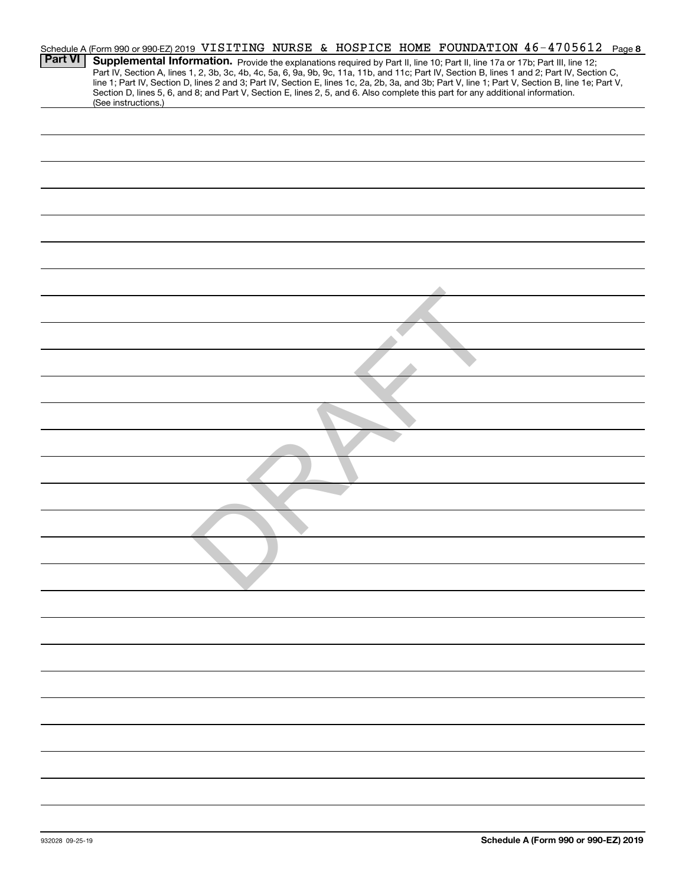|                |                     |  |  |  |  |                                                                                                                                                                                                                                                                  | Schedule A (Form 990 or 990-EZ) 2019 VISITING NURSE & HOSPICE HOME FOUNDATION 46-4705612 Page 8                                                                                                                                                                                                  |
|----------------|---------------------|--|--|--|--|------------------------------------------------------------------------------------------------------------------------------------------------------------------------------------------------------------------------------------------------------------------|--------------------------------------------------------------------------------------------------------------------------------------------------------------------------------------------------------------------------------------------------------------------------------------------------|
| <b>Part VI</b> | (See instructions.) |  |  |  |  | Supplemental Information. Provide the explanations required by Part II, line 10; Part II, line 17a or 17b; Part III, line 12;<br>Section D, lines 5, 6, and 8; and Part V, Section E, lines 2, 5, and 6. Also complete this part for any additional information. | Part IV, Section A, lines 1, 2, 3b, 3c, 4b, 4c, 5a, 6, 9a, 9b, 9c, 11a, 11b, and 11c; Part IV, Section B, lines 1 and 2; Part IV, Section C,<br>line 1; Part IV, Section D, lines 2 and 3; Part IV, Section E, lines 1c, 2a, 2b, 3a, and 3b; Part V, line 1; Part V, Section B, line 1e; Part V, |
|                |                     |  |  |  |  |                                                                                                                                                                                                                                                                  |                                                                                                                                                                                                                                                                                                  |
|                |                     |  |  |  |  |                                                                                                                                                                                                                                                                  |                                                                                                                                                                                                                                                                                                  |
|                |                     |  |  |  |  |                                                                                                                                                                                                                                                                  |                                                                                                                                                                                                                                                                                                  |
|                |                     |  |  |  |  |                                                                                                                                                                                                                                                                  |                                                                                                                                                                                                                                                                                                  |
|                |                     |  |  |  |  |                                                                                                                                                                                                                                                                  |                                                                                                                                                                                                                                                                                                  |
|                |                     |  |  |  |  |                                                                                                                                                                                                                                                                  |                                                                                                                                                                                                                                                                                                  |
|                |                     |  |  |  |  |                                                                                                                                                                                                                                                                  |                                                                                                                                                                                                                                                                                                  |
|                |                     |  |  |  |  |                                                                                                                                                                                                                                                                  |                                                                                                                                                                                                                                                                                                  |
|                |                     |  |  |  |  |                                                                                                                                                                                                                                                                  |                                                                                                                                                                                                                                                                                                  |
|                |                     |  |  |  |  |                                                                                                                                                                                                                                                                  |                                                                                                                                                                                                                                                                                                  |
|                |                     |  |  |  |  |                                                                                                                                                                                                                                                                  |                                                                                                                                                                                                                                                                                                  |
|                |                     |  |  |  |  |                                                                                                                                                                                                                                                                  |                                                                                                                                                                                                                                                                                                  |
|                |                     |  |  |  |  |                                                                                                                                                                                                                                                                  |                                                                                                                                                                                                                                                                                                  |
|                |                     |  |  |  |  |                                                                                                                                                                                                                                                                  |                                                                                                                                                                                                                                                                                                  |
|                |                     |  |  |  |  |                                                                                                                                                                                                                                                                  |                                                                                                                                                                                                                                                                                                  |
|                |                     |  |  |  |  |                                                                                                                                                                                                                                                                  |                                                                                                                                                                                                                                                                                                  |
|                |                     |  |  |  |  |                                                                                                                                                                                                                                                                  |                                                                                                                                                                                                                                                                                                  |
|                |                     |  |  |  |  |                                                                                                                                                                                                                                                                  |                                                                                                                                                                                                                                                                                                  |
|                |                     |  |  |  |  |                                                                                                                                                                                                                                                                  |                                                                                                                                                                                                                                                                                                  |
|                |                     |  |  |  |  |                                                                                                                                                                                                                                                                  |                                                                                                                                                                                                                                                                                                  |
|                |                     |  |  |  |  |                                                                                                                                                                                                                                                                  |                                                                                                                                                                                                                                                                                                  |
|                |                     |  |  |  |  |                                                                                                                                                                                                                                                                  |                                                                                                                                                                                                                                                                                                  |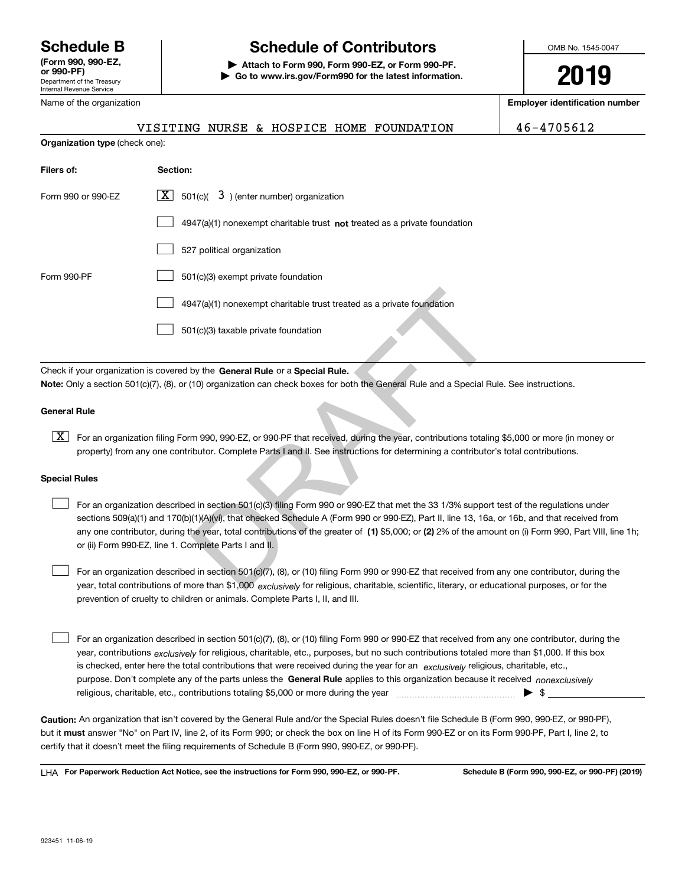Department of the Treasury Internal Revenue Service **(Form 990, 990-EZ, or 990-PF)** Name of the organization

**Organization type** (check one):

# **Schedule B Schedule of Contributors**

**| Attach to Form 990, Form 990-EZ, or Form 990-PF. | Go to www.irs.gov/Form990 for the latest information.** OMB No. 1545-0047

**2019**

**Employer identification number**

VISITING NURSE & HOSPICE HOME FOUNDATION 46-4705612

| Filers of:           | Section:                                                                                                                                                                                                                                                                                                                                                                                                                                            |  |  |  |  |  |
|----------------------|-----------------------------------------------------------------------------------------------------------------------------------------------------------------------------------------------------------------------------------------------------------------------------------------------------------------------------------------------------------------------------------------------------------------------------------------------------|--|--|--|--|--|
| Form 990 or 990-EZ   | $\boxed{\mathbf{X}}$ 501(c)( 3) (enter number) organization                                                                                                                                                                                                                                                                                                                                                                                         |  |  |  |  |  |
|                      | $4947(a)(1)$ nonexempt charitable trust <b>not</b> treated as a private foundation                                                                                                                                                                                                                                                                                                                                                                  |  |  |  |  |  |
|                      | 527 political organization                                                                                                                                                                                                                                                                                                                                                                                                                          |  |  |  |  |  |
| Form 990-PF          | 501(c)(3) exempt private foundation                                                                                                                                                                                                                                                                                                                                                                                                                 |  |  |  |  |  |
|                      | 4947(a)(1) nonexempt charitable trust treated as a private foundation                                                                                                                                                                                                                                                                                                                                                                               |  |  |  |  |  |
|                      | 501(c)(3) taxable private foundation                                                                                                                                                                                                                                                                                                                                                                                                                |  |  |  |  |  |
|                      |                                                                                                                                                                                                                                                                                                                                                                                                                                                     |  |  |  |  |  |
|                      | Check if your organization is covered by the General Rule or a Special Rule.<br>Note: Only a section 501(c)(7), (8), or (10) organization can check boxes for both the General Rule and a Special Rule. See instruct                                                                                                                                                                                                                                |  |  |  |  |  |
| <b>General Rule</b>  |                                                                                                                                                                                                                                                                                                                                                                                                                                                     |  |  |  |  |  |
| X                    | For an organization filing Form 990, 990-EZ, or 990-PF that received, during the year, contributions totaling \$5,000 or mo<br>property) from any one contributor. Complete Parts I and II. See instructions for determining a contributor's total contribu                                                                                                                                                                                         |  |  |  |  |  |
| <b>Special Rules</b> |                                                                                                                                                                                                                                                                                                                                                                                                                                                     |  |  |  |  |  |
|                      | For an organization described in section 501(c)(3) filing Form 990 or 990-EZ that met the 33 1/3% support test of the regu<br>sections 509(a)(1) and 170(b)(1)(A)(vi), that checked Schedule A (Form 990 or 990-EZ), Part II, line 13, 16a, or 16b, and th<br>any one contributor, during the year, total contributions of the greater of (1) \$5,000; or (2) 2% of the amount on (i) Form<br>or (ii) Form 990-EZ, line 1. Complete Parts I and II. |  |  |  |  |  |
|                      | For an organization described in section 501(c)(7), (8), or (10) filing Form 990 or 990-EZ that received from any one contril<br>year, total contributions of more than \$1,000 exclusively for religious, charitable, scientific, literary, or educational purpos                                                                                                                                                                                  |  |  |  |  |  |

### **General Rule**

 $\boxed{\textbf{X}}$  For an organization filing Form 990, 990-EZ, or 990-PF that received, during the year, contributions totaling \$5,000 or more (in money or property) from any one contributor. Complete Parts I and II. See instructions for determining a contributor's total contributions.

### **Special Rules**

any one contributor, during the year, total contributions of the greater of  $\,$  (1) \$5,000; or (**2)** 2% of the amount on (i) Form 990, Part VIII, line 1h; For an organization described in section 501(c)(3) filing Form 990 or 990-EZ that met the 33 1/3% support test of the regulations under sections 509(a)(1) and 170(b)(1)(A)(vi), that checked Schedule A (Form 990 or 990-EZ), Part II, line 13, 16a, or 16b, and that received from or (ii) Form 990-EZ, line 1. Complete Parts I and II.  $\mathcal{L}^{\text{max}}$ 

year, total contributions of more than \$1,000 *exclusively* for religious, charitable, scientific, literary, or educational purposes, or for the For an organization described in section 501(c)(7), (8), or (10) filing Form 990 or 990-EZ that received from any one contributor, during the prevention of cruelty to children or animals. Complete Parts I, II, and III.  $\mathcal{L}^{\text{max}}$ 

purpose. Don't complete any of the parts unless the **General Rule** applies to this organization because it received *nonexclusively* year, contributions <sub>exclusively</sub> for religious, charitable, etc., purposes, but no such contributions totaled more than \$1,000. If this box is checked, enter here the total contributions that were received during the year for an  $\;$ exclusively religious, charitable, etc., For an organization described in section 501(c)(7), (8), or (10) filing Form 990 or 990-EZ that received from any one contributor, during the religious, charitable, etc., contributions totaling \$5,000 or more during the year  $\Box$ — $\Box$   $\Box$  $\mathcal{L}^{\text{max}}$ 

**Caution:**  An organization that isn't covered by the General Rule and/or the Special Rules doesn't file Schedule B (Form 990, 990-EZ, or 990-PF), but it **must** answer "No" on Part IV, line 2, of its Form 990; or check the box on line H of its Form 990-EZ or on its Form 990-PF, Part I, line 2, to<br>cortify that it doesn't meet the filipe requirements of Schodule B (Fer certify that it doesn't meet the filing requirements of Schedule B (Form 990, 990-EZ, or 990-PF).

**For Paperwork Reduction Act Notice, see the instructions for Form 990, 990-EZ, or 990-PF. Schedule B (Form 990, 990-EZ, or 990-PF) (2019)** LHA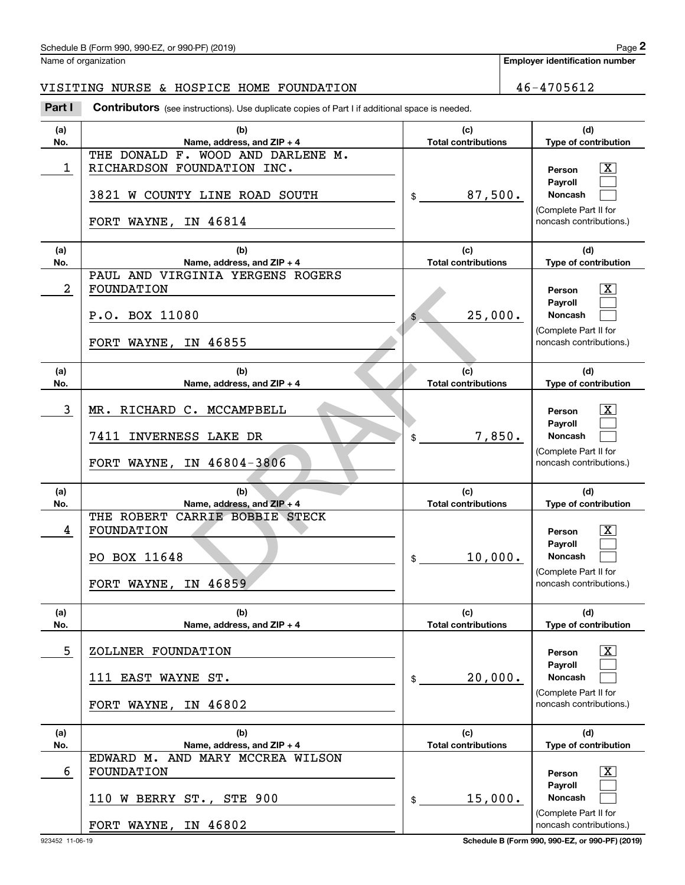### VISITING NURSE & HOSPICE HOME FOUNDATION 46-4705612

|            | Schedule B (Form 990, 990-EZ, or 990-PF) (2019)                                                                                |                                   |        | Page 2                                                                                           |
|------------|--------------------------------------------------------------------------------------------------------------------------------|-----------------------------------|--------|--------------------------------------------------------------------------------------------------|
|            | Name of organization                                                                                                           |                                   |        | <b>Employer identification number</b>                                                            |
|            | VISITING NURSE & HOSPICE HOME FOUNDATION                                                                                       |                                   |        | 46-4705612                                                                                       |
| Part I     | <b>Contributors</b> (see instructions). Use duplicate copies of Part I if additional space is needed.                          |                                   |        |                                                                                                  |
| (a)<br>No. | (b)<br>Name, address, and ZIP + 4                                                                                              | (c)<br><b>Total contributions</b> |        | (d)<br>Type of contribution                                                                      |
| 1          | THE DONALD<br>F. WOOD AND DARLENE M.<br>RICHARDSON FOUNDATION INC.<br>3821<br>W COUNTY LINE ROAD SOUTH<br>FORT WAYNE, IN 46814 | 87,500.<br>\$                     |        | $\mathbf{X}$<br>Person<br>Payroll<br>Noncash<br>(Complete Part II for<br>noncash contributions.) |
|            |                                                                                                                                |                                   |        |                                                                                                  |
| (a)<br>No. | (b)<br>Name, address, and ZIP + 4                                                                                              | (c)<br><b>Total contributions</b> |        | (d)<br>Type of contribution                                                                      |
| 2          | PAUL AND VIRGINIA YERGENS ROGERS<br>FOUNDATION<br>P.O. BOX 11080<br>FORT WAYNE, IN 46855                                       | 25,000.<br>\$                     |        | $\mathbf{X}$<br>Person<br>Payroll<br>Noncash<br>(Complete Part II for<br>noncash contributions.) |
| (a)<br>No. | (b)<br>Name, address, and ZIP + 4                                                                                              | (c)<br><b>Total contributions</b> |        | (d)<br>Type of contribution                                                                      |
| 3          | MR. RICHARD C. MCCAMPBELL<br>7411<br>INVERNESS LAKE DR<br>FORT WAYNE, IN 46804-3806                                            | \$                                | 7,850. | $\mathbf{X}$<br>Person<br>Payroll<br>Noncash<br>(Complete Part II for<br>noncash contributions.) |
| (a)<br>No. | (b)<br>Name, address, and ZIP + 4                                                                                              | (c)<br><b>Total contributions</b> |        | (d)<br>Type of contribution                                                                      |
| 4          | THE ROBERT<br>CARRIE BOBBIE STECK<br>FOUNDATION<br>PO BOX 11648<br>FORT WAYNE, IN 46859                                        | 10,000.<br>\$                     |        | $\mathbf{X}$<br>Person<br>Payroll<br>Noncash<br>(Complete Part II for<br>noncash contributions.) |
| (a)<br>No. | (b)<br>Name, address, and ZIP + 4                                                                                              | (c)<br><b>Total contributions</b> |        | (d)<br>Type of contribution                                                                      |
| 5          | ZOLLNER FOUNDATION                                                                                                             |                                   |        | $\lfloor x \rfloor$<br>Person                                                                    |
|            | 111 EAST WAYNE ST.<br>FORT WAYNE, IN 46802                                                                                     | 20,000.<br>\$                     |        | Payroll<br>Noncash<br>(Complete Part II for<br>noncash contributions.)                           |
| (a)        | (b)                                                                                                                            | (c)                               |        | (d)                                                                                              |
| No.<br>6   | Name, address, and ZIP + 4<br>EDWARD M. AND MARY MCCREA WILSON<br>FOUNDATION                                                   | <b>Total contributions</b>        |        | Type of contribution<br>$\vert$ X<br>Person                                                      |
|            | 110 W BERRY ST., STE 900                                                                                                       | 15,000.<br>\$                     |        | Payroll<br>Noncash<br>(Complete Part II for                                                      |
|            | FORT WAYNE, IN 46802                                                                                                           |                                   |        | noncash contributions.)                                                                          |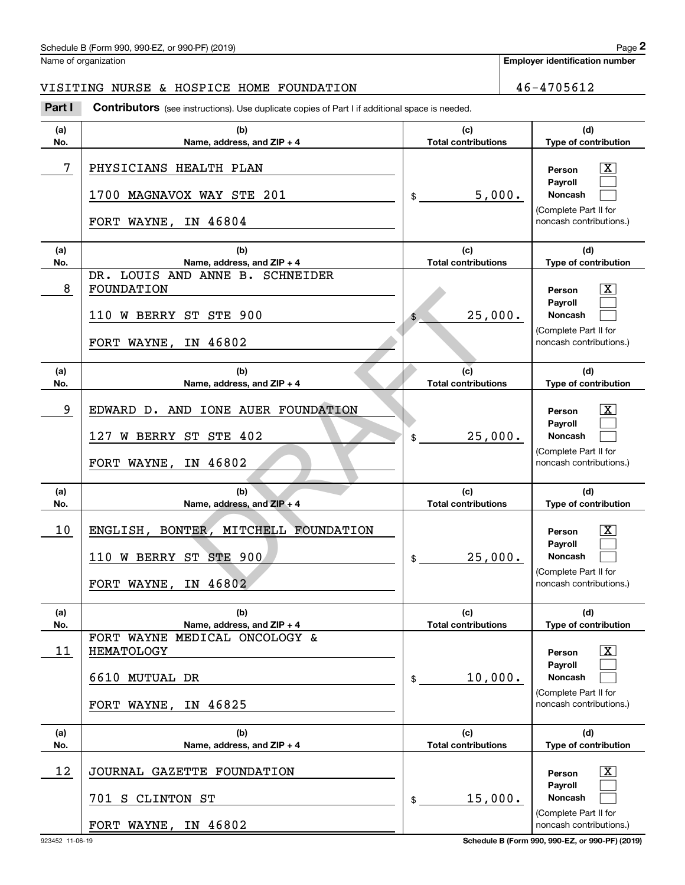### VISITING NURSE & HOSPICE HOME FOUNDATION | 46-4705612

|            | Schedule B (Form 990, 990-EZ, or 990-PF) (2019)                                                |                                   |        | Page 2                                           |
|------------|------------------------------------------------------------------------------------------------|-----------------------------------|--------|--------------------------------------------------|
|            | Name of organization                                                                           |                                   |        | <b>Employer identification number</b>            |
|            | VISITING NURSE & HOSPICE HOME FOUNDATION                                                       |                                   |        | 46-4705612                                       |
| Part I     | Contributors (see instructions). Use duplicate copies of Part I if additional space is needed. |                                   |        |                                                  |
| (a)<br>No. | (b)<br>Name, address, and ZIP + 4                                                              | (c)<br><b>Total contributions</b> |        | (d)<br>Type of contribution                      |
| 7          | PHYSICIANS HEALTH PLAN                                                                         |                                   |        | $\mathbf{X}$<br>Person<br>Payroll                |
|            | 1700 MAGNAVOX WAY STE 201                                                                      | \$                                | 5,000. | Noncash<br>(Complete Part II for                 |
|            | FORT WAYNE, IN 46804                                                                           |                                   |        | noncash contributions.)                          |
| (a)<br>No. | (b)<br>Name, address, and ZIP + 4                                                              | (c)<br><b>Total contributions</b> |        | (d)<br>Type of contribution                      |
| 8          | DR. LOUIS AND ANNE B. SCHNEIDER<br>FOUNDATION                                                  |                                   |        | $\overline{\mathbf{X}}$<br>Person                |
|            | 110 W BERRY ST STE 900                                                                         | 25,000.<br>\$                     |        | Payroll<br>Noncash<br>(Complete Part II for      |
|            | FORT WAYNE, IN 46802                                                                           |                                   |        | noncash contributions.)                          |
| (a)<br>No. | (b)<br>Name, address, and ZIP + 4                                                              | (c)<br><b>Total contributions</b> |        | (d)<br>Type of contribution                      |
| 9          | EDWARD D. AND IONE AUER FOUNDATION                                                             |                                   |        | $\overline{\mathbf{X}}$<br>Person<br>Payroll     |
|            | 127 W BERRY ST STE 402                                                                         | 25,000.<br>\$                     |        | Noncash<br>(Complete Part II for                 |
|            | FORT WAYNE, IN 46802                                                                           |                                   |        | noncash contributions.)                          |
| (a)<br>No. | (b)<br>Name, address, and ZIP + 4                                                              | (c)<br><b>Total contributions</b> |        | (d)<br>Type of contribution                      |
| 10         | ENGLISH, BONTER, MITCHELL FOUNDATION                                                           |                                   |        | $\overline{\mathbf{X}}$<br>Person<br>Payroll     |
|            | 110 W BERRY ST STE 900                                                                         | 25,000.<br>\$                     |        | <b>Noncash</b>                                   |
|            | FORT WAYNE, IN 46802                                                                           |                                   |        | (Complete Part II for<br>noncash contributions.) |
| (a)<br>No. | (b)<br>Name, address, and ZIP + 4                                                              | (c)<br><b>Total contributions</b> |        | (d)<br>Type of contribution                      |
| 11         | FORT WAYNE MEDICAL ONCOLOGY &<br><b>HEMATOLOGY</b>                                             |                                   |        | $\overline{\mathbf{X}}$<br>Person                |
|            | 6610 MUTUAL DR                                                                                 | 10,000.<br>\$                     |        | Payroll<br>Noncash                               |
|            | FORT WAYNE, IN 46825                                                                           |                                   |        | (Complete Part II for<br>noncash contributions.) |
| (a)<br>No. | (b)<br>Name, address, and $ZIP + 4$                                                            | (c)<br><b>Total contributions</b> |        | (d)<br>Type of contribution                      |
| 12         | JOURNAL GAZETTE FOUNDATION                                                                     |                                   |        | $\overline{\mathbf{X}}$<br>Person                |
|            | 701 S CLINTON ST                                                                               | 15,000.<br>\$                     |        | Payroll<br>Noncash                               |
|            | FORT WAYNE, IN 46802                                                                           |                                   |        | (Complete Part II for<br>noncash contributions.) |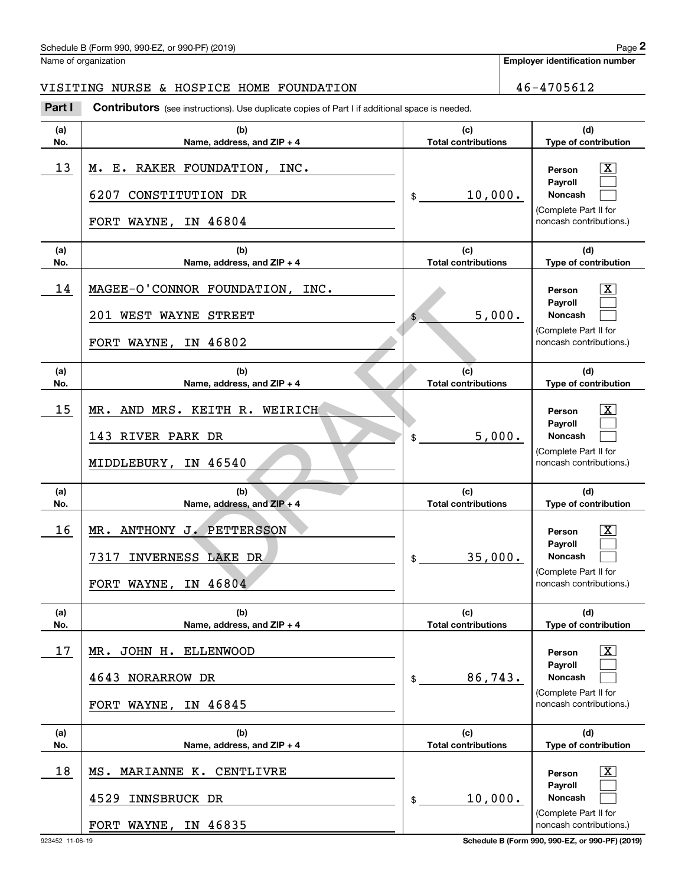### Schedule B (Form 990, 990-EZ, or 990-PF) (2019)  $P_0 = 2$

Name of organization

**Employer identification number**

### VISITING NURSE & HOSPICE HOME FOUNDATION  $\vert$  46-4705612

**(a)No.(b)Name, address, and ZIP + 4 (c)Total contributions (d)Type of contribution PersonPayrollNoncash (a)No.(b)Name, address, and ZIP + 4 (c)Total contributions (d)Type of contribution PersonPayrollNoncash (a)No.(b)Name, address, and ZIP + 4 (c)Total contributions (d)Type of contribution PersonPayrollNoncash (a)No.(b)Name, address, and ZIP + 4 (c) Total contributions (d)Type of contribution PersonPayrollNoncash (a)No.(b)Name, address, and ZIP + 4 (c)Total contributions (d)Type of contribution PersonPayrollNoncash (a)No.(b)Name, address, and ZIP + 4 (c)Total contributions (d)Type of contribution PersonPayrollNoncash Contributors** (see instructions). Use duplicate copies of Part I if additional space is needed. \$(Complete Part II for noncash contributions.) \$(Complete Part II for noncash contributions.) \$(Complete Part II for noncash contributions.) \$(Complete Part II for noncash contributions.) \$(Complete Part II for noncash contributions.) \$(Complete Part II for noncash contributions.) **2** Chedule B (Form 990, 990-EZ, or 990-PF) (2019)<br> **2Part I 2Part I Contributors** (see instructions). Use duplicate copies of Part I if additional space is needed.<br> **Part I Contributors** (see instructions). Use dupl  $\lceil \text{X} \rceil$  $\mathcal{L}^{\text{max}}$  $\mathcal{L}^{\text{max}}$  $\boxed{\text{X}}$  $\mathcal{L}^{\text{max}}$  $\mathcal{L}^{\text{max}}$  $\lceil \text{X} \rceil$  $\mathcal{L}^{\text{max}}$  $\mathcal{L}^{\text{max}}$  $|X|$  $\mathcal{L}^{\text{max}}$  $\mathcal{L}^{\text{max}}$  $|X|$  $\mathcal{L}^{\text{max}}$  $\mathcal{L}^{\text{max}}$  $\boxed{\text{X}}$  $\mathcal{L}^{\text{max}}$  $\mathcal{L}^{\text{max}}$ <code>13</code> | M. E. RAKER FOUNDATION, INC.  $\qquad \qquad$  |  $\qquad \qquad$  Person  $\qquad \overline{\text{X}}$ 10,000. 6207 CONSTITUTION DR FORT WAYNE, IN 46804  $14$  | MAGEE-O'CONNOR FOUNDATION, INC.  $\hskip10mm$  Person  $\hskip10mm$   $\hskip10mm$  Person  $\hskip10mm$   $\hskip10mm$  X 5,000. 201 WEST WAYNE STREET FORT WAYNE, IN 46802 15 X MR. AND MRS. KEITH R. WEIRICH 5,000. 143 RIVER PARK DR MIDDLEBURY, IN 46540 16 X MR. ANTHONY J. PETTERSSON 35,000. 7317 INVERNESS LAKE DR FORT WAYNE, IN 46804 17 X MR. JOHN H. ELLENWOOD 86,743. 4643 NORARROW DR FORT WAYNE, IN 46845 18 X MS. MARIANNE K. CENTLIVRE 10,000. 4529 INNSBRUCK DR FORT WAYNE, IN 46835 E STREET<br>
N 46802<br>
(b)<br>
ame, address, and ZIP+4<br>
KEITH R. WEIRICH<br>
K DR<br>
N 46540<br>
(c)<br>
ame, address, and ZIP+4<br>
(c)<br>
ame, address, and ZIP+4<br>
(c)<br>
ame, address, and ZIP+4<br>
(c)<br>
S LAKE DR<br>
S LAKE DR<br>
N 46804<br>
N 46804<br>
N 468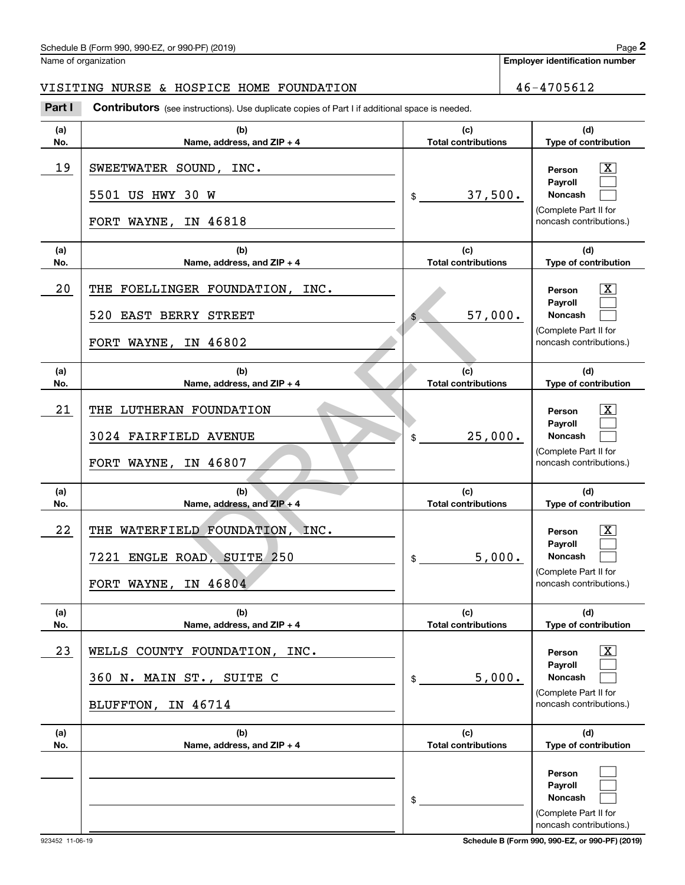### Schedule B (Form 990, 990-EZ, or 990-PF) (2019) Page 2

### VISITING NURSE & HOSPICE HOME FOUNDATION 46-4705612

|            | Schedule B (Form 990, 990-EZ, or 990-PF) (2019)                                                |                                   |        | Page 2                                                                                                  |
|------------|------------------------------------------------------------------------------------------------|-----------------------------------|--------|---------------------------------------------------------------------------------------------------------|
|            | Name of organization                                                                           |                                   |        | <b>Employer identification number</b>                                                                   |
|            | VISITING NURSE & HOSPICE HOME FOUNDATION                                                       |                                   |        | 46-4705612                                                                                              |
| Part I     | Contributors (see instructions). Use duplicate copies of Part I if additional space is needed. |                                   |        |                                                                                                         |
| (a)<br>No. | (b)<br>Name, address, and ZIP + 4                                                              | (c)<br><b>Total contributions</b> |        | (d)<br>Type of contribution                                                                             |
| 19         | SWEETWATER SOUND, INC.<br>5501 US HWY 30 W                                                     | 37,500.<br>\$                     |        | $\mathbf{X}$<br>Person<br>Payroll<br>Noncash<br>(Complete Part II for                                   |
|            | FORT WAYNE, IN 46818                                                                           |                                   |        | noncash contributions.)                                                                                 |
| (a)<br>No. | (b)<br>Name, address, and ZIP + 4                                                              | (c)<br><b>Total contributions</b> |        | (d)<br>Type of contribution                                                                             |
| 20         | THE<br>FOELLINGER FOUNDATION, INC.<br>520 EAST BERRY STREET<br>FORT WAYNE, IN 46802            | 57,000.<br>\$                     |        | $\mathbf{X}$<br>Person<br>Payroll<br>Noncash<br>(Complete Part II for<br>noncash contributions.)        |
| (a)<br>No. | (b)<br>Name, address, and ZIP + 4                                                              | (c)<br><b>Total contributions</b> |        | (d)<br>Type of contribution                                                                             |
| 21         | LUTHERAN FOUNDATION<br>THE<br>3024 FAIRFIELD AVENUE<br>FORT WAYNE, IN 46807                    | 25,000.<br>\$                     |        | $\mathbf{X}$<br>Person<br>Payroll<br>Noncash<br>(Complete Part II for<br>noncash contributions.)        |
| (a)<br>No. | (b)<br>Name, address, and ZIP + 4                                                              | (c)<br><b>Total contributions</b> |        | (d)<br>Type of contribution                                                                             |
| 22         | THE WATERFIELD FOUNDATION, INC.<br>7221 ENGLE ROAD, SUITE 250<br>FORT WAYNE, IN 46804          | \$                                | 5,000. | $\mathbf{X}$<br>Person<br>Payroll<br>Noncash<br>(Complete Part II for<br>noncash contributions.)        |
| (a)<br>No. | (b)<br>Name, address, and ZIP + 4                                                              | (c)<br><b>Total contributions</b> |        | (d)<br>Type of contribution                                                                             |
| 23         | WELLS COUNTY FOUNDATION, INC.<br>360 N. MAIN ST., SUITE C<br>BLUFFTON, IN 46714                | \$                                | 5,000. | $\lfloor x \rfloor$<br>Person<br>Payroll<br>Noncash<br>(Complete Part II for<br>noncash contributions.) |
| (a)<br>No. | (b)<br>Name, address, and ZIP + 4                                                              | (c)<br><b>Total contributions</b> |        | (d)<br>Type of contribution                                                                             |
|            |                                                                                                | \$                                |        | Person<br>Payroll<br>Noncash<br>(Complete Part II for<br>noncash contributions.)                        |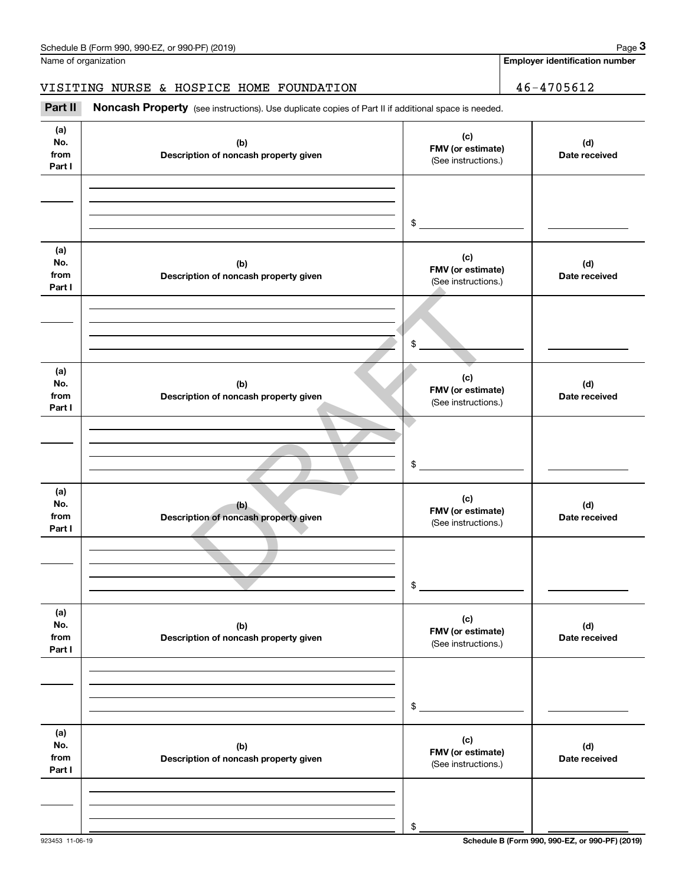**Employer identification number**

VISITING NURSE & HOSPICE HOME FOUNDATION | 46-4705612

#### **(a)No.fromPart I (c) FMV (or estimate) (b) Description of noncash property given (d) Date received (a)No.from Part I (c) FMV (or estimate) (b) Description of noncash property given (d) Date received (a)No.fromPart I (c) FMV (or estimate) (b) Description of noncash property given (d) Date received (a) No.fromPart I (c) FMV (or estimate) (b) Description of noncash property given (d)Date received (a) No.fromPart I (c) FMV (or estimate) (b)Description of noncash property given (d) Date received (a) No.fromPart I (c)FMV (or estimate) (b)Description of noncash property given (d)Date received** Noncash Property (see instructions). Use duplicate copies of Part II if additional space is needed. (See instructions.) \$(See instructions.) \$(See instructions.) \$(See instructions.) \$(See instructions.) \$(See instructions.) **Employer identification**<br> **Employer identification number**<br> **3Part II**<br> **2Part II** Noncash Property (see instructions). Use duplicate copies of Part II if additional space is needed. (b)<br>
(b)<br>
TMV (or estimat<br>
(see instructions)<br>
(c)<br>
TMV (or estimat<br>
(see instructions)<br>
(c)<br>
FMV (or estimat<br>
(see instructions)<br>
(c)<br>
FMV (or estimat<br>
(see instructions)<br>
(see instructions)<br>
(see instructions)<br>
(see inst

\$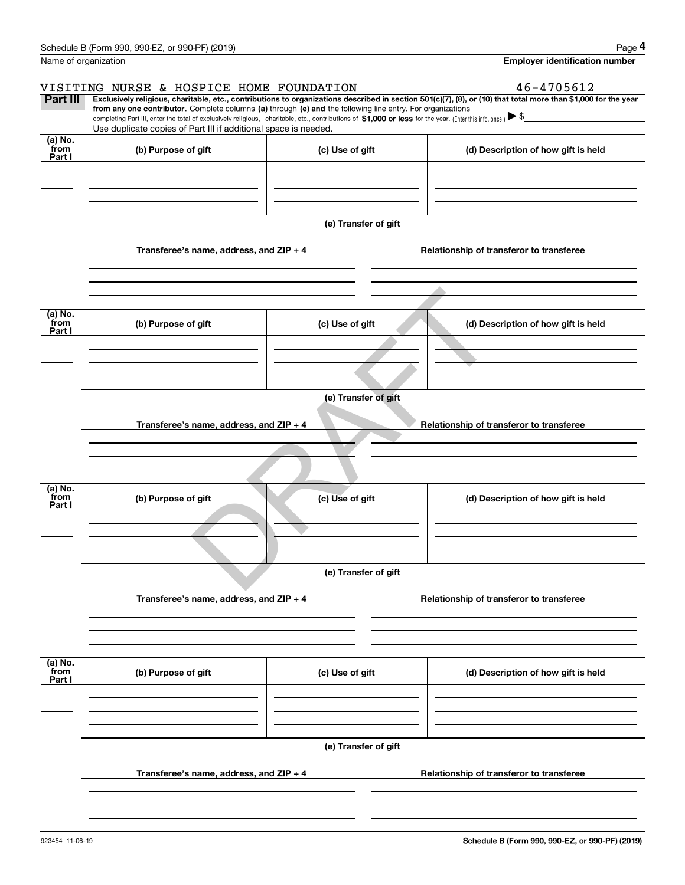|                           | Schedule B (Form 990, 990-EZ, or 990-PF) (2019)                                                                                                                                                                                                                                                                                                                       |                                       |                                                                                                                                                                | Page 4 |  |  |  |  |
|---------------------------|-----------------------------------------------------------------------------------------------------------------------------------------------------------------------------------------------------------------------------------------------------------------------------------------------------------------------------------------------------------------------|---------------------------------------|----------------------------------------------------------------------------------------------------------------------------------------------------------------|--------|--|--|--|--|
| Name of organization      |                                                                                                                                                                                                                                                                                                                                                                       | <b>Employer identification number</b> |                                                                                                                                                                |        |  |  |  |  |
|                           | VISITING NURSE & HOSPICE HOME FOUNDATION                                                                                                                                                                                                                                                                                                                              | 46-4705612                            |                                                                                                                                                                |        |  |  |  |  |
| Part III                  | from any one contributor. Complete columns (a) through (e) and the following line entry. For organizations<br>completing Part III, enter the total of exclusively religious, charitable, etc., contributions of $$1,000$ or less for the year. (Enter this info. once.) $\blacktriangleright$ $\$$<br>Use duplicate copies of Part III if additional space is needed. |                                       | Exclusively religious, charitable, etc., contributions to organizations described in section 501(c)(7), (8), or (10) that total more than \$1,000 for the year |        |  |  |  |  |
| (a) No.<br>from           |                                                                                                                                                                                                                                                                                                                                                                       |                                       |                                                                                                                                                                |        |  |  |  |  |
| Part I                    | (b) Purpose of gift                                                                                                                                                                                                                                                                                                                                                   | (c) Use of gift                       | (d) Description of how gift is held                                                                                                                            |        |  |  |  |  |
|                           |                                                                                                                                                                                                                                                                                                                                                                       | (e) Transfer of gift                  |                                                                                                                                                                |        |  |  |  |  |
|                           | Transferee's name, address, and ZIP + 4                                                                                                                                                                                                                                                                                                                               |                                       | Relationship of transferor to transferee                                                                                                                       |        |  |  |  |  |
|                           |                                                                                                                                                                                                                                                                                                                                                                       |                                       |                                                                                                                                                                |        |  |  |  |  |
| (a) No.<br>from<br>Part I | (b) Purpose of gift                                                                                                                                                                                                                                                                                                                                                   | (c) Use of gift                       | (d) Description of how gift is held                                                                                                                            |        |  |  |  |  |
|                           |                                                                                                                                                                                                                                                                                                                                                                       |                                       |                                                                                                                                                                |        |  |  |  |  |
|                           | (e) Transfer of gift                                                                                                                                                                                                                                                                                                                                                  |                                       |                                                                                                                                                                |        |  |  |  |  |
|                           | Transferee's name, address, and $ZIP + 4$                                                                                                                                                                                                                                                                                                                             |                                       | Relationship of transferor to transferee                                                                                                                       |        |  |  |  |  |
|                           |                                                                                                                                                                                                                                                                                                                                                                       |                                       |                                                                                                                                                                |        |  |  |  |  |
| (a) No.<br>from<br>Part I | (b) Purpose of gift                                                                                                                                                                                                                                                                                                                                                   | (c) Use of gift                       | (d) Description of how gift is held                                                                                                                            |        |  |  |  |  |
|                           |                                                                                                                                                                                                                                                                                                                                                                       |                                       |                                                                                                                                                                |        |  |  |  |  |
|                           | (e) Transfer of gift                                                                                                                                                                                                                                                                                                                                                  |                                       |                                                                                                                                                                |        |  |  |  |  |
|                           | Transferee's name, address, and $ZIP + 4$                                                                                                                                                                                                                                                                                                                             |                                       | Relationship of transferor to transferee                                                                                                                       |        |  |  |  |  |
|                           |                                                                                                                                                                                                                                                                                                                                                                       |                                       |                                                                                                                                                                |        |  |  |  |  |
| (a) No.<br>from<br>Part I | (b) Purpose of gift                                                                                                                                                                                                                                                                                                                                                   | (c) Use of gift                       | (d) Description of how gift is held                                                                                                                            |        |  |  |  |  |
|                           |                                                                                                                                                                                                                                                                                                                                                                       |                                       |                                                                                                                                                                |        |  |  |  |  |
|                           | (e) Transfer of gift                                                                                                                                                                                                                                                                                                                                                  |                                       |                                                                                                                                                                |        |  |  |  |  |
|                           | Transferee's name, address, and ZIP + 4                                                                                                                                                                                                                                                                                                                               |                                       | Relationship of transferor to transferee                                                                                                                       |        |  |  |  |  |
|                           |                                                                                                                                                                                                                                                                                                                                                                       |                                       |                                                                                                                                                                |        |  |  |  |  |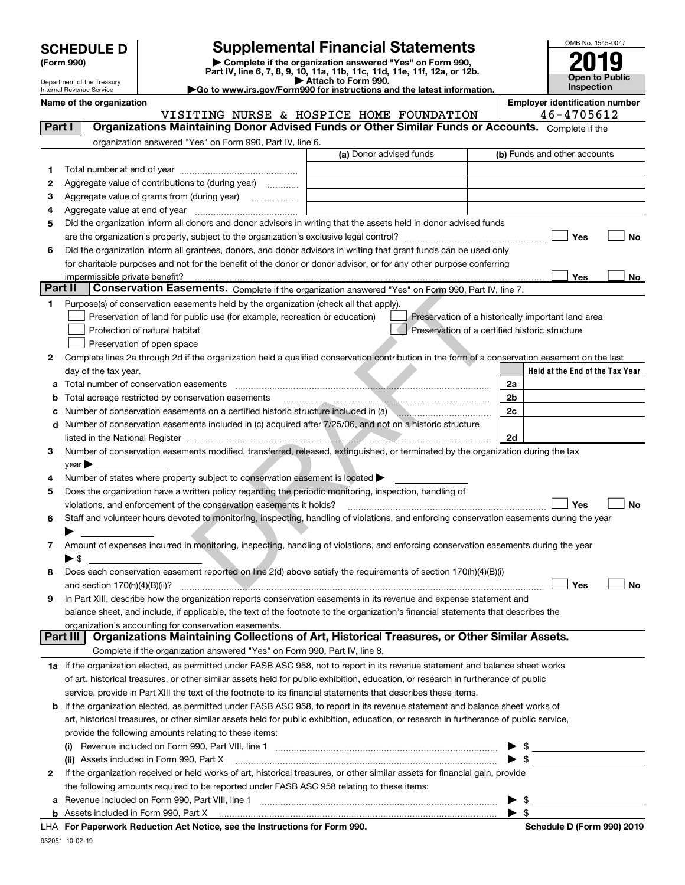|  |  |  | <b>SCHEDULE D</b> |  |
|--|--|--|-------------------|--|
|--|--|--|-------------------|--|

Department of the Treasury Internal Revenue Service

| (Form 990) |  |
|------------|--|
|------------|--|

932051 10-02-19

### **SCHEDULE D Supplemental Financial Statements**

(Form 990)<br>
Pepartment of the Treasury<br>
Department of the Treasury<br>
Department of the Treasury<br>
Department of the Treasury<br> **Co to www.irs.gov/Form990 for instructions and the latest information.**<br> **Co to www.irs.gov/Form9** 

|  |  |  |  | Go to www.irs.gov/Form990 for instructions and the latest informati |  |  |  |
|--|--|--|--|---------------------------------------------------------------------|--|--|--|
|--|--|--|--|---------------------------------------------------------------------|--|--|--|



|  |  | Name of the organization |
|--|--|--------------------------|
|--|--|--------------------------|

**Name of the oriental conducts of the oriental conducts of the oriental conducts of the oriental conducts of the oriental conducts of**  $\blacksquare$ VISITING NURSE & HOSPICE HOME FOUNDATION 46-4705612

| Part I  |                         | Organizations Maintaining Donor Advised Funds or Other Similar Funds or Accounts. Complete if the                                              |                         |                                                    |                              |                                 |    |
|---------|-------------------------|------------------------------------------------------------------------------------------------------------------------------------------------|-------------------------|----------------------------------------------------|------------------------------|---------------------------------|----|
|         |                         | organization answered "Yes" on Form 990, Part IV, line 6.                                                                                      |                         |                                                    |                              |                                 |    |
|         |                         |                                                                                                                                                | (a) Donor advised funds |                                                    | (b) Funds and other accounts |                                 |    |
| 1       |                         |                                                                                                                                                |                         |                                                    |                              |                                 |    |
| 2       |                         | Aggregate value of contributions to (during year)                                                                                              |                         |                                                    |                              |                                 |    |
| з       |                         | Aggregate value of grants from (during year)                                                                                                   |                         |                                                    |                              |                                 |    |
| 4       |                         |                                                                                                                                                |                         |                                                    |                              |                                 |    |
| 5       |                         | Did the organization inform all donors and donor advisors in writing that the assets held in donor advised funds                               |                         |                                                    |                              |                                 |    |
|         |                         |                                                                                                                                                |                         |                                                    |                              | Yes                             | No |
| 6       |                         | Did the organization inform all grantees, donors, and donor advisors in writing that grant funds can be used only                              |                         |                                                    |                              |                                 |    |
|         |                         | for charitable purposes and not for the benefit of the donor or donor advisor, or for any other purpose conferring                             |                         |                                                    |                              |                                 |    |
|         |                         |                                                                                                                                                |                         |                                                    |                              | Yes                             | No |
| Part II |                         | Conservation Easements. Complete if the organization answered "Yes" on Form 990, Part IV, line 7.                                              |                         |                                                    |                              |                                 |    |
| 1       |                         | Purpose(s) of conservation easements held by the organization (check all that apply).                                                          |                         |                                                    |                              |                                 |    |
|         |                         | Preservation of land for public use (for example, recreation or education)                                                                     |                         | Preservation of a historically important land area |                              |                                 |    |
|         |                         | Protection of natural habitat                                                                                                                  |                         | Preservation of a certified historic structure     |                              |                                 |    |
|         |                         | Preservation of open space                                                                                                                     |                         |                                                    |                              |                                 |    |
| 2       |                         | Complete lines 2a through 2d if the organization held a qualified conservation contribution in the form of a conservation easement on the last |                         |                                                    |                              |                                 |    |
|         |                         | day of the tax year.                                                                                                                           |                         |                                                    |                              | Held at the End of the Tax Year |    |
|         |                         | Total number of conservation easements                                                                                                         |                         |                                                    | 2a                           |                                 |    |
|         |                         | Total acreage restricted by conservation easements                                                                                             |                         |                                                    | 2 <sub>b</sub>               |                                 |    |
| с       |                         | Number of conservation easements on a certified historic structure included in (a)                                                             |                         |                                                    | 2c                           |                                 |    |
|         |                         | Number of conservation easements included in (c) acquired after 7/25/06, and not on a historic structure                                       |                         |                                                    |                              |                                 |    |
|         |                         |                                                                                                                                                |                         |                                                    | 2d                           |                                 |    |
| з       |                         | Number of conservation easements modified, transferred, released, extinguished, or terminated by the organization during the tax               |                         |                                                    |                              |                                 |    |
|         | $year \triangleright$   |                                                                                                                                                |                         |                                                    |                              |                                 |    |
| 4       |                         | Number of states where property subject to conservation easement is located >                                                                  |                         |                                                    |                              |                                 |    |
| 5       |                         | Does the organization have a written policy regarding the periodic monitoring, inspection, handling of                                         |                         |                                                    |                              | Yes                             |    |
|         |                         | violations, and enforcement of the conservation easements it holds?                                                                            |                         |                                                    |                              |                                 | No |
| 6       |                         | Staff and volunteer hours devoted to monitoring, inspecting, handling of violations, and enforcing conservation easements during the year      |                         |                                                    |                              |                                 |    |
| 7.      |                         | Amount of expenses incurred in monitoring, inspecting, handling of violations, and enforcing conservation easements during the year            |                         |                                                    |                              |                                 |    |
|         | $\blacktriangleright$ S |                                                                                                                                                |                         |                                                    |                              |                                 |    |
| 8       |                         | Does each conservation easement reported on line 2(d) above satisfy the requirements of section 170(h)(4)(B)(i)                                |                         |                                                    |                              |                                 |    |
|         |                         |                                                                                                                                                |                         |                                                    |                              | Yes                             | No |
| 9       |                         | In Part XIII, describe how the organization reports conservation easements in its revenue and expense statement and                            |                         |                                                    |                              |                                 |    |
|         |                         | balance sheet, and include, if applicable, the text of the footnote to the organization's financial statements that describes the              |                         |                                                    |                              |                                 |    |
|         |                         | organization's accounting for conservation easements.                                                                                          |                         |                                                    |                              |                                 |    |
|         | <b>Part III</b>         | Organizations Maintaining Collections of Art, Historical Treasures, or Other Similar Assets.                                                   |                         |                                                    |                              |                                 |    |
|         |                         | Complete if the organization answered "Yes" on Form 990, Part IV, line 8.                                                                      |                         |                                                    |                              |                                 |    |
|         |                         | 1a If the organization elected, as permitted under FASB ASC 958, not to report in its revenue statement and balance sheet works                |                         |                                                    |                              |                                 |    |
|         |                         | of art, historical treasures, or other similar assets held for public exhibition, education, or research in furtherance of public              |                         |                                                    |                              |                                 |    |
|         |                         | service, provide in Part XIII the text of the footnote to its financial statements that describes these items.                                 |                         |                                                    |                              |                                 |    |
| b       |                         | If the organization elected, as permitted under FASB ASC 958, to report in its revenue statement and balance sheet works of                    |                         |                                                    |                              |                                 |    |
|         |                         | art, historical treasures, or other similar assets held for public exhibition, education, or research in furtherance of public service,        |                         |                                                    |                              |                                 |    |
|         |                         | provide the following amounts relating to these items:                                                                                         |                         |                                                    |                              |                                 |    |
|         |                         |                                                                                                                                                |                         |                                                    |                              |                                 |    |
|         |                         | (ii) Assets included in Form 990, Part X                                                                                                       |                         |                                                    |                              |                                 |    |
| 2       |                         | If the organization received or held works of art, historical treasures, or other similar assets for financial gain, provide                   |                         |                                                    |                              |                                 |    |
|         |                         | the following amounts required to be reported under FASB ASC 958 relating to these items:                                                      |                         |                                                    |                              |                                 |    |
| а       |                         |                                                                                                                                                |                         |                                                    | \$                           |                                 |    |
|         |                         |                                                                                                                                                |                         |                                                    | $\blacktriangleright$ s      |                                 |    |
|         |                         | LHA For Paperwork Reduction Act Notice, see the Instructions for Form 990.                                                                     |                         |                                                    |                              | Schedule D (Form 990) 2019      |    |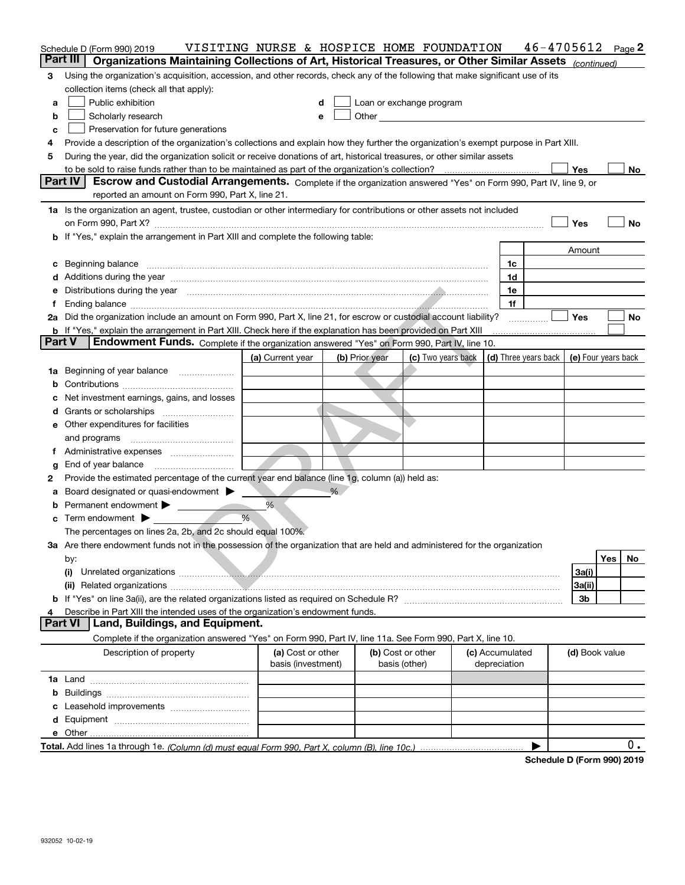|               | Schedule D (Form 990) 2019                                                                                                                                                                                                     | VISITING NURSE & HOSPICE HOME FOUNDATION |                |                                                                                                                                                                                                                                |                 | 46-4705612 |                | Page 2       |
|---------------|--------------------------------------------------------------------------------------------------------------------------------------------------------------------------------------------------------------------------------|------------------------------------------|----------------|--------------------------------------------------------------------------------------------------------------------------------------------------------------------------------------------------------------------------------|-----------------|------------|----------------|--------------|
|               | Part III<br>Organizations Maintaining Collections of Art, Historical Treasures, or Other Similar Assets (continued)                                                                                                            |                                          |                |                                                                                                                                                                                                                                |                 |            |                |              |
| 3             | Using the organization's acquisition, accession, and other records, check any of the following that make significant use of its                                                                                                |                                          |                |                                                                                                                                                                                                                                |                 |            |                |              |
|               | collection items (check all that apply):                                                                                                                                                                                       |                                          |                |                                                                                                                                                                                                                                |                 |            |                |              |
| a             | Public exhibition                                                                                                                                                                                                              | d                                        |                | Loan or exchange program                                                                                                                                                                                                       |                 |            |                |              |
| b             | Scholarly research                                                                                                                                                                                                             | e                                        |                | Other and the control of the control of the control of the control of the control of the control of the control of the control of the control of the control of the control of the control of the control of the control of th |                 |            |                |              |
| c             | Preservation for future generations                                                                                                                                                                                            |                                          |                |                                                                                                                                                                                                                                |                 |            |                |              |
| 4             | Provide a description of the organization's collections and explain how they further the organization's exempt purpose in Part XIII.                                                                                           |                                          |                |                                                                                                                                                                                                                                |                 |            |                |              |
| 5             | During the year, did the organization solicit or receive donations of art, historical treasures, or other similar assets                                                                                                       |                                          |                |                                                                                                                                                                                                                                |                 |            |                |              |
|               | Part IV                                                                                                                                                                                                                        |                                          |                |                                                                                                                                                                                                                                |                 |            | Yes            | No           |
|               | Escrow and Custodial Arrangements. Complete if the organization answered "Yes" on Form 990, Part IV, line 9, or<br>reported an amount on Form 990, Part X, line 21.                                                            |                                          |                |                                                                                                                                                                                                                                |                 |            |                |              |
|               |                                                                                                                                                                                                                                |                                          |                |                                                                                                                                                                                                                                |                 |            |                |              |
|               | 1a Is the organization an agent, trustee, custodian or other intermediary for contributions or other assets not included                                                                                                       |                                          |                |                                                                                                                                                                                                                                |                 |            |                |              |
|               | on Form 990, Part X? [11] The Content of the Content of Table 1 and Table 1 and Table 1 and Table 1 and Table 1                                                                                                                |                                          |                |                                                                                                                                                                                                                                |                 |            | Yes            | No           |
|               | b If "Yes," explain the arrangement in Part XIII and complete the following table:                                                                                                                                             |                                          |                |                                                                                                                                                                                                                                |                 |            |                |              |
|               |                                                                                                                                                                                                                                |                                          |                |                                                                                                                                                                                                                                |                 |            | Amount         |              |
|               | c Beginning balance                                                                                                                                                                                                            |                                          |                |                                                                                                                                                                                                                                | 1c<br>1d        |            |                |              |
|               |                                                                                                                                                                                                                                |                                          |                |                                                                                                                                                                                                                                | 1e              |            |                |              |
| е<br>f        | Distributions during the year manufactured and an account of the year manufactured and the year manufactured and the year manufactured and the year manufactured and the year manufactured and the year manufactured and the y |                                          |                |                                                                                                                                                                                                                                | 1f              |            |                |              |
|               | 2a Did the organization include an amount on Form 990, Part X, line 21, for escrow or custodial account liability?                                                                                                             |                                          |                |                                                                                                                                                                                                                                |                 |            | <b>Yes</b>     | No           |
|               | b If "Yes," explain the arrangement in Part XIII. Check here if the explanation has been provided on Part XIII                                                                                                                 |                                          |                |                                                                                                                                                                                                                                |                 |            |                |              |
| <b>Part V</b> | Endowment Funds. Complete if the organization answered "Yes" on Form 990, Part IV, line 10.                                                                                                                                    |                                          |                |                                                                                                                                                                                                                                |                 |            |                |              |
|               |                                                                                                                                                                                                                                | (a) Current year                         | (b) Prior year | (c) Two years back $\mid$ (d) Three years back $\mid$ (e) Four years back                                                                                                                                                      |                 |            |                |              |
| 1a            | Beginning of year balance                                                                                                                                                                                                      |                                          |                |                                                                                                                                                                                                                                |                 |            |                |              |
|               |                                                                                                                                                                                                                                |                                          |                |                                                                                                                                                                                                                                |                 |            |                |              |
|               | c Net investment earnings, gains, and losses                                                                                                                                                                                   |                                          |                |                                                                                                                                                                                                                                |                 |            |                |              |
|               |                                                                                                                                                                                                                                |                                          |                |                                                                                                                                                                                                                                |                 |            |                |              |
|               | <b>e</b> Other expenditures for facilities                                                                                                                                                                                     |                                          |                |                                                                                                                                                                                                                                |                 |            |                |              |
|               | and programs                                                                                                                                                                                                                   |                                          |                |                                                                                                                                                                                                                                |                 |            |                |              |
| Ť.            | Administrative expenses                                                                                                                                                                                                        |                                          |                |                                                                                                                                                                                                                                |                 |            |                |              |
| g             | End of year balance                                                                                                                                                                                                            |                                          |                |                                                                                                                                                                                                                                |                 |            |                |              |
| 2             | Provide the estimated percentage of the current year end balance (line 1g, column (a)) held as:                                                                                                                                |                                          |                |                                                                                                                                                                                                                                |                 |            |                |              |
| a             | Board designated or quasi-endowment                                                                                                                                                                                            |                                          | %              |                                                                                                                                                                                                                                |                 |            |                |              |
|               | <b>b</b> Permanent endowment $\blacktriangleright$                                                                                                                                                                             | %                                        |                |                                                                                                                                                                                                                                |                 |            |                |              |
|               | $\mathbf c$ Term endowment $\blacktriangleright$                                                                                                                                                                               | %                                        |                |                                                                                                                                                                                                                                |                 |            |                |              |
|               | The percentages on lines 2a, 2b, and 2c should equal 100%.                                                                                                                                                                     |                                          |                |                                                                                                                                                                                                                                |                 |            |                |              |
|               | 3a Are there endowment funds not in the possession of the organization that are held and administered for the organization                                                                                                     |                                          |                |                                                                                                                                                                                                                                |                 |            |                |              |
|               | by:                                                                                                                                                                                                                            |                                          |                |                                                                                                                                                                                                                                |                 |            |                | Yes  <br>No. |
|               | (i)                                                                                                                                                                                                                            |                                          |                |                                                                                                                                                                                                                                |                 |            | 3a(i)          |              |
|               |                                                                                                                                                                                                                                |                                          |                |                                                                                                                                                                                                                                |                 |            | 3a(ii)         |              |
|               |                                                                                                                                                                                                                                |                                          |                |                                                                                                                                                                                                                                |                 |            | 3b             |              |
| 4             | Describe in Part XIII the intended uses of the organization's endowment funds.                                                                                                                                                 |                                          |                |                                                                                                                                                                                                                                |                 |            |                |              |
|               | <b>Part VI</b><br>Land, Buildings, and Equipment.                                                                                                                                                                              |                                          |                |                                                                                                                                                                                                                                |                 |            |                |              |
|               | Complete if the organization answered "Yes" on Form 990, Part IV, line 11a. See Form 990, Part X, line 10.                                                                                                                     |                                          |                |                                                                                                                                                                                                                                |                 |            |                |              |
|               | Description of property                                                                                                                                                                                                        | (a) Cost or other                        |                | (b) Cost or other                                                                                                                                                                                                              | (c) Accumulated |            | (d) Book value |              |
|               |                                                                                                                                                                                                                                | basis (investment)                       |                | basis (other)                                                                                                                                                                                                                  | depreciation    |            |                |              |
|               |                                                                                                                                                                                                                                |                                          |                |                                                                                                                                                                                                                                |                 |            |                |              |
|               |                                                                                                                                                                                                                                |                                          |                |                                                                                                                                                                                                                                |                 |            |                |              |
|               |                                                                                                                                                                                                                                |                                          |                |                                                                                                                                                                                                                                |                 |            |                |              |
|               |                                                                                                                                                                                                                                |                                          |                |                                                                                                                                                                                                                                |                 |            |                |              |
|               |                                                                                                                                                                                                                                |                                          |                |                                                                                                                                                                                                                                |                 |            |                |              |
|               |                                                                                                                                                                                                                                |                                          |                |                                                                                                                                                                                                                                |                 | ▶          |                | 0.           |

**Schedule D (Form 990) 2019**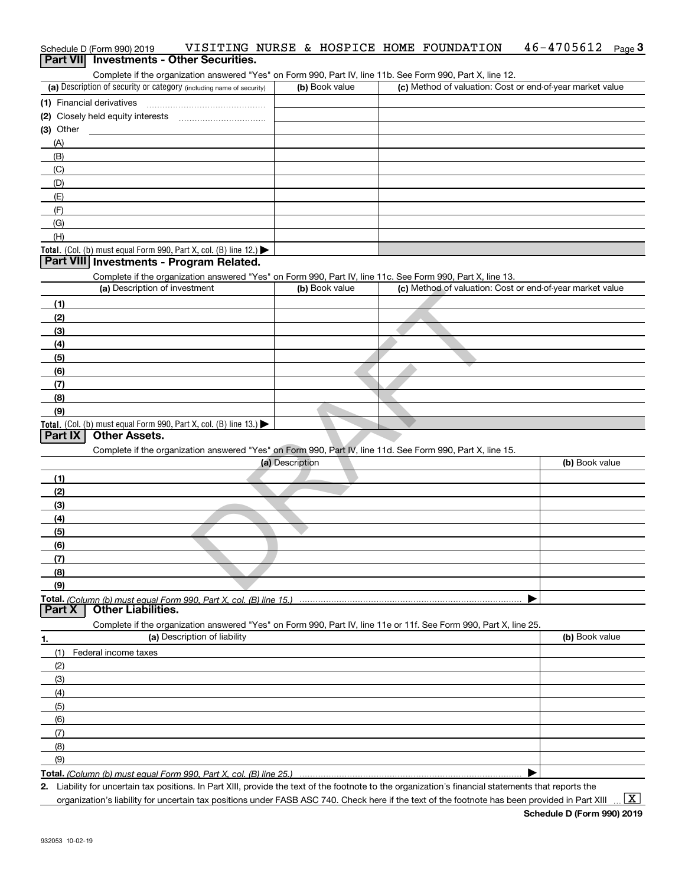# Schedule D (Form 990) 2019 VISITING NURSE & HOSPICE HOME FOUNDATION 46-4705612 Page<br>Part VIII Investments - Other Securities ichedule D (Form 990) 2019 VISITING NURSE & HOSPICE HOME FOUNDATION 46-4705612 <sub>Page</sub> 3<br>**Part VII Investments - Other Securities.**<br>Complete if the organization answered "Yes" on Form 990, Pa

| (a) Description of security or category (including name of security)                   | (b) Book value | (c) Method of valuation: Cost or end-of-year market value |
|----------------------------------------------------------------------------------------|----------------|-----------------------------------------------------------|
| (1) Financial derivatives                                                              |                |                                                           |
| (2) Closely held equity interests                                                      |                |                                                           |
| (3) Other                                                                              |                |                                                           |
| (A)                                                                                    |                |                                                           |
| (B)                                                                                    |                |                                                           |
| (C)                                                                                    |                |                                                           |
| (D)                                                                                    |                |                                                           |
| (E)                                                                                    |                |                                                           |
| (E)                                                                                    |                |                                                           |
| (G)                                                                                    |                |                                                           |
| (H)                                                                                    |                |                                                           |
| Total. (Col. (b) must equal Form 990, Part X, col. (B) line 12.) $\blacktriangleright$ |                |                                                           |

#### **Part VIII Investments - Program Related.**

Complete if the organization answered "Yes" on Form 990, Part IV, line 11c. See Form 990, Part X, line 13.

| (a) Description of investment                                                                              | (b) Book value  | (c) Method of valuation: Cost or end-of-year market value |                |
|------------------------------------------------------------------------------------------------------------|-----------------|-----------------------------------------------------------|----------------|
| (1)                                                                                                        |                 |                                                           |                |
| (2)                                                                                                        |                 |                                                           |                |
| (3)                                                                                                        |                 |                                                           |                |
| (4)                                                                                                        |                 |                                                           |                |
| (5)                                                                                                        |                 |                                                           |                |
| (6)                                                                                                        |                 |                                                           |                |
| (7)                                                                                                        |                 |                                                           |                |
| (8)                                                                                                        |                 |                                                           |                |
| (9)                                                                                                        |                 |                                                           |                |
| Total. (Col. (b) must equal Form 990, Part X, col. (B) line 13.)                                           |                 |                                                           |                |
| <b>Part IX</b><br><b>Other Assets.</b>                                                                     |                 |                                                           |                |
| Complete if the organization answered "Yes" on Form 990, Part IV, line 11d. See Form 990, Part X, line 15. |                 |                                                           |                |
|                                                                                                            | (a) Description |                                                           | (b) Book value |
| (1)                                                                                                        |                 |                                                           |                |
| (2)                                                                                                        |                 |                                                           |                |
| (3)                                                                                                        |                 |                                                           |                |
| (4)                                                                                                        |                 |                                                           |                |
| (5)                                                                                                        |                 |                                                           |                |
| (6)                                                                                                        |                 |                                                           |                |
| (7)                                                                                                        |                 |                                                           |                |
| (8)                                                                                                        |                 |                                                           |                |
| (9)                                                                                                        |                 |                                                           |                |

#### **Part IX Other Assets.**

|              | (a) Description                                                    | (b) Book value |
|--------------|--------------------------------------------------------------------|----------------|
| (1)          |                                                                    |                |
| (2)          |                                                                    |                |
| (3)          |                                                                    |                |
| (4)          |                                                                    |                |
| (5)          |                                                                    |                |
| (6)          |                                                                    |                |
| $\mathbf{r}$ |                                                                    |                |
| (8)          |                                                                    |                |
| (9)          |                                                                    |                |
|              | Total. (Column (b) must equal Form 990, Part X, col. (B) line 15.) |                |

**Part X Other Liabilities.**

Complete if the organization answered "Yes" on Form 990, Part IV, line 11e or 11f. See Form 990, Part X, line 25.

| 1.  | (a) Description of liability | (b) Book value |
|-----|------------------------------|----------------|
|     | (1) Federal income taxes     |                |
| (2) |                              |                |
| (3) |                              |                |
| (4) |                              |                |
| (5) |                              |                |
| (6) |                              |                |
| (7) |                              |                |
| (8) |                              |                |
| (9) |                              |                |
|     |                              |                |

**Total.**  *(Column (b) must equal Form 990, Part X, col. (B) line 25.)* 

**2.** | Liability for uncertain tax positions. In Part XIII, provide the text of the footnote to the organization's financial statements that reports the

organization's liability for uncertain tax positions under FASB ASC 740. Check here if the text of the footnote has been provided in Part XIII  $\boxed{\text{X}}$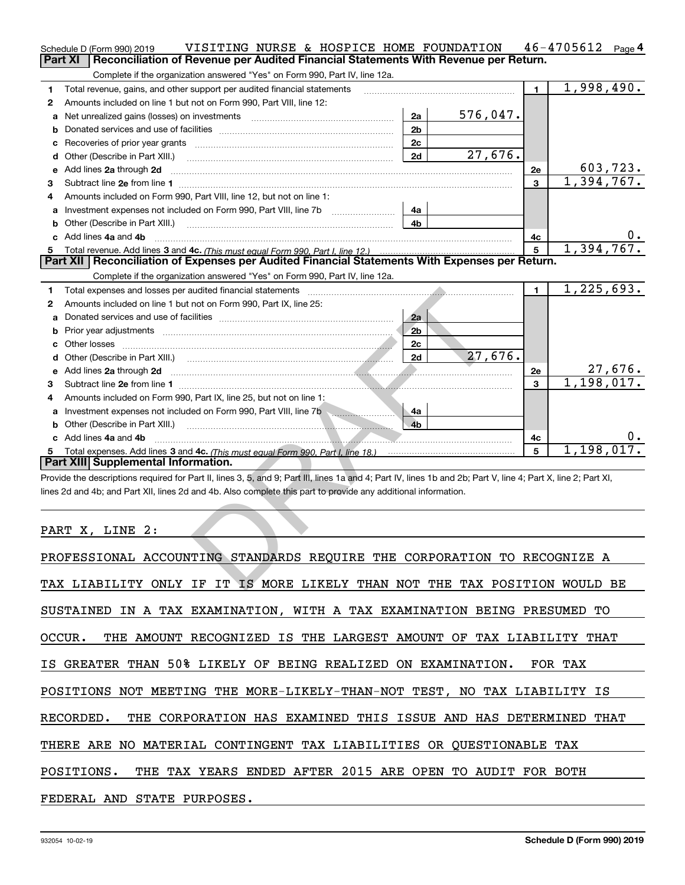|              | VISITING NURSE & HOSPICE HOME FOUNDATION<br>Schedule D (Form 990) 2019<br>Reconciliation of Revenue per Audited Financial Statements With Revenue per Return.<br><b>Part XI</b> |                |          |                | $46 - 4705612$ Page 4       |
|--------------|---------------------------------------------------------------------------------------------------------------------------------------------------------------------------------|----------------|----------|----------------|-----------------------------|
|              | Complete if the organization answered "Yes" on Form 990, Part IV, line 12a.                                                                                                     |                |          |                |                             |
| 1            | Total revenue, gains, and other support per audited financial statements                                                                                                        |                |          | $\blacksquare$ | 1,998,490.                  |
| 2            | Amounts included on line 1 but not on Form 990, Part VIII, line 12:                                                                                                             |                |          |                |                             |
| a            | Net unrealized gains (losses) on investments [11] matter contracts and the unrealized gains (losses) on investments                                                             | 2a             | 576,047. |                |                             |
| b            |                                                                                                                                                                                 | 2 <sub>b</sub> |          |                |                             |
| с            |                                                                                                                                                                                 | 2c             |          |                |                             |
| d            | Other (Describe in Part XIII.)                                                                                                                                                  | 2d             | 27,676.  |                |                             |
| е            | Add lines 2a through 2d                                                                                                                                                         |                |          | 2e             |                             |
| з            |                                                                                                                                                                                 |                |          | 3              | $\frac{603,723}{1,394,767}$ |
| 4            | Amounts included on Form 990, Part VIII, line 12, but not on line 1:                                                                                                            |                |          |                |                             |
|              | Investment expenses not included on Form 990, Part VIII, line 7b                                                                                                                | 4a             |          |                |                             |
| b            |                                                                                                                                                                                 | 4b             |          |                |                             |
| c            | Add lines 4a and 4b                                                                                                                                                             |                |          | 4с             | $0 \cdot$                   |
|              | Total revenue. Add lines 3 and 4c. (This must equal Form 990. Part I. line 12.)                                                                                                 |                |          | 5              | 1,394,767.                  |
|              | Part XII   Reconciliation of Expenses per Audited Financial Statements With Expenses per Return.                                                                                |                |          |                |                             |
|              | Complete if the organization answered "Yes" on Form 990, Part IV, line 12a.                                                                                                     |                |          |                |                             |
| 1            | Total expenses and losses per audited financial statements                                                                                                                      |                |          | $\blacksquare$ | 1, 225, 693.                |
| $\mathbf{2}$ | Amounts included on line 1 but not on Form 990, Part IX, line 25:                                                                                                               |                |          |                |                             |
| a            |                                                                                                                                                                                 | 2a             |          |                |                             |
| b            |                                                                                                                                                                                 | 2 <sub>b</sub> |          |                |                             |
|              | Other losses                                                                                                                                                                    | 2c             |          |                |                             |
| d            |                                                                                                                                                                                 | 2d             | 27,676.  |                |                             |
|              | Add lines 2a through 2d                                                                                                                                                         |                |          | 2e             | <u>27,676.</u>              |
| 3            |                                                                                                                                                                                 |                |          | 3              | 1,198,017.                  |
| 4            | Amounts included on Form 990, Part IX, line 25, but not on line 1:                                                                                                              |                |          |                |                             |
|              |                                                                                                                                                                                 | 4a             |          |                |                             |
| b            | Other (Describe in Part XIII.)                                                                                                                                                  | 4 <sub>b</sub> |          |                |                             |
|              | c Add lines 4a and 4b                                                                                                                                                           |                |          | 4с             |                             |
| 5            |                                                                                                                                                                                 |                |          | 5              | 1,198,017.                  |
|              | Part XIII Supplemental Information.                                                                                                                                             |                |          |                |                             |
|              | Provide the descriptions required for Part II, lines 3, 5, and 9; Part III, lines 1a and 4; Part IV, lines 1b and 2b; Part V, line 4; Part X, line 2; Part XI,                  |                |          |                |                             |
|              | lines 2d and 4b; and Part XII, lines 2d and 4b. Also complete this part to provide any additional information.                                                                  |                |          |                |                             |
|              |                                                                                                                                                                                 |                |          |                |                             |
|              |                                                                                                                                                                                 |                |          |                |                             |
|              | PART X, LINE 2:                                                                                                                                                                 |                |          |                |                             |
|              |                                                                                                                                                                                 |                |          |                |                             |
|              | PROFESSIONAL ACCOUNTING STANDARDS REQUIRE THE CORPORATION TO RECOGNIZE A                                                                                                        |                |          |                |                             |
|              |                                                                                                                                                                                 |                |          |                |                             |
|              | TAX LIABILITY ONLY IF IT IS MORE LIKELY THAN NOT THE TAX POSITION WOULD BE                                                                                                      |                |          |                |                             |

| PROFESSIONAL ACCOUNTING STANDARDS REQUIRE THE CORPORATION TO RECOGNIZE A   |
|----------------------------------------------------------------------------|
| TAX LIABILITY ONLY IF IT IS MORE LIKELY THAN NOT THE TAX POSITION WOULD BE |
| SUSTAINED IN A TAX EXAMINATION, WITH A TAX EXAMINATION BEING PRESUMED TO   |
| OCCUR. THE AMOUNT RECOGNIZED IS THE LARGEST AMOUNT OF TAX LIABILITY THAT   |
| IS GREATER THAN 50% LIKELY OF BEING REALIZED ON EXAMINATION. FOR TAX       |
| POSITIONS NOT MEETING THE MORE-LIKELY-THAN-NOT TEST, NO TAX LIABILITY IS   |
| RECORDED. THE CORPORATION HAS EXAMINED THIS ISSUE AND HAS DETERMINED THAT  |
| THERE ARE NO MATERIAL CONTINGENT TAX LIABILITIES OR QUESTIONABLE TAX       |
| POSITIONS. THE TAX YEARS ENDED AFTER 2015 ARE OPEN TO AUDIT FOR BOTH       |
| FEDERAL AND STATE PURPOSES.                                                |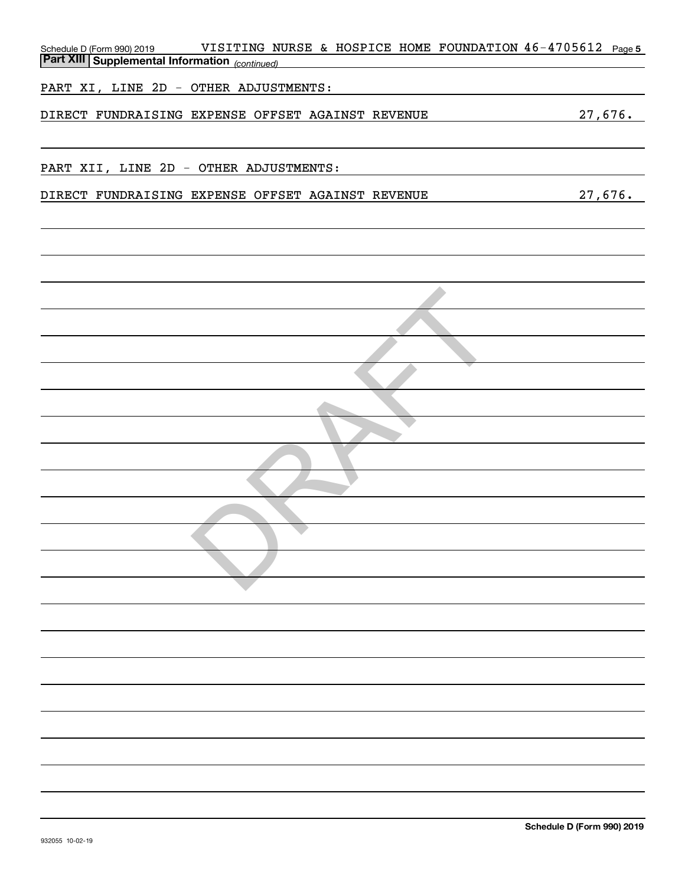| VISITING NURSE & HOSPICE HOME FOUNDATION 46-4705612 Page 5<br>Schedule D (Form 990) 2019<br><b>Part XIII Supplemental Information</b> (continued) |         |
|---------------------------------------------------------------------------------------------------------------------------------------------------|---------|
| PART XI, LINE 2D - OTHER ADJUSTMENTS:                                                                                                             |         |
| DIRECT FUNDRAISING EXPENSE OFFSET AGAINST REVENUE                                                                                                 | 27,676. |
| PART XII, LINE 2D - OTHER ADJUSTMENTS:                                                                                                            |         |
| DIRECT FUNDRAISING EXPENSE OFFSET AGAINST REVENUE                                                                                                 | 27,676. |
|                                                                                                                                                   |         |
|                                                                                                                                                   |         |
|                                                                                                                                                   |         |
|                                                                                                                                                   |         |
|                                                                                                                                                   |         |
|                                                                                                                                                   |         |
|                                                                                                                                                   |         |
|                                                                                                                                                   |         |
|                                                                                                                                                   |         |
|                                                                                                                                                   |         |
|                                                                                                                                                   |         |
|                                                                                                                                                   |         |
|                                                                                                                                                   |         |
|                                                                                                                                                   |         |
|                                                                                                                                                   |         |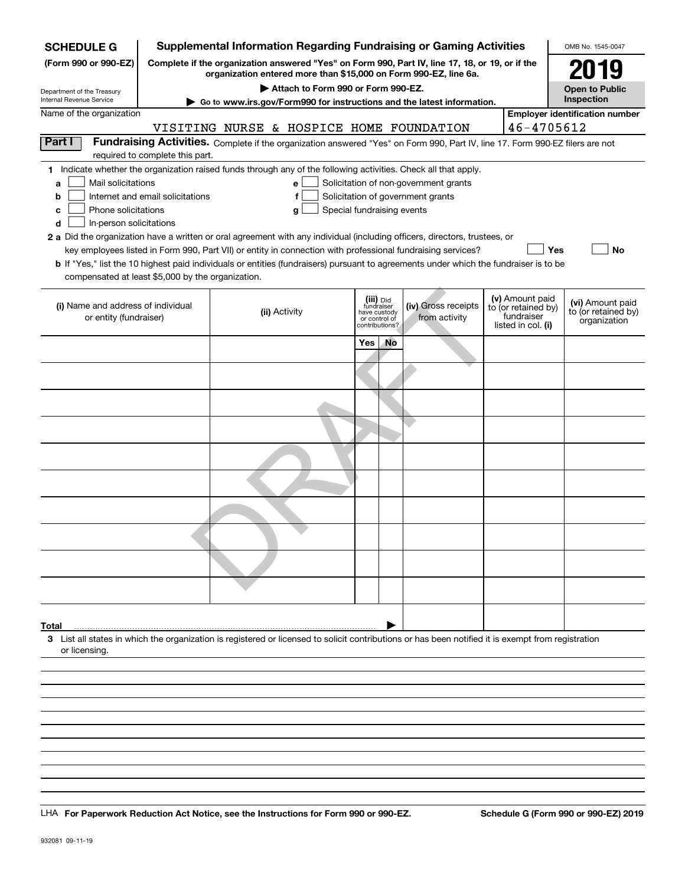| <b>SCHEDULE G</b>                                            |                                                                                                                                                                                                                                                                                                                                                                                                                                                                                      | <b>Supplemental Information Regarding Fundraising or Gaming Activities</b>                                                                                          |                                                                            |           |                                      |  |                                                                            | OMB No. 1545-0047                                       |
|--------------------------------------------------------------|--------------------------------------------------------------------------------------------------------------------------------------------------------------------------------------------------------------------------------------------------------------------------------------------------------------------------------------------------------------------------------------------------------------------------------------------------------------------------------------|---------------------------------------------------------------------------------------------------------------------------------------------------------------------|----------------------------------------------------------------------------|-----------|--------------------------------------|--|----------------------------------------------------------------------------|---------------------------------------------------------|
| (Form 990 or 990-EZ)                                         |                                                                                                                                                                                                                                                                                                                                                                                                                                                                                      | Complete if the organization answered "Yes" on Form 990, Part IV, line 17, 18, or 19, or if the<br>organization entered more than \$15,000 on Form 990-EZ, line 6a. |                                                                            |           |                                      |  |                                                                            | 2019                                                    |
| Department of the Treasury<br>Internal Revenue Service       |                                                                                                                                                                                                                                                                                                                                                                                                                                                                                      | Attach to Form 990 or Form 990-EZ.                                                                                                                                  |                                                                            |           |                                      |  |                                                                            | <b>Open to Public</b><br>Inspection                     |
| Name of the organization                                     |                                                                                                                                                                                                                                                                                                                                                                                                                                                                                      | Go to www.irs.gov/Form990 for instructions and the latest information.                                                                                              |                                                                            |           |                                      |  |                                                                            | <b>Employer identification number</b>                   |
|                                                              |                                                                                                                                                                                                                                                                                                                                                                                                                                                                                      | VISITING NURSE & HOSPICE HOME FOUNDATION                                                                                                                            |                                                                            |           |                                      |  | 46-4705612                                                                 |                                                         |
| Part I                                                       |                                                                                                                                                                                                                                                                                                                                                                                                                                                                                      | Fundraising Activities. Complete if the organization answered "Yes" on Form 990, Part IV, line 17. Form 990-EZ filers are not                                       |                                                                            |           |                                      |  |                                                                            |                                                         |
|                                                              | required to complete this part.                                                                                                                                                                                                                                                                                                                                                                                                                                                      |                                                                                                                                                                     |                                                                            |           |                                      |  |                                                                            |                                                         |
| a<br>b<br>c<br>d                                             | 1 Indicate whether the organization raised funds through any of the following activities. Check all that apply.<br>Mail solicitations<br>Solicitation of non-government grants<br>е<br>Internet and email solicitations<br>Solicitation of government grants<br>f<br>Phone solicitations<br>Special fundraising events<br>g<br>In-person solicitations<br>2 a Did the organization have a written or oral agreement with any individual (including officers, directors, trustees, or |                                                                                                                                                                     |                                                                            |           |                                      |  |                                                                            |                                                         |
|                                                              |                                                                                                                                                                                                                                                                                                                                                                                                                                                                                      | key employees listed in Form 990, Part VII) or entity in connection with professional fundraising services?                                                         |                                                                            |           |                                      |  |                                                                            | Yes<br><b>No</b>                                        |
| compensated at least \$5,000 by the organization.            |                                                                                                                                                                                                                                                                                                                                                                                                                                                                                      | b If "Yes," list the 10 highest paid individuals or entities (fundraisers) pursuant to agreements under which the fundraiser is to be                               |                                                                            |           |                                      |  |                                                                            |                                                         |
| (i) Name and address of individual<br>or entity (fundraiser) |                                                                                                                                                                                                                                                                                                                                                                                                                                                                                      | (ii) Activity                                                                                                                                                       | (iii) Did<br>fundraiser<br>have custody<br>or control of<br>contributions? |           | (iv) Gross receipts<br>from activity |  | (v) Amount paid<br>to (or retained by)<br>fundraiser<br>listed in col. (i) | (vi) Amount paid<br>to (or retained by)<br>organization |
|                                                              |                                                                                                                                                                                                                                                                                                                                                                                                                                                                                      |                                                                                                                                                                     | <b>Yes</b>                                                                 | <b>No</b> |                                      |  |                                                                            |                                                         |
|                                                              |                                                                                                                                                                                                                                                                                                                                                                                                                                                                                      |                                                                                                                                                                     |                                                                            |           |                                      |  |                                                                            |                                                         |
|                                                              |                                                                                                                                                                                                                                                                                                                                                                                                                                                                                      |                                                                                                                                                                     |                                                                            |           |                                      |  |                                                                            |                                                         |
|                                                              |                                                                                                                                                                                                                                                                                                                                                                                                                                                                                      |                                                                                                                                                                     |                                                                            |           |                                      |  |                                                                            |                                                         |
|                                                              |                                                                                                                                                                                                                                                                                                                                                                                                                                                                                      |                                                                                                                                                                     |                                                                            |           |                                      |  |                                                                            |                                                         |
|                                                              |                                                                                                                                                                                                                                                                                                                                                                                                                                                                                      |                                                                                                                                                                     |                                                                            |           |                                      |  |                                                                            |                                                         |
|                                                              |                                                                                                                                                                                                                                                                                                                                                                                                                                                                                      |                                                                                                                                                                     |                                                                            |           |                                      |  |                                                                            |                                                         |
|                                                              |                                                                                                                                                                                                                                                                                                                                                                                                                                                                                      |                                                                                                                                                                     |                                                                            |           |                                      |  |                                                                            |                                                         |
|                                                              |                                                                                                                                                                                                                                                                                                                                                                                                                                                                                      |                                                                                                                                                                     |                                                                            |           |                                      |  |                                                                            |                                                         |
|                                                              |                                                                                                                                                                                                                                                                                                                                                                                                                                                                                      |                                                                                                                                                                     |                                                                            |           |                                      |  |                                                                            |                                                         |
| Total                                                        |                                                                                                                                                                                                                                                                                                                                                                                                                                                                                      |                                                                                                                                                                     |                                                                            |           |                                      |  |                                                                            |                                                         |
| or licensing                                                 |                                                                                                                                                                                                                                                                                                                                                                                                                                                                                      | 3 List all states in which the organization is registered or licensed to solicit contributions or has been notified it is exempt from registration                  |                                                                            |           |                                      |  |                                                                            |                                                         |
|                                                              |                                                                                                                                                                                                                                                                                                                                                                                                                                                                                      |                                                                                                                                                                     |                                                                            |           |                                      |  |                                                                            |                                                         |
|                                                              |                                                                                                                                                                                                                                                                                                                                                                                                                                                                                      |                                                                                                                                                                     |                                                                            |           |                                      |  |                                                                            |                                                         |
|                                                              |                                                                                                                                                                                                                                                                                                                                                                                                                                                                                      |                                                                                                                                                                     |                                                                            |           |                                      |  |                                                                            |                                                         |
|                                                              |                                                                                                                                                                                                                                                                                                                                                                                                                                                                                      |                                                                                                                                                                     |                                                                            |           |                                      |  |                                                                            |                                                         |
|                                                              |                                                                                                                                                                                                                                                                                                                                                                                                                                                                                      |                                                                                                                                                                     |                                                                            |           |                                      |  |                                                                            |                                                         |

LHA For Paperwork Reduction Act Notice, see the Instructions for Form 990 or 990-EZ. Schedule G (Form 990 or 990-EZ) 2019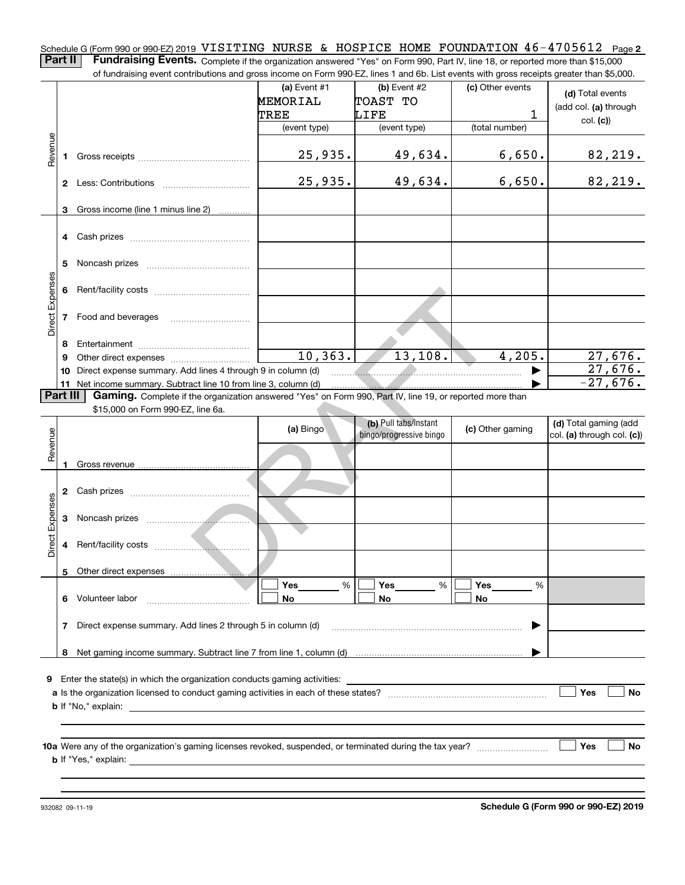Schedule G (Form 990 or 990-EZ) 2019 VISITING NURSE & HOSPICE HOME FOUNDATION  $46$  –  $4705612$  page 2<br>Dert II – Fundraising Events, Camplete is the experimetive expuesed in (selling Form 000, Dat i)( line 19 campacted many

**Part II Fundraising Events.** Complete if the organization answered "Yes" on Form 990, Part IV, line 18, or reported more than \$15,000<br>15.000 of fundraising event contributions and gross income on Form 990-EZ. lines 1 an of fundraising event contributions and gross income on Form 990-EZ, lines 1 and 6b. List events with gross receipts greater than \$5,000.

|                 |          | or iuridraising event contributions and gross income on Form 990-EZ, lines T and 6D. List events with gross receipts greater than \$5,000. |                 |                         |                  |                            |
|-----------------|----------|--------------------------------------------------------------------------------------------------------------------------------------------|-----------------|-------------------------|------------------|----------------------------|
|                 |          |                                                                                                                                            | (a) Event $#1$  | (b) Event $#2$          | (c) Other events | (d) Total events           |
|                 |          |                                                                                                                                            | <b>MEMORIAL</b> | TOAST TO                |                  | (add col. (a) through      |
|                 |          |                                                                                                                                            | TREE            | LIFE                    | 1                |                            |
|                 |          |                                                                                                                                            | (event type)    | (event type)            | (total number)   | col. (c)                   |
|                 |          |                                                                                                                                            |                 |                         |                  |                            |
| Revenue         |          |                                                                                                                                            | 25, 935.        | 49,634.                 | 6,650.           | 82, 219.                   |
|                 |          |                                                                                                                                            |                 |                         |                  |                            |
|                 |          |                                                                                                                                            | 25,935.         | 49,634.                 | 6,650.           | 82,219.                    |
|                 |          |                                                                                                                                            |                 |                         |                  |                            |
|                 |          |                                                                                                                                            |                 |                         |                  |                            |
|                 | 3        | Gross income (line 1 minus line 2)                                                                                                         |                 |                         |                  |                            |
|                 |          |                                                                                                                                            |                 |                         |                  |                            |
|                 |          | 4 Cash prizes                                                                                                                              |                 |                         |                  |                            |
|                 |          |                                                                                                                                            |                 |                         |                  |                            |
|                 | 5.       |                                                                                                                                            |                 |                         |                  |                            |
| Direct Expenses |          |                                                                                                                                            |                 |                         |                  |                            |
|                 |          |                                                                                                                                            |                 |                         |                  |                            |
|                 |          |                                                                                                                                            |                 |                         |                  |                            |
|                 |          | 7 Food and beverages                                                                                                                       |                 |                         |                  |                            |
|                 |          |                                                                                                                                            |                 |                         |                  |                            |
|                 | 8        |                                                                                                                                            |                 |                         |                  |                            |
|                 | 9        |                                                                                                                                            | 10, 363.        | 13, 108.                | 4,205.           | 27,676.                    |
|                 |          | 10 Direct expense summary. Add lines 4 through 9 in column (d)                                                                             |                 |                         |                  | 27,676.                    |
|                 |          | 11 Net income summary. Subtract line 10 from line 3, column (d)                                                                            |                 |                         |                  | $-27,676.$                 |
|                 | Part III | Gaming. Complete if the organization answered "Yes" on Form 990, Part IV, line 19, or reported more than                                   |                 |                         |                  |                            |
|                 |          | \$15,000 on Form 990-EZ, line 6a.                                                                                                          |                 |                         |                  |                            |
|                 |          |                                                                                                                                            |                 | (b) Pull tabs/instant   | (c) Other gaming | (d) Total gaming (add      |
|                 |          |                                                                                                                                            | (a) Bingo       | bingo/progressive bingo |                  | col. (a) through col. (c)) |
| Revenue         |          |                                                                                                                                            |                 |                         |                  |                            |
|                 | 1        |                                                                                                                                            |                 |                         |                  |                            |
|                 |          |                                                                                                                                            |                 |                         |                  |                            |
|                 |          |                                                                                                                                            |                 |                         |                  |                            |
|                 |          |                                                                                                                                            |                 |                         |                  |                            |
| Direct Expenses |          |                                                                                                                                            |                 |                         |                  |                            |
|                 |          |                                                                                                                                            |                 |                         |                  |                            |
|                 |          |                                                                                                                                            |                 |                         |                  |                            |
|                 |          |                                                                                                                                            |                 |                         |                  |                            |
|                 |          | 5 Other direct expenses                                                                                                                    |                 |                         |                  |                            |
|                 |          |                                                                                                                                            | Yes<br>%        | Yes<br>$\%$             | Yes<br>%         |                            |
|                 | 6        | Volunteer labor                                                                                                                            |                 | No                      | No               |                            |
|                 |          |                                                                                                                                            | No              |                         |                  |                            |
|                 |          | Direct expense summary. Add lines 2 through 5 in column (d)                                                                                |                 |                         |                  |                            |
|                 | 7        |                                                                                                                                            |                 |                         |                  |                            |
|                 |          |                                                                                                                                            |                 |                         |                  |                            |
|                 | 8        |                                                                                                                                            |                 |                         |                  |                            |
|                 |          |                                                                                                                                            |                 |                         |                  |                            |
|                 |          | 9 Enter the state(s) in which the organization conducts gaming activities:                                                                 |                 |                         |                  |                            |
|                 |          |                                                                                                                                            |                 |                         |                  | Yes<br>No                  |
|                 |          | <b>b</b> If "No," explain:                                                                                                                 |                 |                         |                  |                            |
|                 |          |                                                                                                                                            |                 |                         |                  |                            |
|                 |          |                                                                                                                                            |                 |                         |                  |                            |
|                 |          |                                                                                                                                            |                 |                         |                  | Yes<br>No                  |
|                 |          | <b>b</b> If "Yes," explain: <b>b</b> If "Yes," explain:                                                                                    |                 |                         |                  |                            |
|                 |          |                                                                                                                                            |                 |                         |                  |                            |
|                 |          |                                                                                                                                            |                 |                         |                  |                            |

932082 09-11-19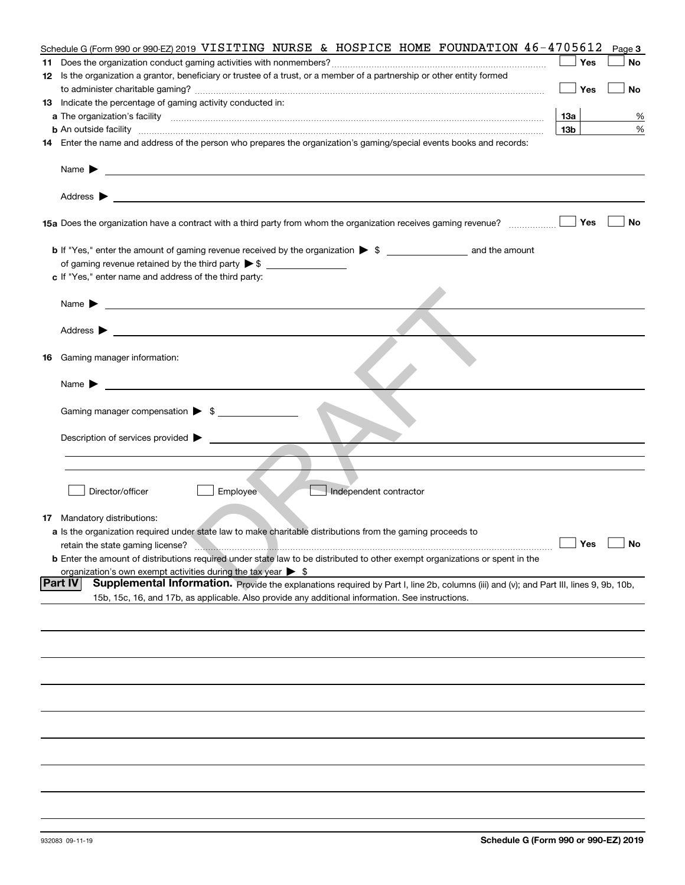|    | Schedule G (Form 990 or 990-EZ) 2019 VISITING NURSE & HOSPICE HOME FOUNDATION $46 - 4705612$                                                                                                                                                                                |                 | Page 3 |
|----|-----------------------------------------------------------------------------------------------------------------------------------------------------------------------------------------------------------------------------------------------------------------------------|-----------------|--------|
|    |                                                                                                                                                                                                                                                                             | Yes             | No     |
|    | 12 Is the organization a grantor, beneficiary or trustee of a trust, or a member of a partnership or other entity formed                                                                                                                                                    |                 |        |
|    |                                                                                                                                                                                                                                                                             | Yes             | No     |
|    | 13 Indicate the percentage of gaming activity conducted in:                                                                                                                                                                                                                 |                 |        |
|    |                                                                                                                                                                                                                                                                             | 13а             | %      |
|    |                                                                                                                                                                                                                                                                             | 13 <sub>b</sub> | %      |
|    | <b>b</b> An outside facility <i>www.communically.communically.communically.communically.communically.communically.communically.communically.com</i><br>14 Enter the name and address of the person who prepares the organization's gaming/special events books and records: |                 |        |
|    |                                                                                                                                                                                                                                                                             |                 |        |
|    | Name $\blacktriangleright$<br>and the control of the control of the control of the control of the control of the control of the control of the                                                                                                                              |                 |        |
|    | Address $\blacktriangleright$                                                                                                                                                                                                                                               |                 |        |
|    | 15a Does the organization have a contract with a third party from whom the organization receives gaming revenue?                                                                                                                                                            | Yes             | No     |
|    |                                                                                                                                                                                                                                                                             |                 |        |
|    |                                                                                                                                                                                                                                                                             |                 |        |
|    | c If "Yes," enter name and address of the third party:                                                                                                                                                                                                                      |                 |        |
|    |                                                                                                                                                                                                                                                                             |                 |        |
|    | Name $\blacktriangleright$                                                                                                                                                                                                                                                  |                 |        |
|    |                                                                                                                                                                                                                                                                             |                 |        |
|    | Address $\blacktriangleright$                                                                                                                                                                                                                                               |                 |        |
|    |                                                                                                                                                                                                                                                                             |                 |        |
| 16 | Gaming manager information:                                                                                                                                                                                                                                                 |                 |        |
|    |                                                                                                                                                                                                                                                                             |                 |        |
|    | Name $\blacktriangleright$                                                                                                                                                                                                                                                  |                 |        |
|    |                                                                                                                                                                                                                                                                             |                 |        |
|    | Gaming manager compensation > \$                                                                                                                                                                                                                                            |                 |        |
|    |                                                                                                                                                                                                                                                                             |                 |        |
|    | Description of services provided $\blacktriangleright$                                                                                                                                                                                                                      |                 |        |
|    |                                                                                                                                                                                                                                                                             |                 |        |
|    |                                                                                                                                                                                                                                                                             |                 |        |
|    |                                                                                                                                                                                                                                                                             |                 |        |
|    | Director/officer<br>Employee<br>Independent contractor                                                                                                                                                                                                                      |                 |        |
|    |                                                                                                                                                                                                                                                                             |                 |        |
|    | <b>17</b> Mandatory distributions:                                                                                                                                                                                                                                          |                 |        |
|    | a Is the organization required under state law to make charitable distributions from the gaming proceeds to                                                                                                                                                                 |                 |        |
|    | retain the state gaming license? <b>Washing Microsoft Contract to the State of August</b> 2014                                                                                                                                                                              | Yes             |        |
|    | <b>b</b> Enter the amount of distributions required under state law to be distributed to other exempt organizations or spent in the                                                                                                                                         |                 |        |
|    | organization's own exempt activities during the tax year $\triangleright$ \$                                                                                                                                                                                                |                 |        |
|    | Part IV<br>Supplemental Information. Provide the explanations required by Part I, line 2b, columns (iii) and (v); and Part III, lines 9, 9b, 10b,                                                                                                                           |                 |        |
|    | 15b, 15c, 16, and 17b, as applicable. Also provide any additional information. See instructions.                                                                                                                                                                            |                 |        |
|    |                                                                                                                                                                                                                                                                             |                 |        |
|    |                                                                                                                                                                                                                                                                             |                 |        |
|    |                                                                                                                                                                                                                                                                             |                 |        |
|    |                                                                                                                                                                                                                                                                             |                 |        |
|    |                                                                                                                                                                                                                                                                             |                 |        |
|    |                                                                                                                                                                                                                                                                             |                 |        |
|    |                                                                                                                                                                                                                                                                             |                 |        |
|    |                                                                                                                                                                                                                                                                             |                 |        |
|    |                                                                                                                                                                                                                                                                             |                 |        |
|    |                                                                                                                                                                                                                                                                             |                 |        |
|    |                                                                                                                                                                                                                                                                             |                 |        |
|    |                                                                                                                                                                                                                                                                             |                 |        |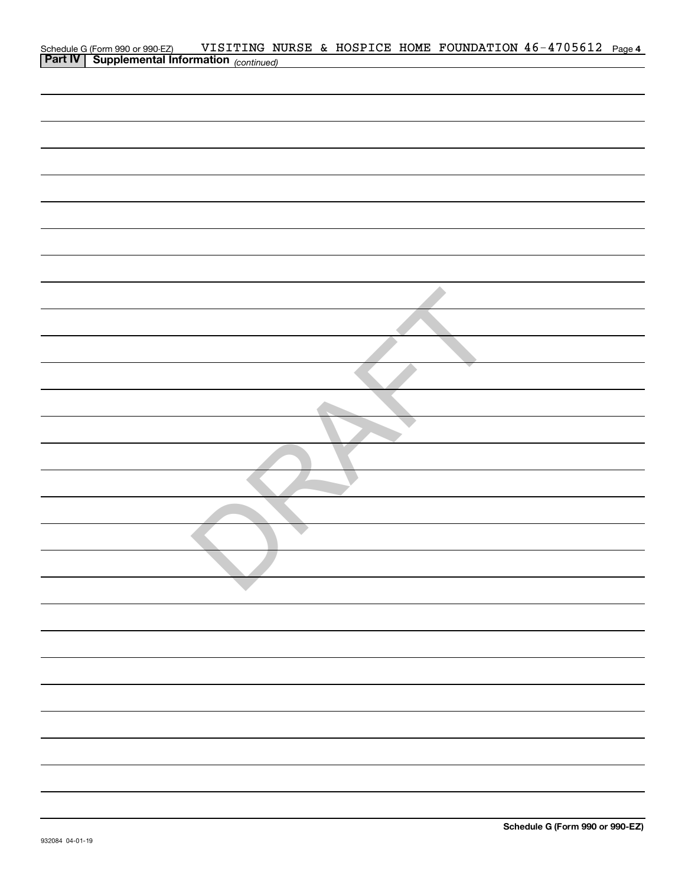| Schedule G (Form 990 or 990-EZ) VISITING N<br>Part IV   Supplemental Information (continued) |  |  | VISITING NURSE & HOSPICE HOME FOUNDATION 46-4705612 Page 4 |  |
|----------------------------------------------------------------------------------------------|--|--|------------------------------------------------------------|--|
|                                                                                              |  |  |                                                            |  |
|                                                                                              |  |  |                                                            |  |
|                                                                                              |  |  |                                                            |  |
|                                                                                              |  |  |                                                            |  |
|                                                                                              |  |  |                                                            |  |
|                                                                                              |  |  |                                                            |  |
|                                                                                              |  |  |                                                            |  |
|                                                                                              |  |  |                                                            |  |
|                                                                                              |  |  |                                                            |  |
|                                                                                              |  |  |                                                            |  |
|                                                                                              |  |  |                                                            |  |
|                                                                                              |  |  |                                                            |  |
|                                                                                              |  |  |                                                            |  |
|                                                                                              |  |  |                                                            |  |
|                                                                                              |  |  |                                                            |  |
|                                                                                              |  |  |                                                            |  |
|                                                                                              |  |  |                                                            |  |
|                                                                                              |  |  |                                                            |  |
|                                                                                              |  |  |                                                            |  |
|                                                                                              |  |  |                                                            |  |
|                                                                                              |  |  |                                                            |  |
|                                                                                              |  |  |                                                            |  |
|                                                                                              |  |  |                                                            |  |
|                                                                                              |  |  |                                                            |  |
|                                                                                              |  |  |                                                            |  |
|                                                                                              |  |  |                                                            |  |
|                                                                                              |  |  |                                                            |  |
|                                                                                              |  |  |                                                            |  |
|                                                                                              |  |  |                                                            |  |
|                                                                                              |  |  |                                                            |  |
|                                                                                              |  |  |                                                            |  |
|                                                                                              |  |  |                                                            |  |
|                                                                                              |  |  |                                                            |  |
|                                                                                              |  |  |                                                            |  |
|                                                                                              |  |  |                                                            |  |
|                                                                                              |  |  |                                                            |  |
|                                                                                              |  |  |                                                            |  |
|                                                                                              |  |  |                                                            |  |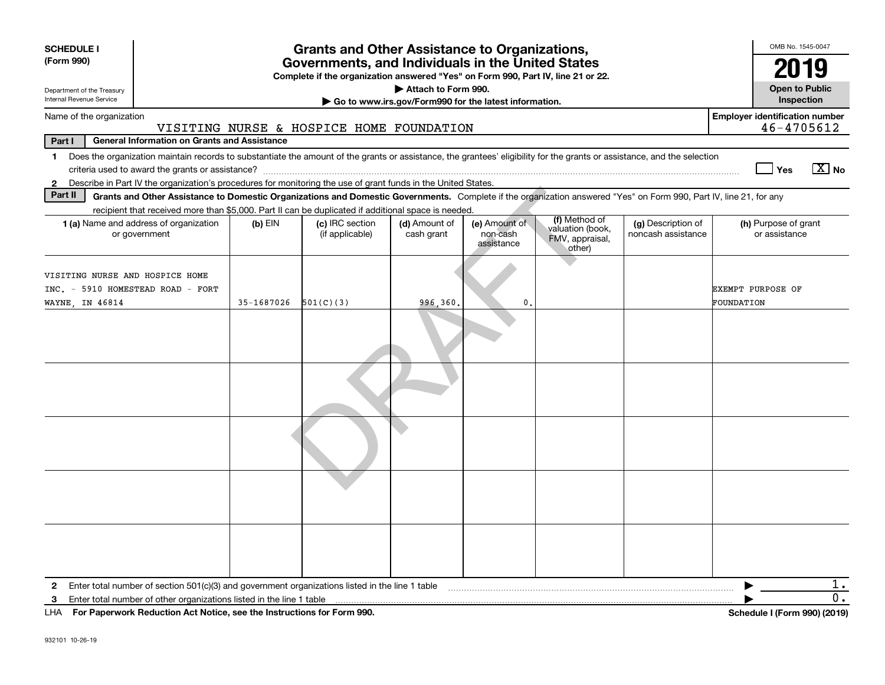| <b>SCHEDULE I</b><br><b>Grants and Other Assistance to Organizations,</b><br>(Form 990)<br>Governments, and Individuals in the United States<br>Complete if the organization answered "Yes" on Form 990, Part IV, line 21 or 22.<br>Attach to Form 990.<br>Department of the Treasury |                                                                                                                                                                                                                                                                                           |                                    |                                                       |                                         |                                                                |                                          |                                                     |  |  |  |
|---------------------------------------------------------------------------------------------------------------------------------------------------------------------------------------------------------------------------------------------------------------------------------------|-------------------------------------------------------------------------------------------------------------------------------------------------------------------------------------------------------------------------------------------------------------------------------------------|------------------------------------|-------------------------------------------------------|-----------------------------------------|----------------------------------------------------------------|------------------------------------------|-----------------------------------------------------|--|--|--|
| Internal Revenue Service                                                                                                                                                                                                                                                              |                                                                                                                                                                                                                                                                                           |                                    | Go to www.irs.gov/Form990 for the latest information. |                                         |                                                                |                                          | Inspection                                          |  |  |  |
| Name of the organization                                                                                                                                                                                                                                                              | VISITING NURSE & HOSPICE HOME FOUNDATION                                                                                                                                                                                                                                                  |                                    |                                                       |                                         |                                                                |                                          | <b>Employer identification number</b><br>46-4705612 |  |  |  |
| Part I                                                                                                                                                                                                                                                                                | <b>General Information on Grants and Assistance</b>                                                                                                                                                                                                                                       |                                    |                                                       |                                         |                                                                |                                          |                                                     |  |  |  |
| $\mathbf{1}$<br>$\mathbf{2}$                                                                                                                                                                                                                                                          | Does the organization maintain records to substantiate the amount of the grants or assistance, the grantees' eligibility for the grants or assistance, and the selection<br>Describe in Part IV the organization's procedures for monitoring the use of grant funds in the United States. |                                    |                                                       |                                         |                                                                |                                          | $X$ No<br>Yes                                       |  |  |  |
| Part II                                                                                                                                                                                                                                                                               | Grants and Other Assistance to Domestic Organizations and Domestic Governments. Complete if the organization answered "Yes" on Form 990, Part IV, line 21, for any                                                                                                                        |                                    |                                                       |                                         |                                                                |                                          |                                                     |  |  |  |
|                                                                                                                                                                                                                                                                                       | recipient that received more than \$5,000. Part II can be duplicated if additional space is needed.                                                                                                                                                                                       |                                    |                                                       |                                         |                                                                |                                          |                                                     |  |  |  |
| 1 (a) Name and address of organization<br>or government                                                                                                                                                                                                                               | $(b)$ EIN                                                                                                                                                                                                                                                                                 | (c) IRC section<br>(if applicable) | (d) Amount of<br>cash grant                           | (e) Amount of<br>non-cash<br>assistance | (f) Method of<br>valuation (book,<br>FMV, appraisal,<br>other) | (g) Description of<br>noncash assistance | (h) Purpose of grant<br>or assistance               |  |  |  |
| VISITING NURSE AND HOSPICE HOME<br>INC. - 5910 HOMESTEAD ROAD - FORT<br>WAYNE, IN 46814                                                                                                                                                                                               | 35-1687026                                                                                                                                                                                                                                                                                | 501(C)(3)                          | 996,360.                                              | $\mathbf{0}$                            |                                                                |                                          | EXEMPT PURPOSE OF<br>FOUNDATION                     |  |  |  |
|                                                                                                                                                                                                                                                                                       |                                                                                                                                                                                                                                                                                           |                                    |                                                       |                                         |                                                                |                                          |                                                     |  |  |  |
|                                                                                                                                                                                                                                                                                       |                                                                                                                                                                                                                                                                                           |                                    |                                                       |                                         |                                                                |                                          |                                                     |  |  |  |
|                                                                                                                                                                                                                                                                                       |                                                                                                                                                                                                                                                                                           |                                    |                                                       |                                         |                                                                |                                          |                                                     |  |  |  |
|                                                                                                                                                                                                                                                                                       |                                                                                                                                                                                                                                                                                           |                                    |                                                       |                                         |                                                                |                                          |                                                     |  |  |  |
|                                                                                                                                                                                                                                                                                       |                                                                                                                                                                                                                                                                                           |                                    |                                                       |                                         |                                                                |                                          |                                                     |  |  |  |
| 2                                                                                                                                                                                                                                                                                     | Enter total number of section $501(c)(3)$ and government organizations listed in the line 1 table                                                                                                                                                                                         |                                    |                                                       |                                         |                                                                |                                          | 1.                                                  |  |  |  |
| 3                                                                                                                                                                                                                                                                                     | Enter total number of other organizations listed in the line 1 table                                                                                                                                                                                                                      |                                    |                                                       |                                         |                                                                |                                          | 0.                                                  |  |  |  |
| LHA For Paperwork Reduction Act Notice, see the Instructions for Form 990.                                                                                                                                                                                                            |                                                                                                                                                                                                                                                                                           |                                    |                                                       |                                         |                                                                |                                          | Schedule I (Form 990) (2019)                        |  |  |  |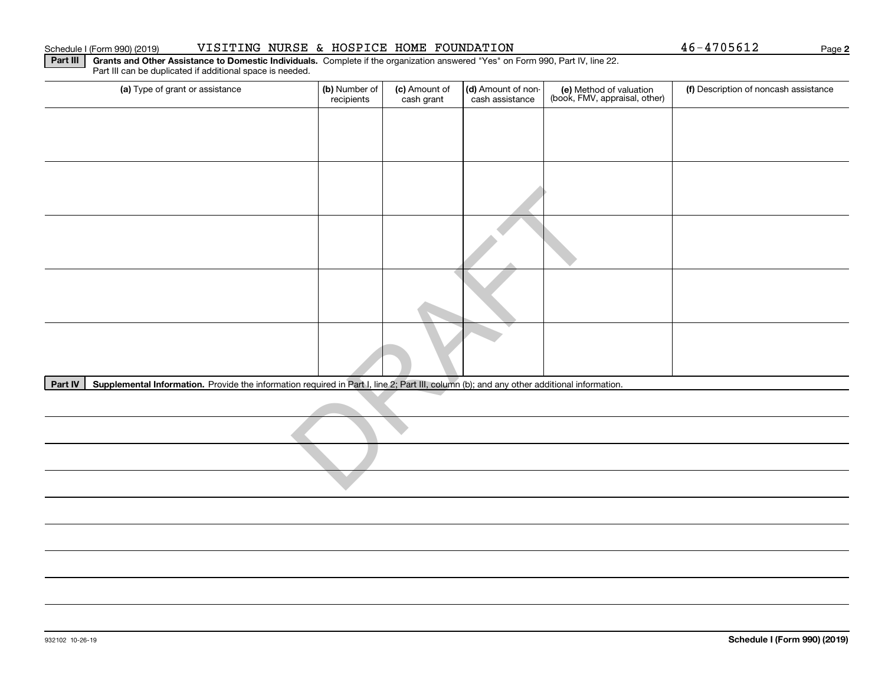### Schedule I (Form 990) (2019) Page VISITING NURSE & HOSPICE HOME FOUNDATION 46-4705612

**2**

**Part III** | Grants and Other Assistance to Domestic Individuals. Complete if the organization answered "Yes" on Form 990, Part IV, line 22. Part III can be duplicated if additional space is needed.

| (a) Type of grant or assistance                                                                                                                      | (b) Number of<br>recipients | (c) Amount of<br>cash grant | (d) Amount of non-<br>cash assistance | (e) Method of valuation<br>(book, FMV, appraisal, other) | (f) Description of noncash assistance |
|------------------------------------------------------------------------------------------------------------------------------------------------------|-----------------------------|-----------------------------|---------------------------------------|----------------------------------------------------------|---------------------------------------|
|                                                                                                                                                      |                             |                             |                                       |                                                          |                                       |
|                                                                                                                                                      |                             |                             |                                       |                                                          |                                       |
|                                                                                                                                                      |                             |                             |                                       |                                                          |                                       |
|                                                                                                                                                      |                             |                             |                                       |                                                          |                                       |
|                                                                                                                                                      |                             |                             |                                       |                                                          |                                       |
|                                                                                                                                                      |                             |                             |                                       |                                                          |                                       |
|                                                                                                                                                      |                             |                             |                                       |                                                          |                                       |
|                                                                                                                                                      |                             |                             |                                       |                                                          |                                       |
| Supplemental Information. Provide the information required in Part I, line 2; Part III, column (b); and any other additional information.<br>Part IV |                             |                             |                                       |                                                          |                                       |
|                                                                                                                                                      |                             |                             |                                       |                                                          |                                       |
|                                                                                                                                                      |                             |                             |                                       |                                                          |                                       |
|                                                                                                                                                      |                             |                             |                                       |                                                          |                                       |
|                                                                                                                                                      |                             |                             |                                       |                                                          |                                       |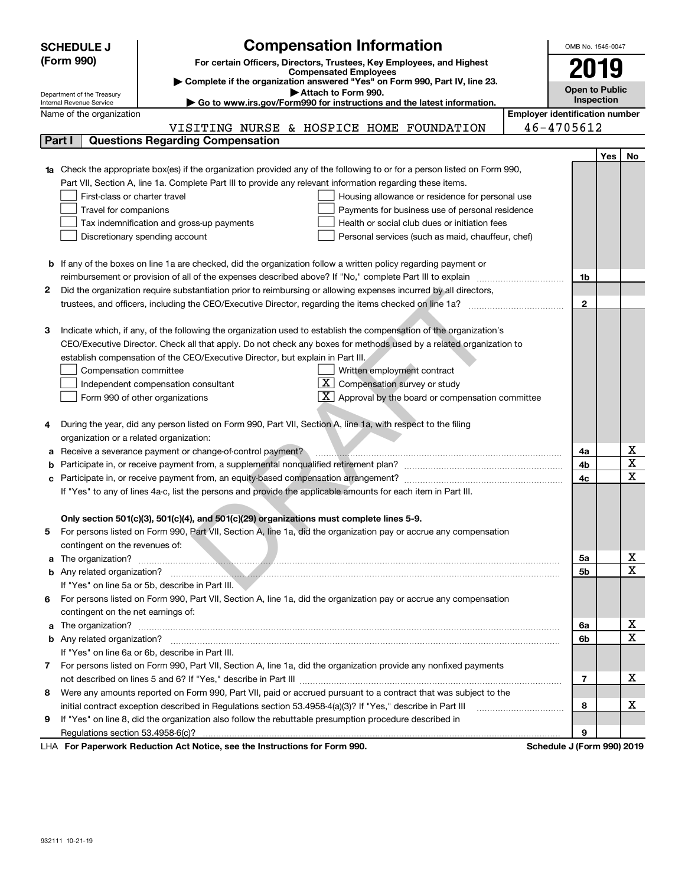| <b>Compensation Information</b><br>(Form 990)<br>For certain Officers, Directors, Trustees, Key Employees, and Highest<br><b>Compensated Employees</b><br>Complete if the organization answered "Yes" on Form 990, Part IV, line 23.<br>Attach to Form 990.<br>Department of the Treasury<br>Internal Revenue Service<br>$\blacktriangleright$ Go to www.irs.gov/Form990 for instructions and the latest information. | 2019<br><b>Open to Public</b><br><b>Inspection</b> |                  |
|-----------------------------------------------------------------------------------------------------------------------------------------------------------------------------------------------------------------------------------------------------------------------------------------------------------------------------------------------------------------------------------------------------------------------|----------------------------------------------------|------------------|
|                                                                                                                                                                                                                                                                                                                                                                                                                       |                                                    |                  |
|                                                                                                                                                                                                                                                                                                                                                                                                                       |                                                    |                  |
|                                                                                                                                                                                                                                                                                                                                                                                                                       |                                                    |                  |
|                                                                                                                                                                                                                                                                                                                                                                                                                       |                                                    |                  |
| <b>Employer identification number</b><br>Name of the organization                                                                                                                                                                                                                                                                                                                                                     |                                                    |                  |
| 46-4705612<br>VISITING NURSE & HOSPICE HOME FOUNDATION                                                                                                                                                                                                                                                                                                                                                                |                                                    |                  |
| <b>Questions Regarding Compensation</b><br>Part I                                                                                                                                                                                                                                                                                                                                                                     |                                                    |                  |
|                                                                                                                                                                                                                                                                                                                                                                                                                       | Yes                                                | No               |
| <b>1a</b> Check the appropriate box(es) if the organization provided any of the following to or for a person listed on Form 990,                                                                                                                                                                                                                                                                                      |                                                    |                  |
| Part VII, Section A, line 1a. Complete Part III to provide any relevant information regarding these items.                                                                                                                                                                                                                                                                                                            |                                                    |                  |
| First-class or charter travel<br>Housing allowance or residence for personal use                                                                                                                                                                                                                                                                                                                                      |                                                    |                  |
| Travel for companions<br>Payments for business use of personal residence                                                                                                                                                                                                                                                                                                                                              |                                                    |                  |
| Health or social club dues or initiation fees<br>Tax indemnification and gross-up payments                                                                                                                                                                                                                                                                                                                            |                                                    |                  |
| Discretionary spending account<br>Personal services (such as maid, chauffeur, chef)                                                                                                                                                                                                                                                                                                                                   |                                                    |                  |
|                                                                                                                                                                                                                                                                                                                                                                                                                       |                                                    |                  |
| <b>b</b> If any of the boxes on line 1a are checked, did the organization follow a written policy regarding payment or                                                                                                                                                                                                                                                                                                |                                                    |                  |
| reimbursement or provision of all of the expenses described above? If "No," complete Part III to explain                                                                                                                                                                                                                                                                                                              | 1b                                                 |                  |
| Did the organization require substantiation prior to reimbursing or allowing expenses incurred by all directors,<br>2                                                                                                                                                                                                                                                                                                 | $\mathbf{2}$                                       |                  |
|                                                                                                                                                                                                                                                                                                                                                                                                                       |                                                    |                  |
| Indicate which, if any, of the following the organization used to establish the compensation of the organization's<br>З                                                                                                                                                                                                                                                                                               |                                                    |                  |
| CEO/Executive Director. Check all that apply. Do not check any boxes for methods used by a related organization to                                                                                                                                                                                                                                                                                                    |                                                    |                  |
| establish compensation of the CEO/Executive Director, but explain in Part III.                                                                                                                                                                                                                                                                                                                                        |                                                    |                  |
| Written employment contract<br>Compensation committee                                                                                                                                                                                                                                                                                                                                                                 |                                                    |                  |
| $X$ Compensation survey or study<br>Independent compensation consultant                                                                                                                                                                                                                                                                                                                                               |                                                    |                  |
| $X$ Approval by the board or compensation committee<br>Form 990 of other organizations                                                                                                                                                                                                                                                                                                                                |                                                    |                  |
|                                                                                                                                                                                                                                                                                                                                                                                                                       |                                                    |                  |
| During the year, did any person listed on Form 990, Part VII, Section A, line 1a, with respect to the filing<br>4                                                                                                                                                                                                                                                                                                     |                                                    |                  |
| organization or a related organization:                                                                                                                                                                                                                                                                                                                                                                               |                                                    |                  |
| Receive a severance payment or change-of-control payment?<br>а                                                                                                                                                                                                                                                                                                                                                        | 4a                                                 | х                |
| b                                                                                                                                                                                                                                                                                                                                                                                                                     | 4b                                                 | X                |
| с                                                                                                                                                                                                                                                                                                                                                                                                                     | 4c                                                 | $\mathbf x$      |
| If "Yes" to any of lines 4a-c, list the persons and provide the applicable amounts for each item in Part III.                                                                                                                                                                                                                                                                                                         |                                                    |                  |
|                                                                                                                                                                                                                                                                                                                                                                                                                       |                                                    |                  |
| Only section 501(c)(3), 501(c)(4), and 501(c)(29) organizations must complete lines 5-9.                                                                                                                                                                                                                                                                                                                              |                                                    |                  |
| For persons listed on Form 990, Part VII, Section A, line 1a, did the organization pay or accrue any compensation                                                                                                                                                                                                                                                                                                     |                                                    |                  |
| contingent on the revenues of:                                                                                                                                                                                                                                                                                                                                                                                        |                                                    |                  |
|                                                                                                                                                                                                                                                                                                                                                                                                                       | 5a                                                 | x                |
|                                                                                                                                                                                                                                                                                                                                                                                                                       | 5b                                                 | X                |
| If "Yes" on line 5a or 5b, describe in Part III.                                                                                                                                                                                                                                                                                                                                                                      |                                                    |                  |
| For persons listed on Form 990, Part VII, Section A, line 1a, did the organization pay or accrue any compensation<br>6                                                                                                                                                                                                                                                                                                |                                                    |                  |
| contingent on the net earnings of:                                                                                                                                                                                                                                                                                                                                                                                    |                                                    |                  |
| a                                                                                                                                                                                                                                                                                                                                                                                                                     | 6a                                                 | х<br>$\mathbf X$ |
|                                                                                                                                                                                                                                                                                                                                                                                                                       | 6b                                                 |                  |
| If "Yes" on line 6a or 6b, describe in Part III.                                                                                                                                                                                                                                                                                                                                                                      |                                                    |                  |
| 7 For persons listed on Form 990, Part VII, Section A, line 1a, did the organization provide any nonfixed payments                                                                                                                                                                                                                                                                                                    |                                                    | х                |
|                                                                                                                                                                                                                                                                                                                                                                                                                       | $\overline{\phantom{a}}$                           |                  |
| Were any amounts reported on Form 990, Part VII, paid or accrued pursuant to a contract that was subject to the<br>8                                                                                                                                                                                                                                                                                                  | 8                                                  | х                |
| initial contract exception described in Regulations section 53.4958-4(a)(3)? If "Yes," describe in Part III<br>If "Yes" on line 8, did the organization also follow the rebuttable presumption procedure described in<br>9                                                                                                                                                                                            |                                                    |                  |
|                                                                                                                                                                                                                                                                                                                                                                                                                       | 9                                                  |                  |
| LHA For Paperwork Reduction Act Notice, see the Instructions for Form 990.<br>Schedule J (Form 990) 2019                                                                                                                                                                                                                                                                                                              |                                                    |                  |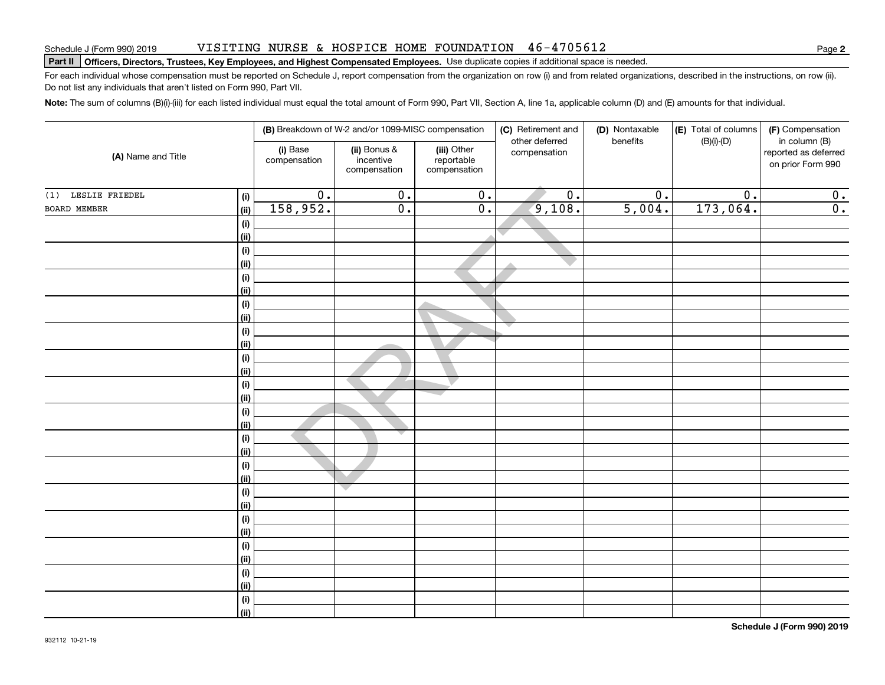### VISITING NURSE & HOSPICE HOME FOUNDATION 46-4705612

# **Part II Officers, Directors, Trustees, Key Employees, and Highest Compensated Employees.**  Schedule J (Form 990) 2019 Page Use duplicate copies if additional space is needed.

For each individual whose compensation must be reported on Schedule J, report compensation from the organization on row (i) and from related organizations, described in the instructions, on row (ii). Do not list any individuals that aren't listed on Form 990, Part VII.

**Note:**  The sum of columns (B)(i)-(iii) for each listed individual must equal the total amount of Form 990, Part VII, Section A, line 1a, applicable column (D) and (E) amounts for that individual.

|                    |                    |                          | (B) Breakdown of W-2 and/or 1099-MISC compensation |                                           | (C) Retirement and<br>other deferred | (D) Nontaxable<br>benefits | (E) Total of columns | (F) Compensation                                           |
|--------------------|--------------------|--------------------------|----------------------------------------------------|-------------------------------------------|--------------------------------------|----------------------------|----------------------|------------------------------------------------------------|
| (A) Name and Title |                    | (i) Base<br>compensation | (ii) Bonus &<br>incentive<br>compensation          | (iii) Other<br>reportable<br>compensation | compensation                         |                            | $(B)(i)$ - $(D)$     | in column (B)<br>reported as deferred<br>on prior Form 990 |
| (1) LESLIE FRIEDEL | (i)                | $\overline{0}$ .         | $\overline{0}$ .                                   | $\overline{0}$ .                          | $\overline{0}$ .                     | $\overline{0}$ .           | $\overline{0}$ .     | $\overline{0}$ .                                           |
| BOARD MEMBER       | (ii)               | 158,952.                 | $\overline{0}$ .                                   | $\overline{\mathbf{0}}$ .                 | 9,108.                               | 5,004.                     | 173,064.             | $\overline{\mathbf{0}}$ .                                  |
|                    | (i)                |                          |                                                    |                                           |                                      |                            |                      |                                                            |
|                    | (ii)               |                          |                                                    |                                           | $\overline{\phantom{a}}$             |                            |                      |                                                            |
|                    | (i)                |                          |                                                    |                                           |                                      |                            |                      |                                                            |
|                    | (ii)               |                          |                                                    |                                           |                                      |                            |                      |                                                            |
|                    | $(\sf{i})$         |                          |                                                    |                                           |                                      |                            |                      |                                                            |
|                    | (ii)               |                          |                                                    |                                           |                                      |                            |                      |                                                            |
|                    | $(\sf{i})$         |                          |                                                    |                                           |                                      |                            |                      |                                                            |
|                    | (ii)               |                          |                                                    |                                           |                                      |                            |                      |                                                            |
|                    | $(\sf{i})$         |                          |                                                    |                                           |                                      |                            |                      |                                                            |
|                    | (ii)               |                          |                                                    |                                           |                                      |                            |                      |                                                            |
|                    | $(\sf{i})$         |                          |                                                    |                                           |                                      |                            |                      |                                                            |
|                    | (ii)               |                          |                                                    |                                           |                                      |                            |                      |                                                            |
|                    | (i)                |                          |                                                    |                                           |                                      |                            |                      |                                                            |
|                    | (ii)<br>$(\sf{i})$ |                          |                                                    |                                           |                                      |                            |                      |                                                            |
|                    | (ii)               |                          |                                                    |                                           |                                      |                            |                      |                                                            |
|                    | $(\sf{i})$         |                          |                                                    |                                           |                                      |                            |                      |                                                            |
|                    | (ii)               |                          |                                                    |                                           |                                      |                            |                      |                                                            |
|                    | $(\sf{i})$         |                          |                                                    |                                           |                                      |                            |                      |                                                            |
|                    | (ii)               |                          |                                                    |                                           |                                      |                            |                      |                                                            |
|                    | (i)                |                          | $\overline{\phantom{a}}$                           |                                           |                                      |                            |                      |                                                            |
|                    | (ii)               |                          |                                                    |                                           |                                      |                            |                      |                                                            |
|                    | (i)                |                          |                                                    |                                           |                                      |                            |                      |                                                            |
|                    | (ii)               |                          |                                                    |                                           |                                      |                            |                      |                                                            |
|                    | (i)                |                          |                                                    |                                           |                                      |                            |                      |                                                            |
|                    | (ii)               |                          |                                                    |                                           |                                      |                            |                      |                                                            |
|                    | (i)                |                          |                                                    |                                           |                                      |                            |                      |                                                            |
|                    | (ii)               |                          |                                                    |                                           |                                      |                            |                      |                                                            |
|                    | $(\sf{i})$         |                          |                                                    |                                           |                                      |                            |                      |                                                            |
|                    | (ii)               |                          |                                                    |                                           |                                      |                            |                      |                                                            |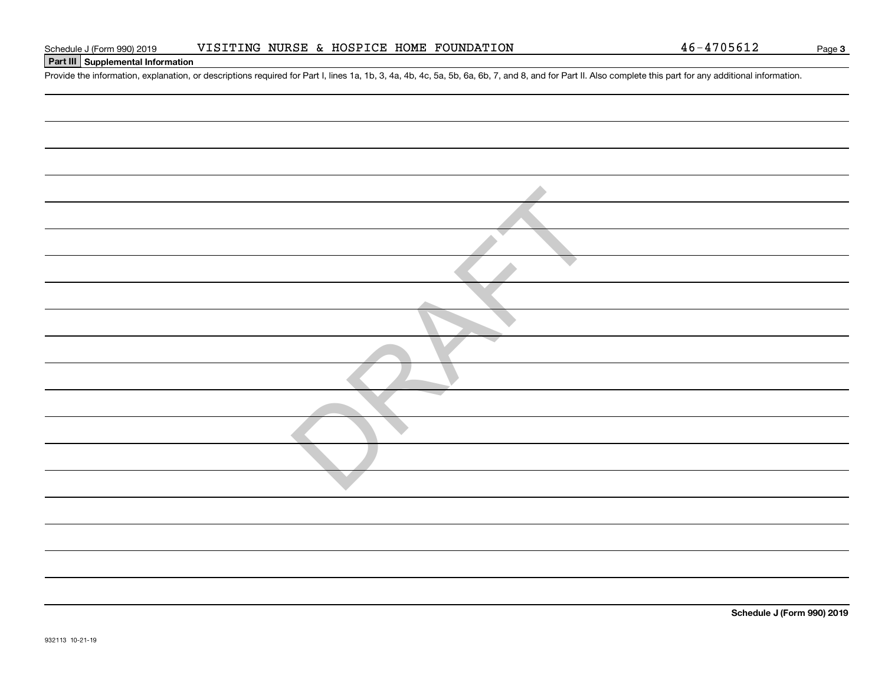| Form 990) 2019 |  |  | VISITING NURSE & HOSPICE HOME FOUNDATION |
|----------------|--|--|------------------------------------------|
|                |  |  |                                          |

### **Part III Supplemental Information**

Schedule J (Form 990) 2019 VISITING NURSE & HOSPICE HOME FOUNDATION 46-4705612<br>Part III Supplemental Information<br>Provide the information, explanation, or descriptions required for Part I, lines 1a, 1b, 3, 4a, 4b, 4c, 5a, 5

**Schedule J (Form 990) 2019**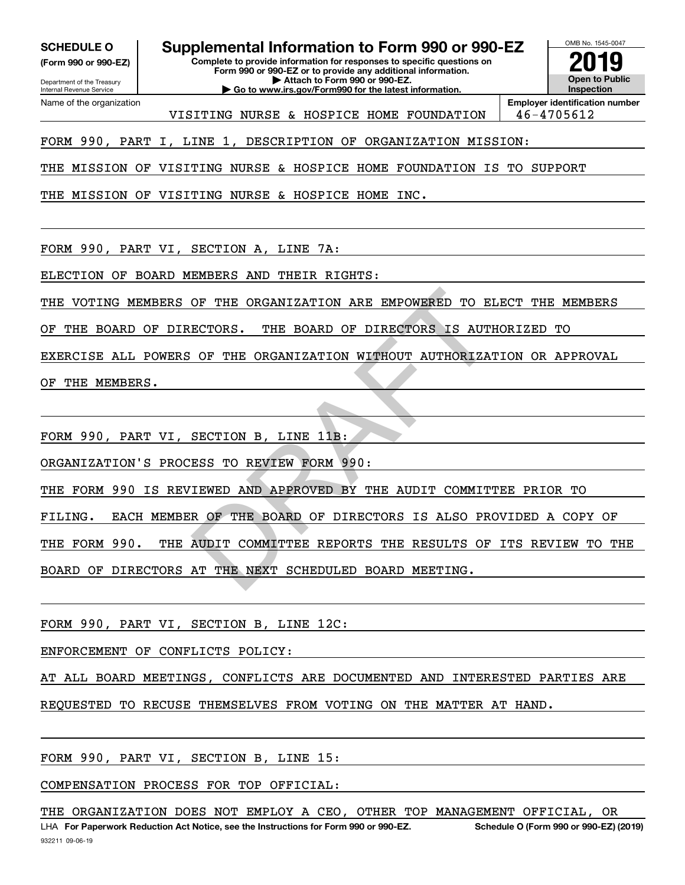**(Form 990 or 990-EZ)**

Department of the Treasury Internal Revenue Service Name of the organization

**SCHEDULE O Supplemental Information to Form 990 or 990-EZ**

**Complete to provide information for responses to specific questions on Form 990 or 990-EZ or to provide any additional information. | Attach to Form 990 or 990-EZ. | Go to www.irs.gov/Form990 for the latest information.**



VISITING NURSE & HOSPICE HOME FOUNDATION 46-4705612

FORM 990, PART I, LINE 1, DESCRIPTION OF ORGANIZATION MISSION:

THE MISSION OF VISITING NURSE & HOSPICE HOME FOUNDATION IS TO SUPPORT

THE MISSION OF VISITING NURSE & HOSPICE HOME INC.

FORM 990, PART VI, SECTION A, LINE 7A:

ELECTION OF BOARD MEMBERS AND THEIR RIGHTS:

THE VOTING MEMBERS OF THE ORGANIZATION ARE EMPOWERED TO ELECT THE MEMBERS

OF THE BOARD OF DIRECTORS. THE BOARD OF DIRECTORS IS AUTHORIZED TO

EXERCISE ALL POWERS OF THE ORGANIZATION WITHOUT AUTHORIZATION OR APPROVAL OF THE ORGANIZATION ARE EMPOWERED TO EI<br>ECTORS. THE BOARD OF DIRECTORS IS AUTH<br>OF THE ORGANIZATION WITHOUT AUTHORIZAT<br>SECTION B, LINE 11B:<br>ESS TO REVIEW FORM 990:<br>IEWED AND APPROVED BY THE AUDIT COMMITT<br>R OF THE BOARD OF D

OF THE MEMBERS.

FORM 990, PART VI, SECTION B, LINE 11B:

ORGANIZATION'S PROCESS TO REVIEW FORM 990:

THE FORM 990 IS REVIEWED AND APPROVED BY THE AUDIT COMMITTEE PRIOR TO

FILING. EACH MEMBER OF THE BOARD OF DIRECTORS IS ALSO PROVIDED A COPY OF

THE FORM 990. THE AUDIT COMMITTEE REPORTS THE RESULTS OF ITS REVIEW TO THE

BOARD OF DIRECTORS AT THE NEXT SCHEDULED BOARD MEETING.

FORM 990, PART VI, SECTION B, LINE 12C:

ENFORCEMENT OF CONFLICTS POLICY:

AT ALL BOARD MEETINGS, CONFLICTS ARE DOCUMENTED AND INTERESTED PARTIES ARE

REQUESTED TO RECUSE THEMSELVES FROM VOTING ON THE MATTER AT HAND.

FORM 990, PART VI, SECTION B, LINE 15:

COMPENSATION PROCESS FOR TOP OFFICIAL:

THE ORGANIZATION DOES NOT EMPLOY A CEO, OTHER TOP MANAGEMENT OFFICIAL, OR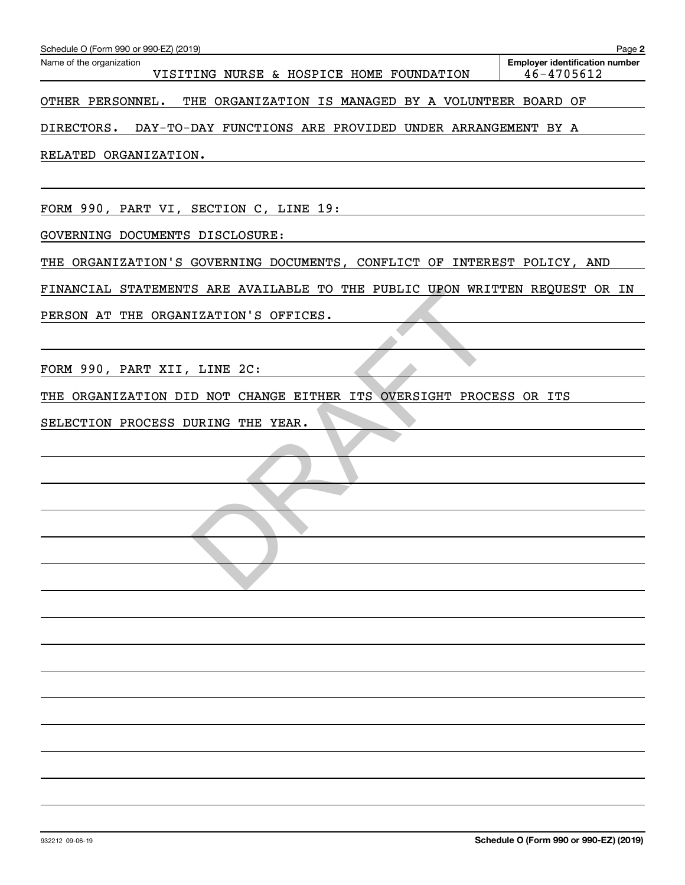| Schedule O (Form 990 or 990-EZ) (2019)                                      | Page 2                                              |
|-----------------------------------------------------------------------------|-----------------------------------------------------|
| Name of the organization<br>VISITING NURSE & HOSPICE HOME FOUNDATION        | <b>Employer identification number</b><br>46-4705612 |
| OTHER PERSONNEL.<br>THE ORGANIZATION IS MANAGED BY A VOLUNTEER BOARD OF     |                                                     |
| DIRECTORS. DAY-TO-DAY FUNCTIONS ARE PROVIDED UNDER ARRANGEMENT BY A         |                                                     |
| RELATED ORGANIZATION.                                                       |                                                     |
|                                                                             |                                                     |
| FORM 990, PART VI, SECTION C, LINE 19:                                      |                                                     |
| GOVERNING DOCUMENTS DISCLOSURE:                                             |                                                     |
| THE ORGANIZATION'S GOVERNING DOCUMENTS, CONFLICT OF INTEREST POLICY, AND    |                                                     |
| FINANCIAL STATEMENTS ARE AVAILABLE TO THE PUBLIC UPON WRITTEN REQUEST OR IN |                                                     |
| PERSON AT THE ORGANIZATION'S OFFICES.                                       |                                                     |
|                                                                             |                                                     |
| FORM 990, PART XII, LINE 2C:                                                |                                                     |
| THE ORGANIZATION DID NOT CHANGE EITHER ITS OVERSIGHT PROCESS OR ITS         |                                                     |
| SELECTION PROCESS DURING THE YEAR.                                          |                                                     |
|                                                                             |                                                     |
|                                                                             |                                                     |
|                                                                             |                                                     |
|                                                                             |                                                     |
|                                                                             |                                                     |
|                                                                             |                                                     |
|                                                                             |                                                     |
|                                                                             |                                                     |
|                                                                             |                                                     |
|                                                                             |                                                     |
|                                                                             |                                                     |
|                                                                             |                                                     |
|                                                                             |                                                     |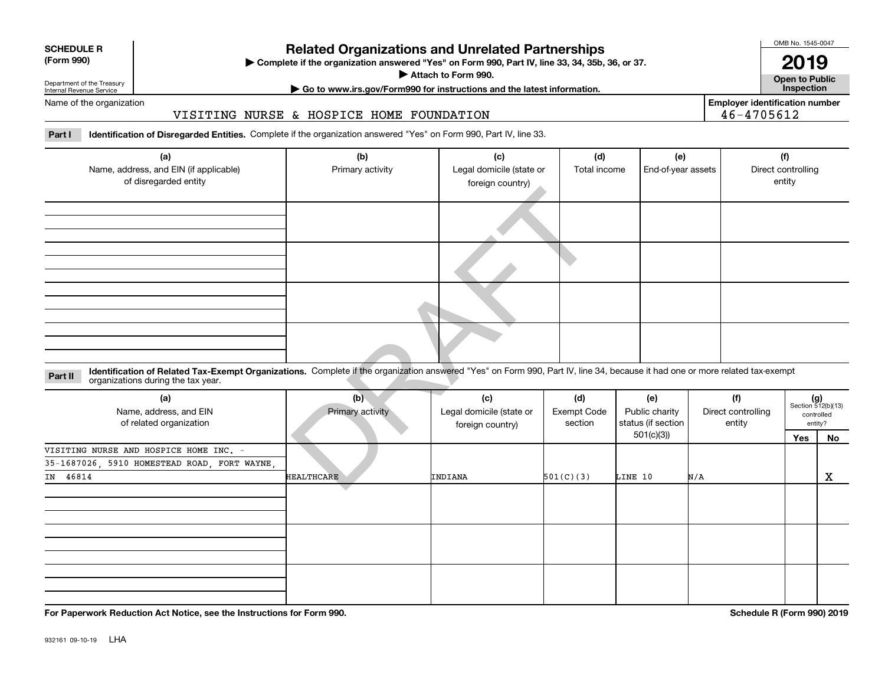| <b>SCHEDULE R</b> |    |  |
|-------------------|----|--|
|                   | AA |  |

#### **(Form 990)**

### **Related Organizations and Unrelated Partnerships**

**Complete if the organization answered "Yes" on Form 990, Part IV, line 33, 34, 35b, 36, or 37.** |

**Attach to Form 990.**  |

OMB No. 1545-0047

**Open to Public 2019**

Department of the Treasury Internal Revenue Service

### **| Go to www.irs.gov/Form990 for instructions and the latest information. Inspection**

Name of the organization

### VISITING NURSE & HOSPICE HOME FOUNDATION

**Employer identification number** 46-4705612

**Part I Identification of Disregarded Entities.**  Complete if the organization answered "Yes" on Form 990, Part IV, line 33.

| (a)                                                                                                                                                                                                                           | (b)               | (c)                      | (d)                | (e)                |                    | (f)                         |         |
|-------------------------------------------------------------------------------------------------------------------------------------------------------------------------------------------------------------------------------|-------------------|--------------------------|--------------------|--------------------|--------------------|-----------------------------|---------|
| Name, address, and EIN (if applicable)                                                                                                                                                                                        | Primary activity  | Legal domicile (state or | Total income       | End-of-year assets |                    | Direct controlling          |         |
| of disregarded entity                                                                                                                                                                                                         |                   | foreign country)         |                    |                    |                    | entity                      |         |
|                                                                                                                                                                                                                               |                   |                          |                    |                    |                    |                             |         |
|                                                                                                                                                                                                                               |                   |                          |                    |                    |                    |                             |         |
|                                                                                                                                                                                                                               |                   |                          |                    |                    |                    |                             |         |
|                                                                                                                                                                                                                               |                   |                          |                    |                    |                    |                             |         |
| Identification of Related Tax-Exempt Organizations. Complete if the organization answered "Yes" on Form 990, Part IV, line 34, because it had one or more related tax-exempt<br>Part II<br>organizations during the tax year. |                   |                          |                    |                    |                    |                             |         |
| (a)                                                                                                                                                                                                                           | (b)               | (c)                      | (d)                | (e)                | (f)                | $(g)$<br>Section 512(b)(13) |         |
| Name, address, and EIN                                                                                                                                                                                                        | Primary activity  | Legal domicile (state or | <b>Exempt Code</b> | Public charity     | Direct controlling | controlled                  |         |
| of related organization                                                                                                                                                                                                       |                   | foreign country)         | section            | status (if section | entity             |                             | entity? |
|                                                                                                                                                                                                                               |                   |                          |                    | 501(c)(3)          |                    | Yes                         | No      |
| VISITING NURSE AND HOSPICE HOME INC. -                                                                                                                                                                                        |                   |                          |                    |                    |                    |                             |         |
| 35-1687026, 5910 HOMESTEAD ROAD, FORT WAYNE,                                                                                                                                                                                  |                   |                          |                    |                    |                    |                             |         |
| IN 46814                                                                                                                                                                                                                      | <b>HEALTHCARE</b> | <b>INDIANA</b>           | 501(C)(3)          | LINE 10            | N/A                |                             | X       |

| (a)<br>Name, address, and EIN<br>of related organization | (b)<br>Primary activity | (c)<br>Legal domicile (state or<br>foreign country) | (d)<br>Exempt Code<br>section | (e)<br>Public charity<br>status (if section | (f)<br>Direct controlling<br>entity | $(g)$<br>Section 512(b)(13) | controlled<br>entity? |
|----------------------------------------------------------|-------------------------|-----------------------------------------------------|-------------------------------|---------------------------------------------|-------------------------------------|-----------------------------|-----------------------|
|                                                          | <b>HEALTHCARE</b>       |                                                     |                               | 501(c)(3))                                  |                                     | Yes                         | No                    |
| VISITING NURSE AND HOSPICE HOME INC. -                   |                         |                                                     |                               |                                             |                                     |                             |                       |
| 35-1687026, 5910 HOMESTEAD ROAD, FORT WAYNE,             |                         |                                                     |                               |                                             |                                     |                             |                       |
| IN 46814                                                 |                         | INDIANA                                             | 501(C)(3)                     | LINE 10                                     | N/A                                 |                             | X                     |
|                                                          |                         |                                                     |                               |                                             |                                     |                             |                       |
|                                                          |                         |                                                     |                               |                                             |                                     |                             |                       |
|                                                          |                         |                                                     |                               |                                             |                                     |                             |                       |
|                                                          |                         |                                                     |                               |                                             |                                     |                             |                       |
|                                                          |                         |                                                     |                               |                                             |                                     |                             |                       |
|                                                          |                         |                                                     |                               |                                             |                                     |                             |                       |
|                                                          |                         |                                                     |                               |                                             |                                     |                             |                       |
|                                                          |                         |                                                     |                               |                                             |                                     |                             |                       |
|                                                          |                         |                                                     |                               |                                             |                                     |                             |                       |

**For Paperwork Reduction Act Notice, see the Instructions for Form 990. Schedule R (Form 990) 2019**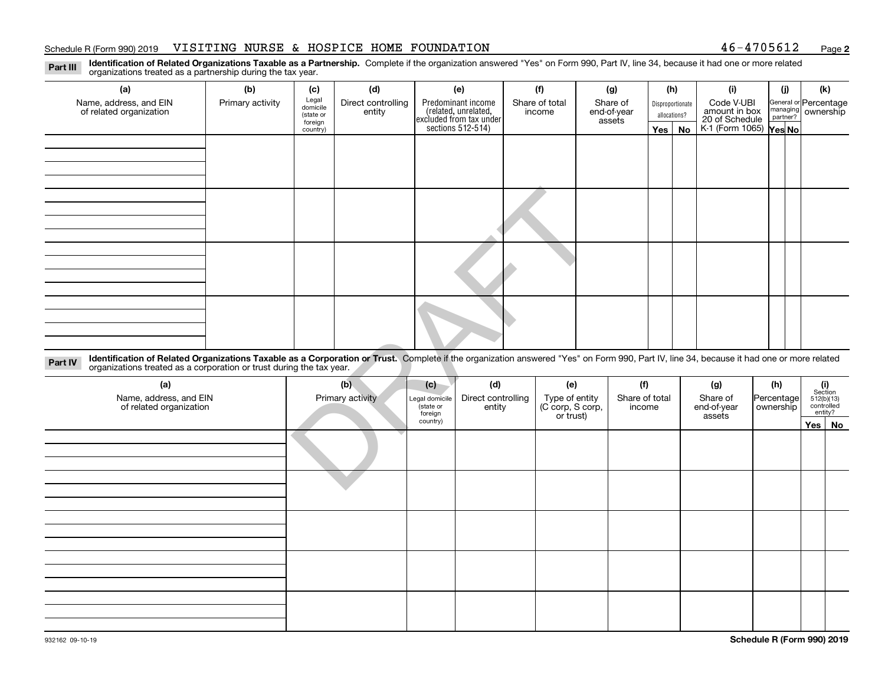#### Schedule R (Form 990) 2019 Page VISITING NURSE & HOSPICE HOME FOUNDATION 46-4705612

**2**

**Identification of Related Organizations Taxable as a Partnership.** Complete if the organization answered "Yes" on Form 990, Part IV, line 34, because it had one or more related **Part III** organizations treated as a partnership during the tax year.

| (a)                                                                                                                                                                                                                                                                         | (b)              | (c)                                       | (d)                          |                                        | (e)                                                                                       | (f)                                | (g)                               | (h)                              |           | (i)                                           |                         | (j)                  | (k)                                   |    |
|-----------------------------------------------------------------------------------------------------------------------------------------------------------------------------------------------------------------------------------------------------------------------------|------------------|-------------------------------------------|------------------------------|----------------------------------------|-------------------------------------------------------------------------------------------|------------------------------------|-----------------------------------|----------------------------------|-----------|-----------------------------------------------|-------------------------|----------------------|---------------------------------------|----|
| Name, address, and EIN<br>of related organization                                                                                                                                                                                                                           | Primary activity | Legal<br>domicile<br>(state or<br>foreign | Direct controlling<br>entity |                                        | Predominant income<br>related, unrelated,<br>excluded from tax under<br>sections 512-514) | Share of total<br>income           | Share of<br>end-of-year<br>assets | Disproportionate<br>allocations? |           | Code V-UBI<br>amount in box<br>20 of Schedule |                         | managing<br>partner? | General or Percentage<br>ownership    |    |
|                                                                                                                                                                                                                                                                             |                  | country)                                  |                              |                                        |                                                                                           |                                    |                                   | Yes                              | <b>No</b> | K-1 (Form 1065) Yes No                        |                         |                      |                                       |    |
|                                                                                                                                                                                                                                                                             |                  |                                           |                              |                                        |                                                                                           |                                    |                                   |                                  |           |                                               |                         |                      |                                       |    |
|                                                                                                                                                                                                                                                                             |                  |                                           |                              |                                        |                                                                                           |                                    |                                   |                                  |           |                                               |                         |                      |                                       |    |
|                                                                                                                                                                                                                                                                             |                  |                                           |                              |                                        |                                                                                           |                                    |                                   |                                  |           |                                               |                         |                      |                                       |    |
|                                                                                                                                                                                                                                                                             |                  |                                           |                              |                                        |                                                                                           |                                    |                                   |                                  |           |                                               |                         |                      |                                       |    |
|                                                                                                                                                                                                                                                                             |                  |                                           |                              |                                        |                                                                                           |                                    |                                   |                                  |           |                                               |                         |                      |                                       |    |
|                                                                                                                                                                                                                                                                             |                  |                                           |                              |                                        |                                                                                           |                                    |                                   |                                  |           |                                               |                         |                      |                                       |    |
|                                                                                                                                                                                                                                                                             |                  |                                           |                              |                                        |                                                                                           |                                    |                                   |                                  |           |                                               |                         |                      |                                       |    |
|                                                                                                                                                                                                                                                                             |                  |                                           |                              |                                        |                                                                                           |                                    |                                   |                                  |           |                                               |                         |                      |                                       |    |
| Identification of Related Organizations Taxable as a Corporation or Trust. Complete if the organization answered "Yes" on Form 990, Part IV, line 34, because it had one or more related<br>Part IV<br>organizations treated as a corporation or trust during the tax year. |                  |                                           |                              |                                        |                                                                                           |                                    |                                   |                                  |           |                                               |                         |                      |                                       |    |
| (a)                                                                                                                                                                                                                                                                         |                  |                                           | (b)                          | (c)                                    | (d)                                                                                       | (e)                                | (f)                               |                                  |           | (g)                                           | (h)                     |                      | (i)<br>Section                        |    |
| Name, address, and EIN<br>of related organization                                                                                                                                                                                                                           |                  |                                           | Primary activity             | Legal domicile<br>(state or<br>foreign | Direct controlling<br>entity                                                              | Type of entity<br>(C corp, S corp, | Share of total<br>income          |                                  |           | Share of<br>end-of-year                       | Percentage<br>ownership |                      | $512(b)(13)$<br>controlled<br>entity? |    |
|                                                                                                                                                                                                                                                                             |                  |                                           |                              | country)                               |                                                                                           | or trust)                          |                                   |                                  |           | assets                                        |                         |                      | Yes                                   | No |
|                                                                                                                                                                                                                                                                             |                  |                                           |                              |                                        |                                                                                           |                                    |                                   |                                  |           |                                               |                         |                      |                                       |    |
|                                                                                                                                                                                                                                                                             |                  |                                           |                              |                                        |                                                                                           |                                    |                                   |                                  |           |                                               |                         |                      |                                       |    |
|                                                                                                                                                                                                                                                                             |                  |                                           |                              |                                        |                                                                                           |                                    |                                   |                                  |           |                                               |                         |                      |                                       |    |

| (a)<br>Name, address, and EIN<br>of related organization | (b)<br>Primary activity | (c)<br>Legal domicile<br>(state or<br>foreign |  | (e)<br>Type of entity<br>(C corp, S corp,<br>or trust) | (f)<br>Share of total<br>income | (g)<br>Share of<br>end-of-year<br>assets | (h)<br>Percentage<br>ownership | $\begin{array}{c} \textbf{(i)}\\ \text{Section}\\ 512 \text{(b)} \text{(13)}\\ \text{controlled}\\ \text{entity?} \end{array}$ |  |
|----------------------------------------------------------|-------------------------|-----------------------------------------------|--|--------------------------------------------------------|---------------------------------|------------------------------------------|--------------------------------|--------------------------------------------------------------------------------------------------------------------------------|--|
|                                                          |                         | country)                                      |  |                                                        |                                 |                                          |                                | Yes No                                                                                                                         |  |
|                                                          |                         |                                               |  |                                                        |                                 |                                          |                                |                                                                                                                                |  |
|                                                          |                         |                                               |  |                                                        |                                 |                                          |                                |                                                                                                                                |  |
|                                                          |                         |                                               |  |                                                        |                                 |                                          |                                |                                                                                                                                |  |
|                                                          |                         |                                               |  |                                                        |                                 |                                          |                                |                                                                                                                                |  |
|                                                          |                         |                                               |  |                                                        |                                 |                                          |                                |                                                                                                                                |  |
|                                                          |                         |                                               |  |                                                        |                                 |                                          |                                |                                                                                                                                |  |
|                                                          |                         |                                               |  |                                                        |                                 |                                          |                                |                                                                                                                                |  |
|                                                          |                         |                                               |  |                                                        |                                 |                                          |                                |                                                                                                                                |  |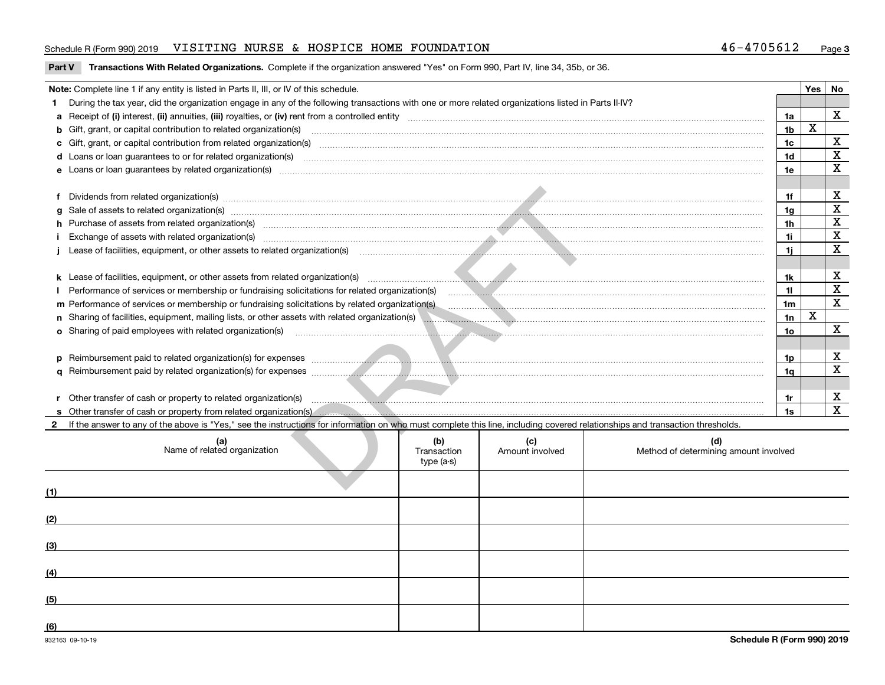#### Schedule R (Form 990) 2019 Page VISITING NURSE & HOSPICE HOME FOUNDATION 46-4705612

**Part V Transactions With Related Organizations. Complete if the organization answered "Yes" on Form 990, Part IV, line 34, 35b, or 36.<br>** 

|     | Note: Complete line 1 if any entity is listed in Parts II, III, or IV of this schedule.                                                                                                                                           |                                  |                        |                                              |                | Yes                     | No           |
|-----|-----------------------------------------------------------------------------------------------------------------------------------------------------------------------------------------------------------------------------------|----------------------------------|------------------------|----------------------------------------------|----------------|-------------------------|--------------|
|     | During the tax year, did the organization engage in any of the following transactions with one or more related organizations listed in Parts II-IV?                                                                               |                                  |                        |                                              |                |                         |              |
|     |                                                                                                                                                                                                                                   |                                  |                        |                                              | 1a             |                         | $\mathbf x$  |
|     | b Gift, grant, or capital contribution to related organization(s) manufaction contracts and contribution to related organization(s) manufaction contribution to related organization(s)                                           |                                  |                        |                                              | 1 <sub>b</sub> | $\overline{\mathbf{x}}$ |              |
|     | c Gift, grant, or capital contribution from related organization(s) material contracts and contribution from related organization(s) material contents and contribution from related organization(s) material contents and con    |                                  |                        |                                              | 1 <sub>c</sub> |                         | $\mathbf x$  |
|     |                                                                                                                                                                                                                                   |                                  |                        |                                              | 1 <sub>d</sub> |                         | $\mathbf X$  |
|     |                                                                                                                                                                                                                                   |                                  |                        |                                              |                |                         |              |
|     |                                                                                                                                                                                                                                   |                                  |                        |                                              |                |                         |              |
|     | Dividends from related organization(s) manufactured and content and content and content and content and content and content and content and content and content and content and content and content and content and content an    |                                  |                        |                                              | 1f             |                         | X            |
|     | Sale of assets to related organization(s) www.assettion.com/www.assettion.com/www.assettion.com/www.assettion.com/www.assettion.com/www.assettion.com/www.assettion.com/www.assettion.com/www.assettion.com/www.assettion.com/    |                                  |                        |                                              | 1a             |                         | $\mathbf X$  |
|     |                                                                                                                                                                                                                                   |                                  |                        |                                              | 1 <sub>h</sub> |                         | $\mathbf X$  |
|     | Exchange of assets with related organization(s) www.andron.com/www.andron.com/www.andron.com/www.andron.com/www.andron.com/www.andron.com/www.andron.com/www.andron.com/www.andron.com/www.andron.com/www.andron.com/www.andro    |                                  |                        |                                              | 1i -           |                         | $\mathbf X$  |
|     | Lease of facilities, equipment, or other assets to related organization(s) encontraction and contain the content of facilities, equipment, or other assets to related organization(s)                                             |                                  |                        |                                              | 1i.            |                         | $\mathbf{x}$ |
|     |                                                                                                                                                                                                                                   |                                  |                        |                                              |                |                         |              |
|     |                                                                                                                                                                                                                                   |                                  |                        |                                              |                |                         |              |
|     | Performance of services or membership or fundraising solicitations for related organization(s) manufactured in the services or membership or fundraising solicitations for related organization(s)                                |                                  |                        |                                              |                |                         |              |
|     | m Performance of services or membership or fundraising solicitations by related organization(s)<br>material contractions content content content content content content content content control or fund as a fund or fund of the |                                  |                        |                                              |                |                         |              |
|     | n Sharing of facilities, equipment, mailing lists, or other assets with related organization(s)                                                                                                                                   |                                  |                        |                                              |                |                         |              |
|     | <b>o</b> Sharing of paid employees with related organization(s)                                                                                                                                                                   |                                  |                        |                                              |                |                         |              |
|     |                                                                                                                                                                                                                                   |                                  |                        |                                              |                |                         |              |
|     |                                                                                                                                                                                                                                   |                                  |                        |                                              | 1p.            |                         | X            |
|     |                                                                                                                                                                                                                                   |                                  |                        |                                              | 1a             |                         | $\mathbf X$  |
|     |                                                                                                                                                                                                                                   |                                  |                        |                                              |                |                         |              |
|     |                                                                                                                                                                                                                                   |                                  |                        |                                              | 1r             |                         | X            |
|     |                                                                                                                                                                                                                                   |                                  |                        |                                              | 1s             |                         | $\mathbf{x}$ |
|     | If the answer to any of the above is "Yes," see the instructions for information on who must complete this line, including covered relationships and transaction thresholds.                                                      |                                  |                        |                                              |                |                         |              |
|     | (a)<br>Name of related organization                                                                                                                                                                                               | (b)<br>Transaction<br>type (a-s) | (c)<br>Amount involved | (d)<br>Method of determining amount involved |                |                         |              |
|     |                                                                                                                                                                                                                                   |                                  |                        |                                              |                |                         |              |
| (1) |                                                                                                                                                                                                                                   |                                  |                        |                                              |                |                         |              |
| (2) |                                                                                                                                                                                                                                   |                                  |                        |                                              |                |                         |              |
| (3) |                                                                                                                                                                                                                                   |                                  |                        |                                              |                |                         |              |
|     |                                                                                                                                                                                                                                   |                                  |                        |                                              |                |                         |              |
| (4) |                                                                                                                                                                                                                                   |                                  |                        |                                              |                |                         |              |

**(5)**

**(6)**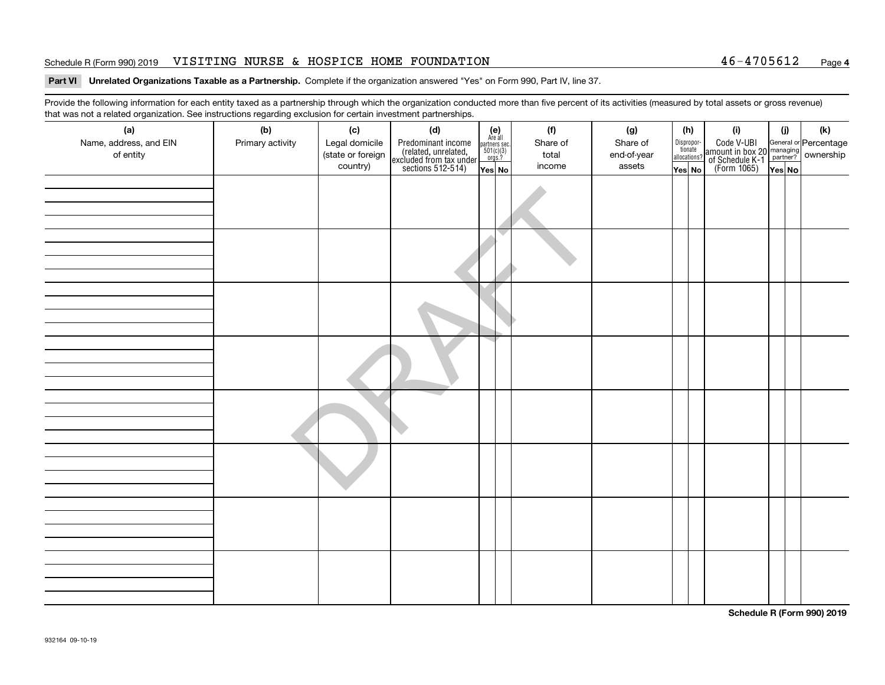#### Schedule R (Form 990) 2019 Page VISITING NURSE & HOSPICE HOME FOUNDATION 46-4705612

# **Part VI Unrelated Organizations Taxable as a Partnership.**  Complete if the organization answered "Yes" on Form 990, Part IV, line 37.

Provide the following information for each entity taxed as a partnership through which the organization conducted more than five percent of its activities (measured by total assets or gross revenue) that was not a related organization. See instructions regarding exclusion for certain investment partnerships.

| that was not a related organization. Occ instructions regarding exclusion for certain investment partnerships.<br>(a) | (b)              | (c)               | (d)                                                                                        |                                                               | (f)      | (g)         |              | (h)                   | (i)                                                                                      | (j) | (k) |
|-----------------------------------------------------------------------------------------------------------------------|------------------|-------------------|--------------------------------------------------------------------------------------------|---------------------------------------------------------------|----------|-------------|--------------|-----------------------|------------------------------------------------------------------------------------------|-----|-----|
| Name, address, and EIN                                                                                                | Primary activity | Legal domicile    |                                                                                            | (e)<br>Are all<br>partners sec.<br>$\frac{501(c)(3)}{0rgs.?}$ | Share of | Share of    |              | Dispropor-<br>tionate | Code V-UBI<br>amount in box 20 managing<br>of Schedule K-1<br>(Form 1065)<br>The Nest No |     |     |
| of entity                                                                                                             |                  | (state or foreign | Predominant income<br>(related, unrelated,<br>excluded from tax under<br>sections 512-514) |                                                               | total    | end-of-year | allocations? |                       |                                                                                          |     |     |
|                                                                                                                       |                  | country)          |                                                                                            | Yes No                                                        | income   | assets      | Yes No       |                       |                                                                                          |     |     |
|                                                                                                                       |                  |                   |                                                                                            |                                                               |          |             |              |                       |                                                                                          |     |     |
|                                                                                                                       |                  |                   |                                                                                            |                                                               |          |             |              |                       |                                                                                          |     |     |
|                                                                                                                       |                  |                   |                                                                                            |                                                               |          |             |              |                       |                                                                                          |     |     |
|                                                                                                                       |                  |                   |                                                                                            |                                                               |          |             |              |                       |                                                                                          |     |     |
|                                                                                                                       |                  |                   |                                                                                            |                                                               |          |             |              |                       |                                                                                          |     |     |
|                                                                                                                       |                  |                   |                                                                                            |                                                               |          |             |              |                       |                                                                                          |     |     |
|                                                                                                                       |                  |                   |                                                                                            |                                                               |          |             |              |                       |                                                                                          |     |     |
|                                                                                                                       |                  |                   |                                                                                            |                                                               |          |             |              |                       |                                                                                          |     |     |
|                                                                                                                       |                  |                   |                                                                                            |                                                               |          |             |              |                       |                                                                                          |     |     |
|                                                                                                                       |                  |                   |                                                                                            |                                                               |          |             |              |                       |                                                                                          |     |     |
|                                                                                                                       |                  |                   |                                                                                            |                                                               |          |             |              |                       |                                                                                          |     |     |
|                                                                                                                       |                  |                   |                                                                                            |                                                               |          |             |              |                       |                                                                                          |     |     |
|                                                                                                                       |                  |                   |                                                                                            |                                                               |          |             |              |                       |                                                                                          |     |     |
|                                                                                                                       |                  |                   |                                                                                            |                                                               |          |             |              |                       |                                                                                          |     |     |
|                                                                                                                       |                  |                   |                                                                                            |                                                               |          |             |              |                       |                                                                                          |     |     |
|                                                                                                                       |                  |                   |                                                                                            |                                                               |          |             |              |                       |                                                                                          |     |     |
|                                                                                                                       |                  |                   |                                                                                            |                                                               |          |             |              |                       |                                                                                          |     |     |
|                                                                                                                       |                  |                   |                                                                                            |                                                               |          |             |              |                       |                                                                                          |     |     |
|                                                                                                                       |                  |                   |                                                                                            |                                                               |          |             |              |                       |                                                                                          |     |     |
|                                                                                                                       |                  |                   |                                                                                            |                                                               |          |             |              |                       |                                                                                          |     |     |
|                                                                                                                       |                  |                   |                                                                                            |                                                               |          |             |              |                       |                                                                                          |     |     |
|                                                                                                                       |                  |                   |                                                                                            |                                                               |          |             |              |                       |                                                                                          |     |     |
|                                                                                                                       |                  |                   |                                                                                            |                                                               |          |             |              |                       |                                                                                          |     |     |
|                                                                                                                       |                  |                   |                                                                                            |                                                               |          |             |              |                       |                                                                                          |     |     |
|                                                                                                                       |                  |                   |                                                                                            |                                                               |          |             |              |                       |                                                                                          |     |     |
|                                                                                                                       |                  |                   |                                                                                            |                                                               |          |             |              |                       |                                                                                          |     |     |
|                                                                                                                       |                  |                   |                                                                                            |                                                               |          |             |              |                       |                                                                                          |     |     |
|                                                                                                                       |                  |                   |                                                                                            |                                                               |          |             |              |                       |                                                                                          |     |     |
|                                                                                                                       |                  |                   |                                                                                            |                                                               |          |             |              |                       |                                                                                          |     |     |
|                                                                                                                       |                  |                   |                                                                                            |                                                               |          |             |              |                       |                                                                                          |     |     |
|                                                                                                                       |                  |                   |                                                                                            |                                                               |          |             |              |                       |                                                                                          |     |     |
|                                                                                                                       |                  |                   |                                                                                            |                                                               |          |             |              |                       |                                                                                          |     |     |

**Schedule R (Form 990) 2019**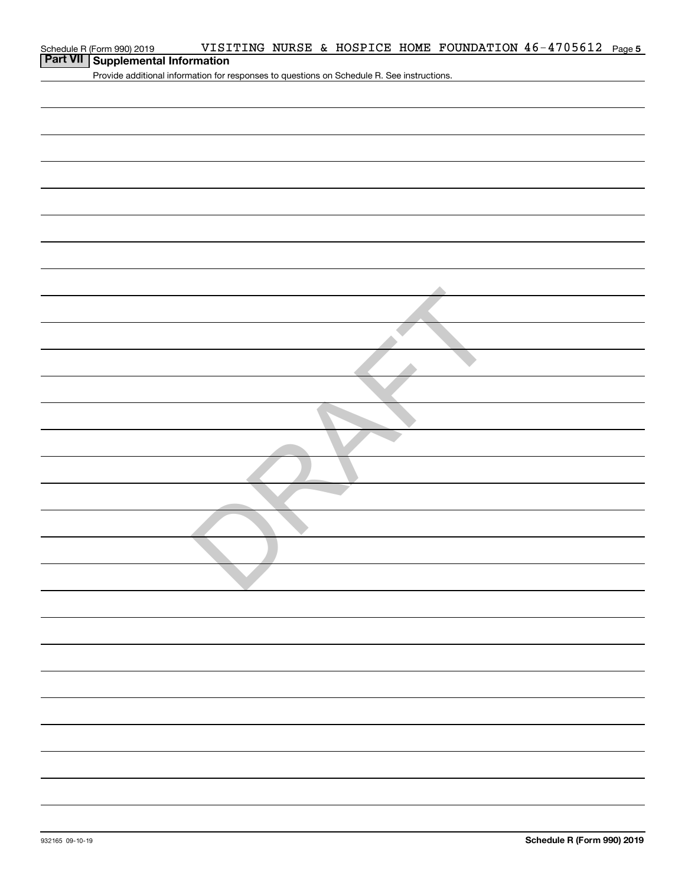| Schedule R (Form 990) 2019                 |  |  |  | VISITING NURSE & HOSPICE HOME FOUNDATION $46-4705612$ Page 5 |  |
|--------------------------------------------|--|--|--|--------------------------------------------------------------|--|
| <b>Part VII   Supplemental Information</b> |  |  |  |                                                              |  |

Provide additional information for responses to questions on Schedule R. See instructions.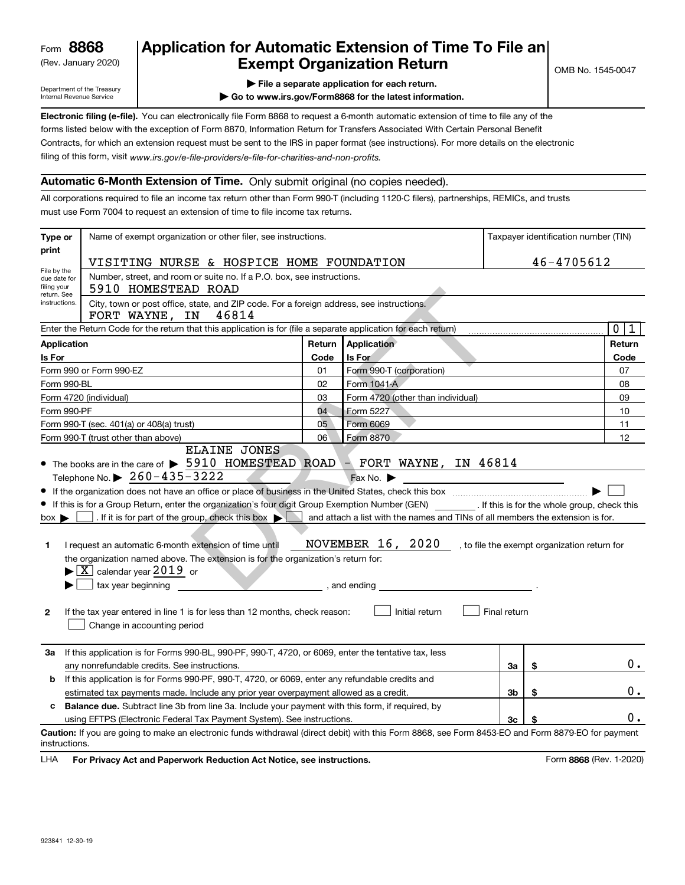(Rev. January 2020)

## **Application for Automatic Extension of Time To File an Exempt Organization Return**

Department of the Treasury Internal Revenue Service

**| File a separate application for each return.**

**| Go to www.irs.gov/Form8868 for the latest information.**

**Electronic filing (e-file).**  You can electronically file Form 8868 to request a 6-month automatic extension of time to file any of the filing of this form, visit www.irs.gov/e-file-providers/e-file-for-charities-and-non-profits. forms listed below with the exception of Form 8870, Information Return for Transfers Associated With Certain Personal Benefit Contracts, for which an extension request must be sent to the IRS in paper format (see instructions). For more details on the electronic

### **Automatic 6-Month Extension of Time.** Only submit original (no copies needed).

All corporations required to file an income tax return other than Form 990-T (including 1120-C filers), partnerships, REMICs, and trusts must use Form 7004 to request an extension of time to file income tax returns.

| Type or<br>print                                                                                                         | Name of exempt organization or other filer, see instructions.                                                                                                                                                                                                                                                                                                                                                                                                                                                                                                                                                                                                                                                                                                                                                            | Taxpayer identification number (TIN) |                                                                                                                  |                |    |                  |  |  |  |
|--------------------------------------------------------------------------------------------------------------------------|--------------------------------------------------------------------------------------------------------------------------------------------------------------------------------------------------------------------------------------------------------------------------------------------------------------------------------------------------------------------------------------------------------------------------------------------------------------------------------------------------------------------------------------------------------------------------------------------------------------------------------------------------------------------------------------------------------------------------------------------------------------------------------------------------------------------------|--------------------------------------|------------------------------------------------------------------------------------------------------------------|----------------|----|------------------|--|--|--|
|                                                                                                                          | 46-4705612<br>VISITING NURSE & HOSPICE HOME FOUNDATION                                                                                                                                                                                                                                                                                                                                                                                                                                                                                                                                                                                                                                                                                                                                                                   |                                      |                                                                                                                  |                |    |                  |  |  |  |
| File by the<br>due date for                                                                                              | Number, street, and room or suite no. If a P.O. box, see instructions.                                                                                                                                                                                                                                                                                                                                                                                                                                                                                                                                                                                                                                                                                                                                                   |                                      |                                                                                                                  |                |    |                  |  |  |  |
| filing your                                                                                                              | 5910 HOMESTEAD ROAD                                                                                                                                                                                                                                                                                                                                                                                                                                                                                                                                                                                                                                                                                                                                                                                                      |                                      |                                                                                                                  |                |    |                  |  |  |  |
| return. See<br>City, town or post office, state, and ZIP code. For a foreign address, see instructions.<br>instructions. |                                                                                                                                                                                                                                                                                                                                                                                                                                                                                                                                                                                                                                                                                                                                                                                                                          |                                      |                                                                                                                  |                |    |                  |  |  |  |
| 46814<br>FORT WAYNE, IN                                                                                                  |                                                                                                                                                                                                                                                                                                                                                                                                                                                                                                                                                                                                                                                                                                                                                                                                                          |                                      |                                                                                                                  |                |    |                  |  |  |  |
|                                                                                                                          | Enter the Return Code for the return that this application is for (file a separate application for each return)                                                                                                                                                                                                                                                                                                                                                                                                                                                                                                                                                                                                                                                                                                          |                                      |                                                                                                                  |                |    | $\mathbf 0$<br>1 |  |  |  |
| Application                                                                                                              |                                                                                                                                                                                                                                                                                                                                                                                                                                                                                                                                                                                                                                                                                                                                                                                                                          | Return                               | Application                                                                                                      |                |    | Return           |  |  |  |
| Is For                                                                                                                   |                                                                                                                                                                                                                                                                                                                                                                                                                                                                                                                                                                                                                                                                                                                                                                                                                          | Code                                 | Is For                                                                                                           |                |    | Code             |  |  |  |
|                                                                                                                          | Form 990 or Form 990-EZ                                                                                                                                                                                                                                                                                                                                                                                                                                                                                                                                                                                                                                                                                                                                                                                                  | 01                                   | Form 990-T (corporation)                                                                                         |                |    | 07               |  |  |  |
| Form 990-BL                                                                                                              |                                                                                                                                                                                                                                                                                                                                                                                                                                                                                                                                                                                                                                                                                                                                                                                                                          | 02                                   | Form 1041-A                                                                                                      |                |    | 08               |  |  |  |
|                                                                                                                          | Form 4720 (individual)                                                                                                                                                                                                                                                                                                                                                                                                                                                                                                                                                                                                                                                                                                                                                                                                   | 03                                   | Form 4720 (other than individual)                                                                                |                |    | 09               |  |  |  |
| Form 990-PF                                                                                                              |                                                                                                                                                                                                                                                                                                                                                                                                                                                                                                                                                                                                                                                                                                                                                                                                                          | 04                                   | Form 5227                                                                                                        |                |    | 10               |  |  |  |
|                                                                                                                          | Form 990-T (sec. 401(a) or 408(a) trust)                                                                                                                                                                                                                                                                                                                                                                                                                                                                                                                                                                                                                                                                                                                                                                                 | 05                                   | Form 6069                                                                                                        |                |    | 11               |  |  |  |
|                                                                                                                          | Form 990-T (trust other than above)<br><b>ELAINE JONES</b>                                                                                                                                                                                                                                                                                                                                                                                                                                                                                                                                                                                                                                                                                                                                                               | 06                                   | Form 8870                                                                                                        |                |    | 12               |  |  |  |
| $box \blacktriangleright$<br>1<br>2                                                                                      | • The books are in the care of $\triangleright$ 5910 HOMESTEAD ROAD $\triangleright$ FORT WAYNE, IN 46814<br>Telephone No. ▶ $260 - 435 - 3222$<br>• If this is for a Group Return, enter the organization's four digit Group Exemption Number (GEN) _________. If this is for the whole group, check this<br>. If it is for part of the group, check this box $\triangleright$ and attach a list with the names and TINs of all members the extension is for.<br>I request an automatic 6-month extension of time until<br>the organization named above. The extension is for the organization's return for:<br>$\blacktriangleright$ $\lfloor$ X $\rfloor$ calendar year $2019$ or<br>tax year beginning<br>If the tax year entered in line 1 is for less than 12 months, check reason:<br>Change in accounting period | and ending                           | Fax No. $\blacktriangleright$<br>NOVEMBER 16, 2020, to file the exempt organization return for<br>Initial return | Final return   |    |                  |  |  |  |
| За                                                                                                                       | If this application is for Forms 990-BL, 990-PF, 990-T, 4720, or 6069, enter the tentative tax, less                                                                                                                                                                                                                                                                                                                                                                                                                                                                                                                                                                                                                                                                                                                     |                                      |                                                                                                                  |                |    |                  |  |  |  |
|                                                                                                                          | any nonrefundable credits. See instructions.<br>За<br>\$                                                                                                                                                                                                                                                                                                                                                                                                                                                                                                                                                                                                                                                                                                                                                                 |                                      |                                                                                                                  |                |    | 0.               |  |  |  |
|                                                                                                                          | If this application is for Forms 990-PF, 990-T, 4720, or 6069, enter any refundable credits and<br>b                                                                                                                                                                                                                                                                                                                                                                                                                                                                                                                                                                                                                                                                                                                     |                                      |                                                                                                                  |                |    |                  |  |  |  |
|                                                                                                                          | estimated tax payments made. Include any prior year overpayment allowed as a credit.                                                                                                                                                                                                                                                                                                                                                                                                                                                                                                                                                                                                                                                                                                                                     |                                      |                                                                                                                  | 3 <sub>b</sub> | \$ | 0.               |  |  |  |
| <b>Balance due.</b> Subtract line 3b from line 3a. Include your payment with this form, if required, by<br>c             |                                                                                                                                                                                                                                                                                                                                                                                                                                                                                                                                                                                                                                                                                                                                                                                                                          |                                      |                                                                                                                  | 0.             |    |                  |  |  |  |
|                                                                                                                          | 3 <sub>c</sub><br>using EFTPS (Electronic Federal Tax Payment System). See instructions.<br>Caution: If you are going to make an electronic funds withdrawal (direct debit) with this Form 8868, see Form 8453-EO and Form 8879-EO for payment                                                                                                                                                                                                                                                                                                                                                                                                                                                                                                                                                                           |                                      |                                                                                                                  |                |    |                  |  |  |  |
| instructions.                                                                                                            |                                                                                                                                                                                                                                                                                                                                                                                                                                                                                                                                                                                                                                                                                                                                                                                                                          |                                      |                                                                                                                  |                |    |                  |  |  |  |

**HA** For Privacy Act and Paperwork Reduction Act Notice, see instructions. **But a struction of the Community Community** Form 8868 (Rev. 1-2020) LHA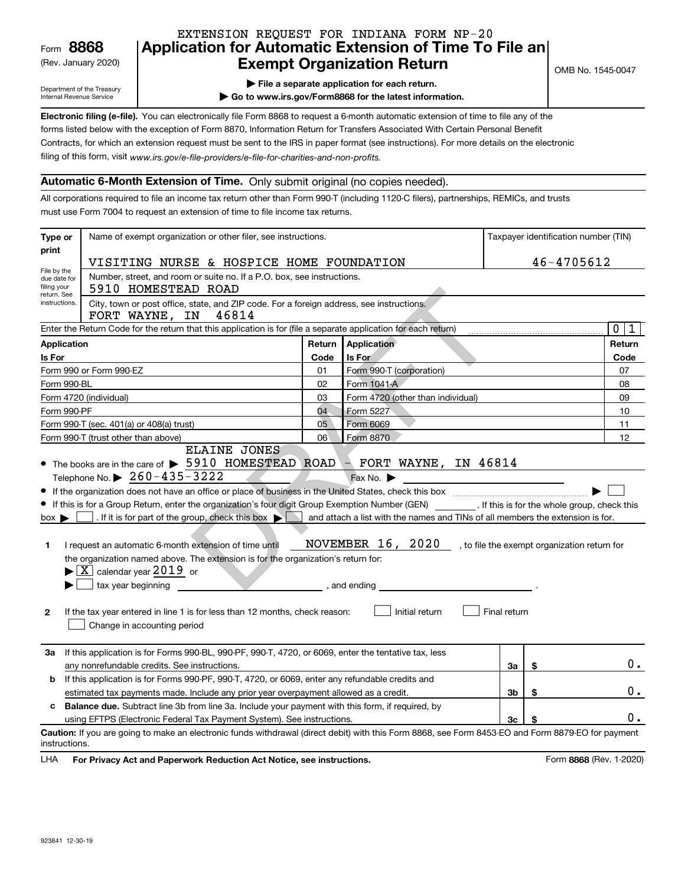(Rev. January 2020)

### **Application for Automatic Extension of Time To File an Exempt Organization Return** EXTENSION REQUEST FOR INDIANA FORM NP-20

Department of the Treasury Internal Revenue Service

| $\blacktriangleright$ File a separate application for each return. |
|--------------------------------------------------------------------|
|--------------------------------------------------------------------|

**| Go to www.irs.gov/Form8868 for the latest information.**

**Electronic filing (e-file).**  You can electronically file Form 8868 to request a 6-month automatic extension of time to file any of the filing of this form, visit www.irs.gov/e-file-providers/e-file-for-charities-and-non-profits. forms listed below with the exception of Form 8870, Information Return for Transfers Associated With Certain Personal Benefit Contracts, for which an extension request must be sent to the IRS in paper format (see instructions). For more details on the electronic

### **Automatic 6-Month Extension of Time.** Only submit original (no copies needed).

All corporations required to file an income tax return other than Form 990-T (including 1120-C filers), partnerships, REMICs, and trusts must use Form 7004 to request an extension of time to file income tax returns.

| Type or<br>print                                                                                                         | Name of exempt organization or other filer, see instructions.                                                                                                                                                                                                                                                                                                                                                                                                                                                                                                                                                                                                                                                                                                                                                            | Taxpayer identification number (TIN) |                                                                                                                  |                |    |                  |  |  |  |
|--------------------------------------------------------------------------------------------------------------------------|--------------------------------------------------------------------------------------------------------------------------------------------------------------------------------------------------------------------------------------------------------------------------------------------------------------------------------------------------------------------------------------------------------------------------------------------------------------------------------------------------------------------------------------------------------------------------------------------------------------------------------------------------------------------------------------------------------------------------------------------------------------------------------------------------------------------------|--------------------------------------|------------------------------------------------------------------------------------------------------------------|----------------|----|------------------|--|--|--|
|                                                                                                                          | 46-4705612<br>VISITING NURSE & HOSPICE HOME FOUNDATION                                                                                                                                                                                                                                                                                                                                                                                                                                                                                                                                                                                                                                                                                                                                                                   |                                      |                                                                                                                  |                |    |                  |  |  |  |
| File by the<br>due date for                                                                                              | Number, street, and room or suite no. If a P.O. box, see instructions.                                                                                                                                                                                                                                                                                                                                                                                                                                                                                                                                                                                                                                                                                                                                                   |                                      |                                                                                                                  |                |    |                  |  |  |  |
| filing your                                                                                                              | 5910 HOMESTEAD ROAD                                                                                                                                                                                                                                                                                                                                                                                                                                                                                                                                                                                                                                                                                                                                                                                                      |                                      |                                                                                                                  |                |    |                  |  |  |  |
| return. See<br>City, town or post office, state, and ZIP code. For a foreign address, see instructions.<br>instructions. |                                                                                                                                                                                                                                                                                                                                                                                                                                                                                                                                                                                                                                                                                                                                                                                                                          |                                      |                                                                                                                  |                |    |                  |  |  |  |
| 46814<br>FORT WAYNE, IN                                                                                                  |                                                                                                                                                                                                                                                                                                                                                                                                                                                                                                                                                                                                                                                                                                                                                                                                                          |                                      |                                                                                                                  |                |    |                  |  |  |  |
|                                                                                                                          | Enter the Return Code for the return that this application is for (file a separate application for each return)                                                                                                                                                                                                                                                                                                                                                                                                                                                                                                                                                                                                                                                                                                          |                                      |                                                                                                                  |                |    | $\mathbf 0$<br>1 |  |  |  |
| Application                                                                                                              |                                                                                                                                                                                                                                                                                                                                                                                                                                                                                                                                                                                                                                                                                                                                                                                                                          | Return                               | Application                                                                                                      |                |    | Return           |  |  |  |
| Is For                                                                                                                   |                                                                                                                                                                                                                                                                                                                                                                                                                                                                                                                                                                                                                                                                                                                                                                                                                          | Code                                 | Is For                                                                                                           |                |    | Code             |  |  |  |
|                                                                                                                          | Form 990 or Form 990-EZ                                                                                                                                                                                                                                                                                                                                                                                                                                                                                                                                                                                                                                                                                                                                                                                                  | 01                                   | Form 990-T (corporation)                                                                                         |                |    | 07               |  |  |  |
| Form 990-BL                                                                                                              |                                                                                                                                                                                                                                                                                                                                                                                                                                                                                                                                                                                                                                                                                                                                                                                                                          | 02                                   | Form 1041-A                                                                                                      |                |    | 08               |  |  |  |
|                                                                                                                          | Form 4720 (individual)                                                                                                                                                                                                                                                                                                                                                                                                                                                                                                                                                                                                                                                                                                                                                                                                   | 03                                   | Form 4720 (other than individual)                                                                                |                |    | 09               |  |  |  |
| Form 990-PF                                                                                                              |                                                                                                                                                                                                                                                                                                                                                                                                                                                                                                                                                                                                                                                                                                                                                                                                                          | 04                                   | Form 5227                                                                                                        |                |    | 10               |  |  |  |
|                                                                                                                          | Form 990-T (sec. 401(a) or 408(a) trust)                                                                                                                                                                                                                                                                                                                                                                                                                                                                                                                                                                                                                                                                                                                                                                                 | 05                                   | Form 6069                                                                                                        |                |    | 11               |  |  |  |
|                                                                                                                          | Form 990-T (trust other than above)<br><b>ELAINE JONES</b>                                                                                                                                                                                                                                                                                                                                                                                                                                                                                                                                                                                                                                                                                                                                                               | 06                                   | Form 8870                                                                                                        |                |    | 12               |  |  |  |
| $box \blacktriangleright$<br>1<br>2                                                                                      | • The books are in the care of $\triangleright$ 5910 HOMESTEAD ROAD $\triangleright$ FORT WAYNE, IN 46814<br>Telephone No. ▶ $260 - 435 - 3222$<br>• If this is for a Group Return, enter the organization's four digit Group Exemption Number (GEN) _________. If this is for the whole group, check this<br>. If it is for part of the group, check this box $\triangleright$ and attach a list with the names and TINs of all members the extension is for.<br>I request an automatic 6-month extension of time until<br>the organization named above. The extension is for the organization's return for:<br>$\blacktriangleright$ $\lfloor$ X $\rfloor$ calendar year $2019$ or<br>tax year beginning<br>If the tax year entered in line 1 is for less than 12 months, check reason:<br>Change in accounting period | and ending                           | Fax No. $\blacktriangleright$<br>NOVEMBER 16, 2020, to file the exempt organization return for<br>Initial return | Final return   |    |                  |  |  |  |
| За                                                                                                                       | If this application is for Forms 990-BL, 990-PF, 990-T, 4720, or 6069, enter the tentative tax, less                                                                                                                                                                                                                                                                                                                                                                                                                                                                                                                                                                                                                                                                                                                     |                                      |                                                                                                                  |                |    |                  |  |  |  |
|                                                                                                                          | any nonrefundable credits. See instructions.<br>За<br>\$                                                                                                                                                                                                                                                                                                                                                                                                                                                                                                                                                                                                                                                                                                                                                                 |                                      |                                                                                                                  |                |    | 0.               |  |  |  |
|                                                                                                                          | If this application is for Forms 990-PF, 990-T, 4720, or 6069, enter any refundable credits and<br>b                                                                                                                                                                                                                                                                                                                                                                                                                                                                                                                                                                                                                                                                                                                     |                                      |                                                                                                                  |                |    |                  |  |  |  |
|                                                                                                                          | estimated tax payments made. Include any prior year overpayment allowed as a credit.                                                                                                                                                                                                                                                                                                                                                                                                                                                                                                                                                                                                                                                                                                                                     |                                      |                                                                                                                  | 3 <sub>b</sub> | \$ | 0.               |  |  |  |
| <b>Balance due.</b> Subtract line 3b from line 3a. Include your payment with this form, if required, by<br>c             |                                                                                                                                                                                                                                                                                                                                                                                                                                                                                                                                                                                                                                                                                                                                                                                                                          |                                      |                                                                                                                  | 0.             |    |                  |  |  |  |
|                                                                                                                          | 3 <sub>c</sub><br>using EFTPS (Electronic Federal Tax Payment System). See instructions.<br>Caution: If you are going to make an electronic funds withdrawal (direct debit) with this Form 8868, see Form 8453-EO and Form 8879-EO for payment                                                                                                                                                                                                                                                                                                                                                                                                                                                                                                                                                                           |                                      |                                                                                                                  |                |    |                  |  |  |  |
| instructions.                                                                                                            |                                                                                                                                                                                                                                                                                                                                                                                                                                                                                                                                                                                                                                                                                                                                                                                                                          |                                      |                                                                                                                  |                |    |                  |  |  |  |

**HA** For Privacy Act and Paperwork Reduction Act Notice, see instructions. **But a struction of the Community Community** Form 8868 (Rev. 1-2020) LHA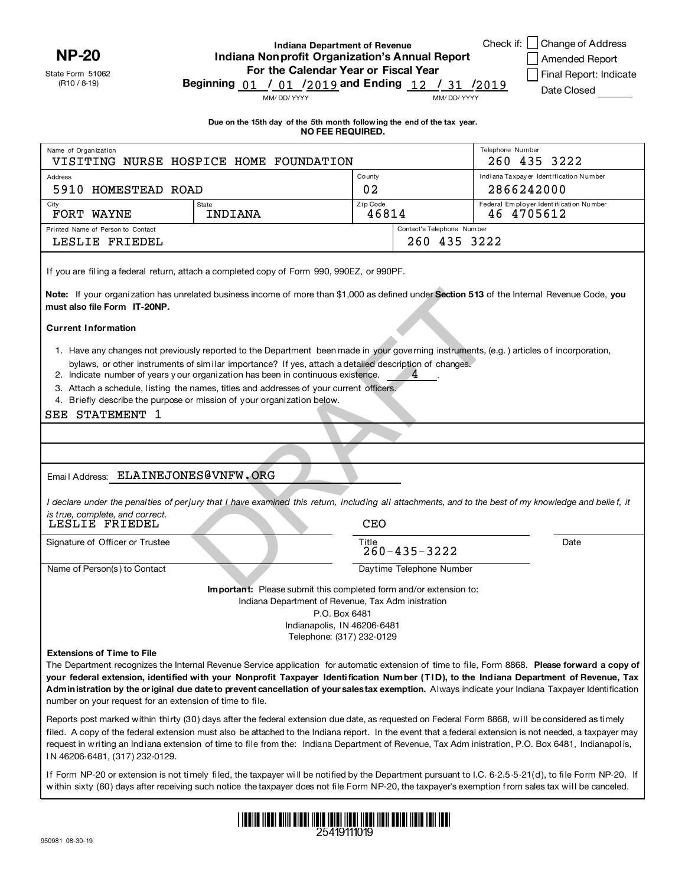State Form 51062 **NP-20**

(R10 / 8-19)

Name of Organization

**Indiana Department of Revenue Indiana Nonprofit Organization's Annual Report For the Calendar Year or Fiscal Year Beginning / / and Ending / /** 01 <sup>01</sup> <sup>2019</sup> <sup>12</sup>

**Due on the 15th day of the 5th month follow ing the end of the tax year. NO FEE REQUIRED.** 

Check if: Change of Address

260 435 3222

Amended Report

Final Report: Indicate Date Closed

MM/ DD/ YYYY MM/ DD/ YYYY

of Organization Telephone Number VISITING NURSE HOSPICE HOME FOUNDATION

 $/2019$ 

| Address<br>5910 HOMESTEAD ROAD                                                                | County<br>02                                                                                                                                                                                                                                                                                                                                                                                                                                                                                               |            | Indiana Taxpayer Identification Number<br>2866242000 |                                                                                                                                                                                                                                                                                                                                                                                                                                               |
|-----------------------------------------------------------------------------------------------|------------------------------------------------------------------------------------------------------------------------------------------------------------------------------------------------------------------------------------------------------------------------------------------------------------------------------------------------------------------------------------------------------------------------------------------------------------------------------------------------------------|------------|------------------------------------------------------|-----------------------------------------------------------------------------------------------------------------------------------------------------------------------------------------------------------------------------------------------------------------------------------------------------------------------------------------------------------------------------------------------------------------------------------------------|
| City                                                                                          | <b>State</b>                                                                                                                                                                                                                                                                                                                                                                                                                                                                                               | Zip Code   |                                                      | Federal Employer Identification Number                                                                                                                                                                                                                                                                                                                                                                                                        |
| FORT WAYNE                                                                                    | 46814<br>46 4705612<br>INDIANA                                                                                                                                                                                                                                                                                                                                                                                                                                                                             |            |                                                      |                                                                                                                                                                                                                                                                                                                                                                                                                                               |
| Printed Name of Person to Contact                                                             |                                                                                                                                                                                                                                                                                                                                                                                                                                                                                                            |            | Contact's Telephone Number                           |                                                                                                                                                                                                                                                                                                                                                                                                                                               |
| LESLIE FRIEDEL                                                                                |                                                                                                                                                                                                                                                                                                                                                                                                                                                                                                            |            | 260 435 3222                                         |                                                                                                                                                                                                                                                                                                                                                                                                                                               |
|                                                                                               | If you are filing a federal return, attach a completed copy of Form 990, 990EZ, or 990PF.                                                                                                                                                                                                                                                                                                                                                                                                                  |            |                                                      |                                                                                                                                                                                                                                                                                                                                                                                                                                               |
| must also file Form IT-20NP.                                                                  | Note: If your organization has unrelated business income of more than \$1,000 as defined under Section 513 of the Internal Revenue Code, you                                                                                                                                                                                                                                                                                                                                                               |            |                                                      |                                                                                                                                                                                                                                                                                                                                                                                                                                               |
| <b>Current Information</b>                                                                    |                                                                                                                                                                                                                                                                                                                                                                                                                                                                                                            |            |                                                      |                                                                                                                                                                                                                                                                                                                                                                                                                                               |
|                                                                                               | 1. Have any changes not previously reported to the Department been made in your governing instruments, (e.g.) articles of incorporation,<br>bylaws, or other instruments of similar importance? If yes, attach a detailed description of changes.<br>2. Indicate number of years y our organization has been in continuous existence.<br>3. Attach a schedule, listing the names, titles and addresses of your current officers.<br>4. Briefly describe the purpose or mission of your organization below. |            | 4                                                    |                                                                                                                                                                                                                                                                                                                                                                                                                                               |
| SEE STATEMENT 1                                                                               |                                                                                                                                                                                                                                                                                                                                                                                                                                                                                                            |            |                                                      |                                                                                                                                                                                                                                                                                                                                                                                                                                               |
|                                                                                               |                                                                                                                                                                                                                                                                                                                                                                                                                                                                                                            |            |                                                      |                                                                                                                                                                                                                                                                                                                                                                                                                                               |
|                                                                                               |                                                                                                                                                                                                                                                                                                                                                                                                                                                                                                            |            |                                                      |                                                                                                                                                                                                                                                                                                                                                                                                                                               |
|                                                                                               |                                                                                                                                                                                                                                                                                                                                                                                                                                                                                                            |            |                                                      |                                                                                                                                                                                                                                                                                                                                                                                                                                               |
| Email Address: ELAINEJONES@VNFW.ORG                                                           |                                                                                                                                                                                                                                                                                                                                                                                                                                                                                                            |            |                                                      |                                                                                                                                                                                                                                                                                                                                                                                                                                               |
|                                                                                               |                                                                                                                                                                                                                                                                                                                                                                                                                                                                                                            |            |                                                      | I declare under the penalties of perjury that I have examined this return, including all attachments, and to the best of my knowledge and belief, it                                                                                                                                                                                                                                                                                          |
| is true, complete, and correct.<br>LESLIE FRIEDEL                                             |                                                                                                                                                                                                                                                                                                                                                                                                                                                                                                            | <b>CEO</b> |                                                      |                                                                                                                                                                                                                                                                                                                                                                                                                                               |
| Signature of Officer or Trustee                                                               |                                                                                                                                                                                                                                                                                                                                                                                                                                                                                                            | Title      | $260 - 435 - 3222$                                   | Date                                                                                                                                                                                                                                                                                                                                                                                                                                          |
| Name of Person(s) to Contact                                                                  |                                                                                                                                                                                                                                                                                                                                                                                                                                                                                                            |            | Daytime Telephone Number                             |                                                                                                                                                                                                                                                                                                                                                                                                                                               |
|                                                                                               | Important: Please submit this completed form and/or extension to:                                                                                                                                                                                                                                                                                                                                                                                                                                          |            |                                                      |                                                                                                                                                                                                                                                                                                                                                                                                                                               |
|                                                                                               | Indiana Department of Revenue, Tax Adm inistration                                                                                                                                                                                                                                                                                                                                                                                                                                                         |            |                                                      |                                                                                                                                                                                                                                                                                                                                                                                                                                               |
|                                                                                               | P.O. Box 6481                                                                                                                                                                                                                                                                                                                                                                                                                                                                                              |            |                                                      |                                                                                                                                                                                                                                                                                                                                                                                                                                               |
|                                                                                               | Indianapolis, IN 46206-6481                                                                                                                                                                                                                                                                                                                                                                                                                                                                                |            |                                                      |                                                                                                                                                                                                                                                                                                                                                                                                                                               |
| <b>Extensions of Time to File</b><br>number on your request for an extension of time to file. | Telephone: (317) 232-0129                                                                                                                                                                                                                                                                                                                                                                                                                                                                                  |            |                                                      | The Department recognizes the Internal Revenue Service application for automatic extension of time to file, Form 8868. Please forward a copy of<br>your federal extension, identified with your Nonprofit Taxpayer Identification Number (TID), to the Indiana Department of Revenue, Tax<br>Administration by the original due date to prevent cancellation of your salestax exemption. Always indicate your Indiana Taxpayer Identification |
| IN 46206-6481, (317) 232-0129.                                                                | Reports post marked within thirty (30) days after the federal extension due date, as requested on Federal Form 8868, will be considered as timely                                                                                                                                                                                                                                                                                                                                                          |            |                                                      | filed. A copy of the federal extension must also be attached to the Indiana report. In the event that a federal extension is not needed, a taxpayer may<br>request in writing an Indiana extension of time to file from the: Indiana Department of Revenue, Tax Adm inistration, P.O. Box 6481, Indianapolis,                                                                                                                                 |
|                                                                                               |                                                                                                                                                                                                                                                                                                                                                                                                                                                                                                            |            |                                                      | If Form NP-20 or extension is not timely filed, the taxpayer will be notified by the Department pursuant to I.C. 6-2.5-5-21(d), to file Form NP-20. If<br>within sixty (60) days after receiving such notice the taxpayer does not file Form NP-20, the taxpayer's exemption from sales tax will be canceled.                                                                                                                                 |

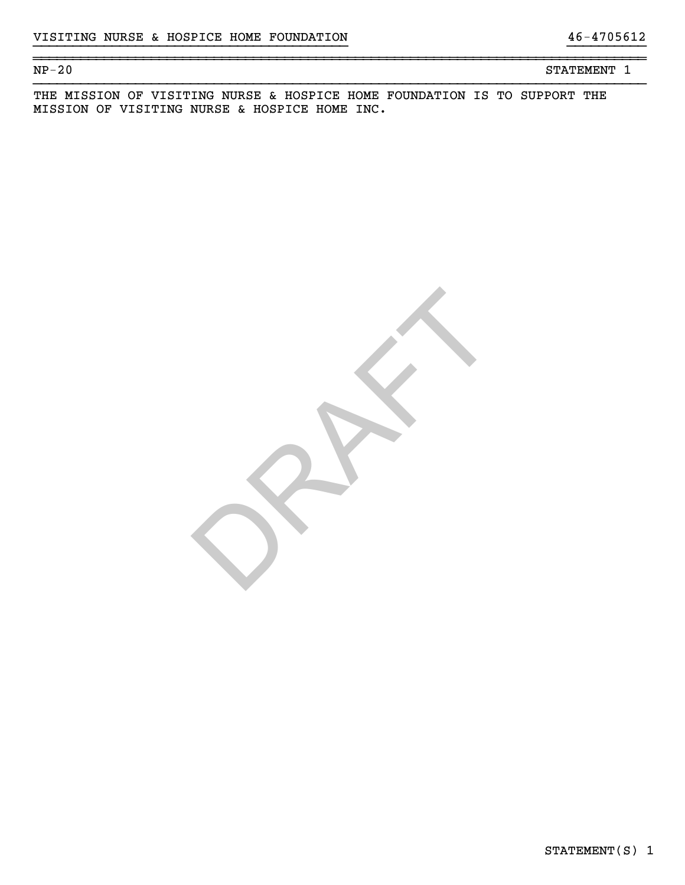NP-20 STATEMENT 1

THE MISSION OF VISITING NURSE & HOSPICE HOME FOUNDATION IS TO SUPPORT THE MISSION OF VISITING NURSE & HOSPICE HOME INC.

}}}}}}}}}}}}}}}}}}}}}}}}}}}}}}}}}}}}}}}} }}}}}}}}}}

~~~~~~~~~~~~~~~~~~~~~~~~~~~~~~~~~~~~~~~~~~~~~~~~~~~~~~~~~~~~~~~~~~~~~~~~~~~~~~

RAFT